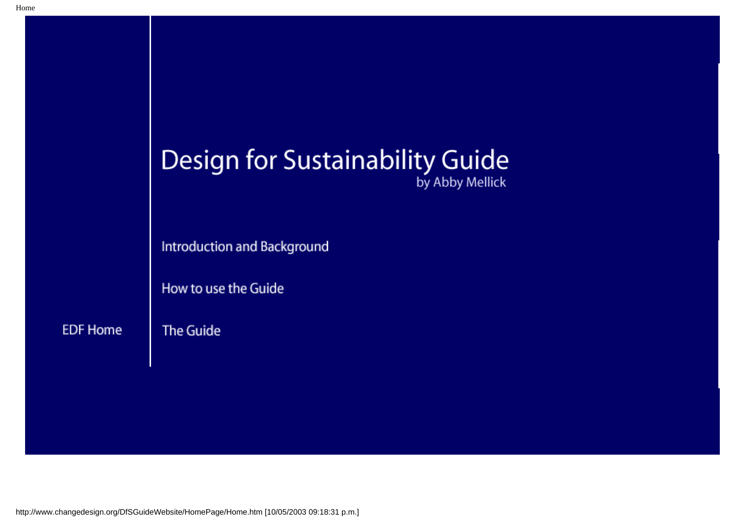# **Design for Sustainability Guide**<br>by Abby Mellick

Introduction and Background

How to use the Guide

**EDF Home** 

**The Guide** 

http://www.changedesign.org/DfSGuideWebsite/HomePage/Home.htm [10/05/2003 09:18:31 p.m.]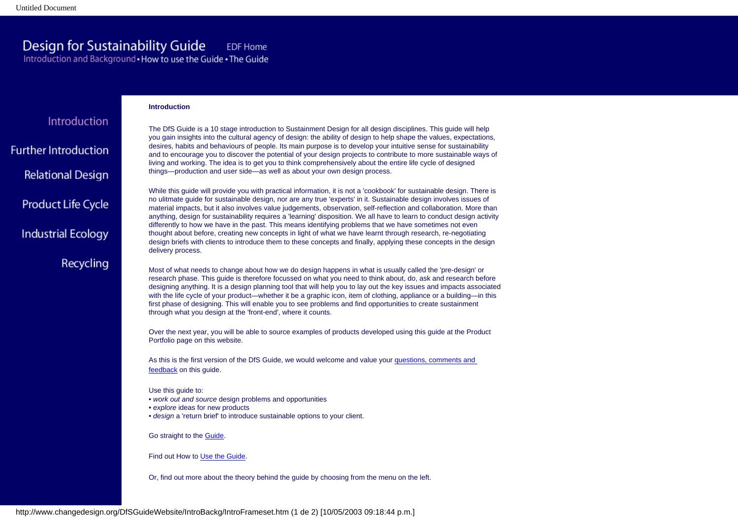<span id="page-1-0"></span>**Further Int** 

#### Design for Sustainability Guide **EDF Home**

Introduction and Background . How to use the Guide . The Guide

|                            | <b>Introduction</b>                                                                                                                                                                                                                                                                                                                                                                                                                                                                                                                                                                                                                                      |
|----------------------------|----------------------------------------------------------------------------------------------------------------------------------------------------------------------------------------------------------------------------------------------------------------------------------------------------------------------------------------------------------------------------------------------------------------------------------------------------------------------------------------------------------------------------------------------------------------------------------------------------------------------------------------------------------|
| Introduction               | The DfS Guide is a 10 stage introduction to Sustainment Design for all design disciplines. This guide will help<br>you gain insights into the cultural agency of design: the ability of design to help shape the values, expectations,                                                                                                                                                                                                                                                                                                                                                                                                                   |
| <b>Irther Introduction</b> | desires, habits and behaviours of people. Its main purpose is to develop your intuitive sense for sustainability<br>and to encourage you to discover the potential of your design projects to contribute to more sustainable ways of<br>living and working. The idea is to get you to think comprehensively about the entire life cycle of designed                                                                                                                                                                                                                                                                                                      |
| <b>Relational Design</b>   | things—production and user side—as well as about your own design process.                                                                                                                                                                                                                                                                                                                                                                                                                                                                                                                                                                                |
| <b>Product Life Cycle</b>  | While this guide will provide you with practical information, it is not a 'cookbook' for sustainable design. There is<br>no ulitmate guide for sustainable design, nor are any true 'experts' in it. Sustainable design involves issues of<br>material impacts, but it also involves value judgements, observation, self-reflection and collaboration. More than<br>anything, design for sustainability requires a 'learning' disposition. We all have to learn to conduct design activity<br>differently to how we have in the past. This means identifying problems that we have sometimes not even                                                    |
| <b>Industrial Ecology</b>  | thought about before, creating new concepts in light of what we have learnt through research, re-negotiating<br>design briefs with clients to introduce them to these concepts and finally, applying these concepts in the design<br>delivery process.                                                                                                                                                                                                                                                                                                                                                                                                   |
| Recycling                  | Most of what needs to change about how we do design happens in what is usually called the 'pre-design' or<br>research phase. This guide is therefore focussed on what you need to think about, do, ask and research before<br>designing anything. It is a design planning tool that will help you to lay out the key issues and impacts associated<br>with the life cycle of your product—whether it be a graphic icon, item of clothing, appliance or a building—in this<br>first phase of designing. This will enable you to see problems and find opportunities to create sustainment<br>through what you design at the 'front-end', where it counts. |
|                            | Over the next year, you will be able to source examples of products developed using this guide at the Product<br>Portfolio page on this website.                                                                                                                                                                                                                                                                                                                                                                                                                                                                                                         |
|                            | As this is the first version of the DfS Guide, we would welcome and value your questions, comments and<br>feedback on this guide.                                                                                                                                                                                                                                                                                                                                                                                                                                                                                                                        |
|                            | Use this guide to:<br>• work out and source design problems and opportunities<br>• explore ideas for new products<br>· design a 'return brief' to introduce sustainable options to your client.                                                                                                                                                                                                                                                                                                                                                                                                                                                          |
|                            | Go straight to the Guide.                                                                                                                                                                                                                                                                                                                                                                                                                                                                                                                                                                                                                                |
|                            | Find out How to Use the Guide.                                                                                                                                                                                                                                                                                                                                                                                                                                                                                                                                                                                                                           |

Or, find out more about the theory behind the guide by choosing from the menu on the left.

http://www.changedesign.org/DfSGuideWebsite/IntroBackg/IntroFrameset.htm (1 de 2) [10/05/2003 09:18:44 p.m.]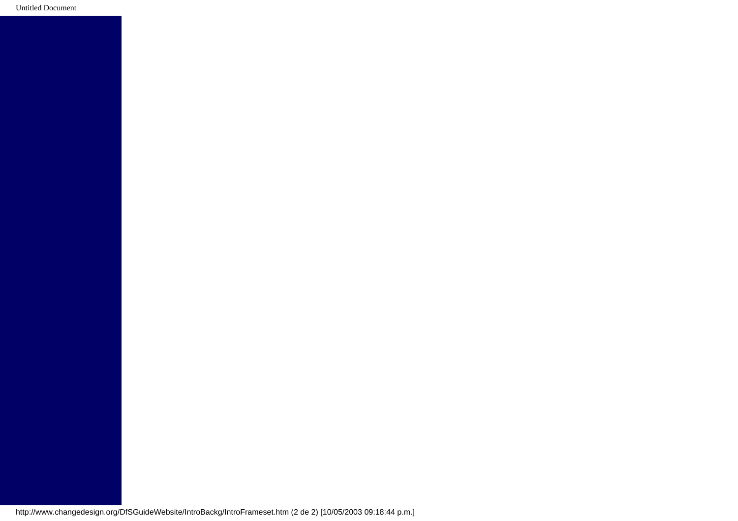Untitled Document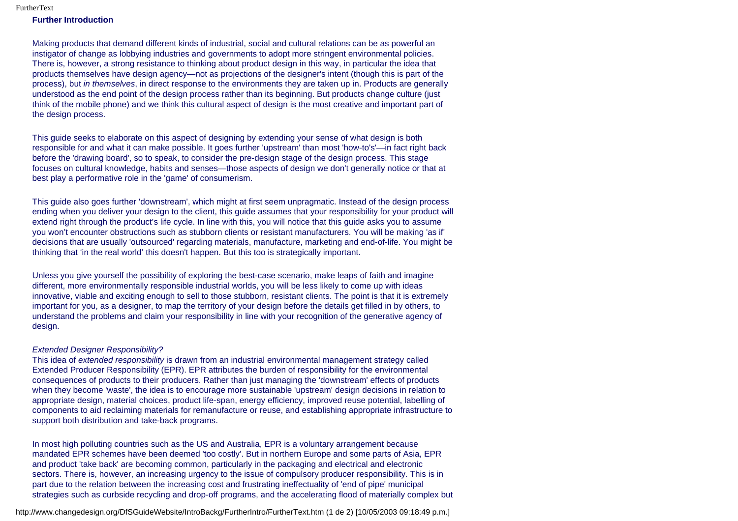FurtherText

#### **Further Introduction**

Making products that demand different kinds of industrial, social and cultural relations can be as powerful an instigator of change as lobbying industries and governments to adopt more stringent environmental policies. There is, however, a strong resistance to thinking about product design in this way, in particular the idea that products themselves have design agency—not as projections of the designer's intent (though this is part of the process), but *in themselves*, in direct response to the environments they are taken up in. Products are generally understood as the end point of the design process rather than its beginning. But products change culture (just think of the mobile phone) and we think this cultural aspect of design is the most creative and important part of the design process.

This guide seeks to elaborate on this aspect of designing by extending your sense of what design is both responsible for and what it can make possible. It goes further 'upstream' than most 'how-to's'—in fact right back before the 'drawing board', so to speak, to consider the pre-design stage of the design process. This stage focuses on cultural knowledge, habits and senses—those aspects of design we don't generally notice or that at best play a performative role in the 'game' of consumerism.

This guide also goes further 'downstream', which might at first seem unpragmatic. Instead of the design process ending when you deliver your design to the client, this guide assumes that your responsibility for your product will extend right through the product's life cycle. In line with this, you will notice that this guide asks you to assume you won't encounter obstructions such as stubborn clients or resistant manufacturers. You will be making 'as if' decisions that are usually 'outsourced' regarding materials, manufacture, marketing and end-of-life. You might be thinking that 'in the real world' this doesn't happen. But this too is strategically important.

Unless you give yourself the possibility of exploring the best-case scenario, make leaps of faith and imagine different, more environmentally responsible industrial worlds, you will be less likely to come up with ideas innovative, viable and exciting enough to sell to those stubborn, resistant clients. The point is that it is extremely important for you, as a designer, to map the territory of your design before the details get filled in by others, to understand the problems and claim your responsibility in line with your recognition of the generative agency of design.

#### *Extended Designer Responsibility?*

This idea of *extended responsibility* is drawn from an industrial environmental management strategy called Extended Producer Responsibility (EPR). EPR attributes the burden of responsibility for the environmental consequences of products to their producers. Rather than just managing the 'downstream' effects of products when they become 'waste', the idea is to encourage more sustainable 'upstream' design decisions in relation to appropriate design, material choices, product life-span, energy efficiency, improved reuse potential, labelling of components to aid reclaiming materials for remanufacture or reuse, and establishing appropriate infrastructure to support both distribution and take-back programs.

In most high polluting countries such as the US and Australia, EPR is a voluntary arrangement because mandated EPR schemes have been deemed 'too costly'. But in northern Europe and some parts of Asia, EPR and product 'take back' are becoming common, particularly in the packaging and electrical and electronic sectors. There is, however, an increasing urgency to the issue of compulsory producer responsibility. This is in part due to the relation between the increasing cost and frustrating ineffectuality of 'end of pipe' municipal strategies such as curbside recycling and drop-off programs, and the accelerating flood of materially complex but

http://www.changedesign.org/DfSGuideWebsite/IntroBackg/FurtherIntro/FurtherText.htm (1 de 2) [10/05/2003 09:18:49 p.m.]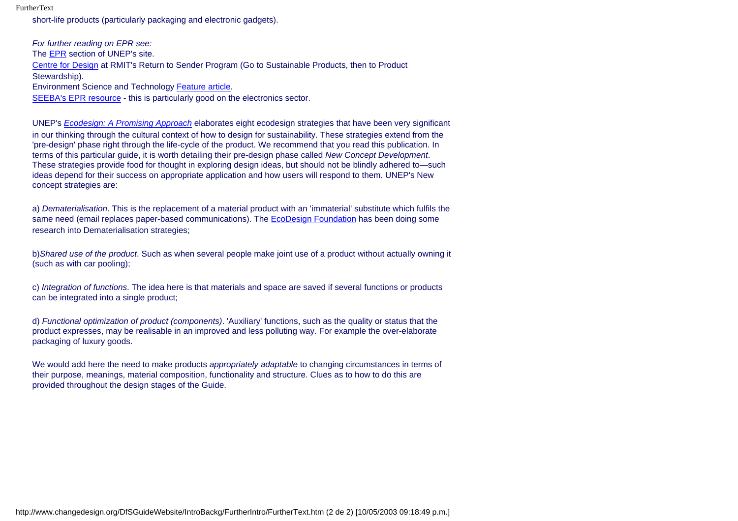FurtherText

short-life products (particularly packaging and electronic gadgets).

*For further reading on EPR see:* The [EPR](http://www.uneptie.org/pc/pc/tools/epr.htm) section of UNEP's site. [Centre for Design](http://www.cfd.rmit.edu.au/) at RMIT's Return to Sender Program (Go to Sustainable Products, then to Product Stewardship). Environment Science and Technology [Feature article](http://pubs.acs.org/hotartcl/est/00/apr/hanis.html). [SEEBA's EPR resource](http://www.cfsd.org.uk/seeba/index.htm) - this is particularly good on the electronics sector.

UNEP's *[Ecodesign: A Promising Approach](http://design.ntnu.no/fag/ecodesign/)* elaborates eight ecodesign strategies that have been very significant in our thinking through the cultural context of how to design for sustainability. These strategies extend from the 'pre-design' phase right through the life-cycle of the product. We recommend that you read this publication. In terms of this particular guide, it is worth detailing their pre-design phase called *New Concept Development*. These strategies provide food for thought in exploring design ideas, but should not be blindly adhered to—such ideas depend for their success on appropriate application and how users will respond to them. UNEP's New concept strategies are:

a) *Dematerialisation*. This is the replacement of a material product with an 'immaterial' substitute which fulfils the same need (email replaces paper-based communications). The [EcoDesign Foundation](http://www.edf.edu.au/) has been doing some research into Dematerialisation strategies;

b)*Shared use of the product*. Such as when several people make joint use of a product without actually owning it (such as with car pooling);

c) *Integration of functions*. The idea here is that materials and space are saved if several functions or products can be integrated into a single product;

d) *Functional optimization of product (components)*. 'Auxiliary' functions, such as the quality or status that the product expresses, may be realisable in an improved and less polluting way. For example the over-elaborate packaging of luxury goods.

We would add here the need to make products *appropriately adaptable* to changing circumstances in terms of their purpose, meanings, material composition, functionality and structure. Clues as to how to do this are provided throughout the design stages of the Guide.

http://www.changedesign.org/DfSGuideWebsite/IntroBackg/FurtherIntro/FurtherText.htm (2 de 2) [10/05/2003 09:18:49 p.m.]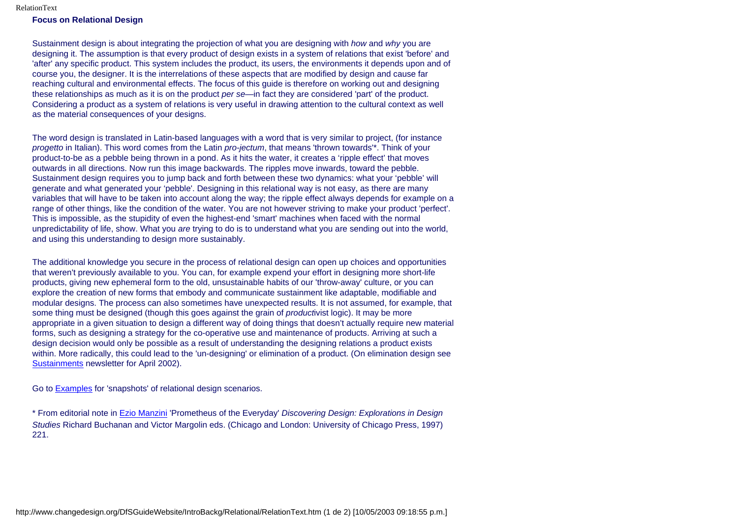RelationText

#### **Focus on Relational Design**

Sustainment design is about integrating the projection of what you are designing with *how* and *why* you are designing it. The assumption is that every product of design exists in a system of relations that exist 'before' and 'after' any specific product. This system includes the product, its users, the environments it depends upon and of course you, the designer. It is the interrelations of these aspects that are modified by design and cause far reaching cultural and environmental effects. The focus of this guide is therefore on working out and designing these relationships as much as it is on the product *per se*—in fact they are considered 'part' of the product. Considering a product as a system of relations is very useful in drawing attention to the cultural context as well as the material consequences of your designs.

The word design is translated in Latin-based languages with a word that is very similar to project, (for instance *progetto* in Italian). This word comes from the Latin *pro-jectum*, that means 'thrown towards'\*. Think of your product-to-be as a pebble being thrown in a pond. As it hits the water, it creates a 'ripple effect' that moves outwards in all directions. Now run this image backwards. The ripples move inwards, toward the pebble. Sustainment design requires you to jump back and forth between these two dynamics: what your 'pebble' will generate and what generated your 'pebble'. Designing in this relational way is not easy, as there are many variables that will have to be taken into account along the way; the ripple effect always depends for example on a range of other things, like the condition of the water. You are not however striving to make your product 'perfect'. This is impossible, as the stupidity of even the highest-end 'smart' machines when faced with the normal unpredictability of life, show. What you *are* trying to do is to understand what you are sending out into the world, and using this understanding to design more sustainably.

The additional knowledge you secure in the process of relational design can open up choices and opportunities that weren't previously available to you. You can, for example expend your effort in designing more short-life products, giving new ephemeral form to the old, unsustainable habits of our 'throw-away' culture, or you can explore the creation of new forms that embody and communicate sustainment like adaptable, modifiable and modular designs. The process can also sometimes have unexpected results. It is not assumed, for example, that some thing must be designed (though this goes against the grain of *product*ivist logic). It may be more appropriate in a given situation to design a different way of doing things that doesn't actually require new material forms, such as designing a strategy for the co-operative use and maintenance of products. Arriving at such a design decision would only be possible as a result of understanding the designing relations a product exists within. More radically, this could lead to the 'un-designing' or elimination of a product. (On elimination design see [Sustainments](http://www.edf.edu.au/Sustainments/Newsletter/Issues/Srnapr02.htm) newsletter for April 2002).

Go to [Examples](http://www.changedesign.org/DfSGuideWebsite/HowTo/HowToFrameset.htm) for 'snapshots' of relational design scenarios.

\* From editorial note in [Ezio Manzini](http://www.changedesign.org/Pathfinding/Manzini/Manzini.htm) 'Prometheus of the Everyday' *Discovering Design: Explorations in Design Studies* Richard Buchanan and Victor Margolin eds. (Chicago and London: University of Chicago Press, 1997) 221.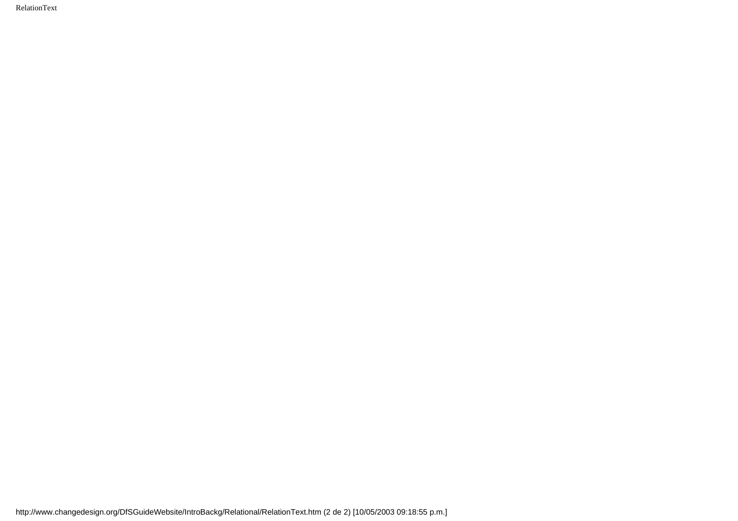RelationText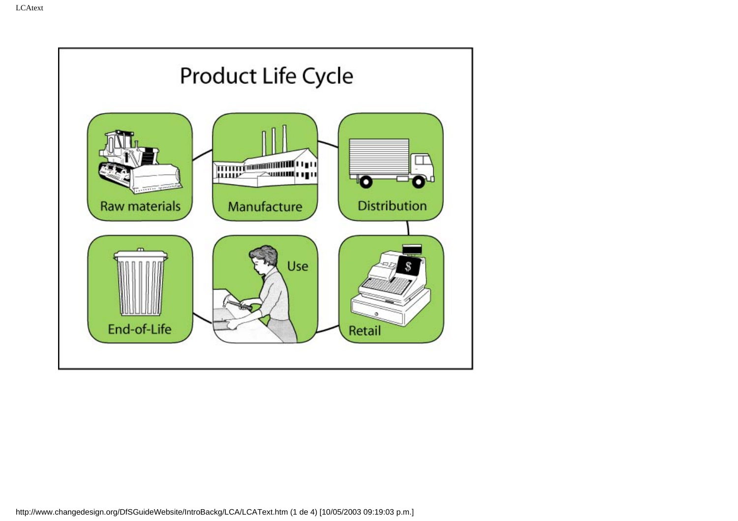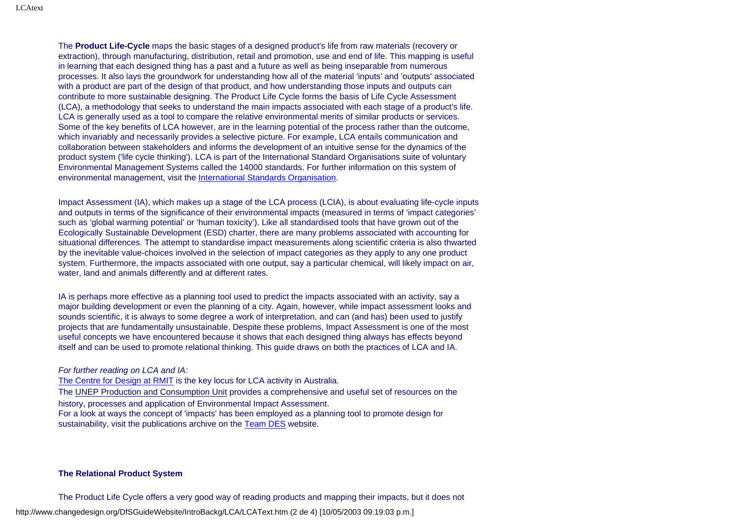The **Product Life-Cycle** maps the basic stages of a designed product's life from raw materials (recovery or extraction), through manufacturing, distribution, retail and promotion, use and end of life. This mapping is useful in learning that each designed thing has a past and a future as well as being inseparable from numerous processes. It also lays the groundwork for understanding how all of the material 'inputs' and 'outputs' associated with a product are part of the design of that product, and how understanding those inputs and outputs can contribute to more sustainable designing. The Product Life Cycle forms the basis of Life Cycle Assessment (LCA), a methodology that seeks to understand the main impacts associated with each stage of a product's life. LCA is generally used as a tool to compare the relative environmental merits of similar products or services. Some of the key benefits of LCA however, are in the learning potential of the process rather than the outcome, which invariably and necessarily provides a selective picture. For example, LCA entails communication and collaboration between stakeholders and informs the development of an intuitive sense for the dynamics of the product system ('life cycle thinking'). LCA is part of the International Standard Organisations suite of voluntary Environmental Management Systems called the 14000 standards. For further information on this system of environmental management, visit the [International Standards Organisation](http://www.iso.ch/iso/en/ISOOnline.openerpage).

Impact Assessment (IA), which makes up a stage of the LCA process (LCIA), is about evaluating life-cycle inputs and outputs in terms of the significance of their environmental impacts (measured in terms of 'impact categories' such as 'global warming potential' or 'human toxicity'). Like all standardised tools that have grown out of the Ecologically Sustainable Development (ESD) charter, there are many problems associated with accounting for situational differences. The attempt to standardise impact measurements along scientific criteria is also thwarted by the inevitable value-choices involved in the selection of impact categories as they apply to any one product system. Furthermore, the impacts associated with one output, say a particular chemical, will likely impact on air, water, land and animals differently and at different rates.

IA is perhaps more effective as a planning tool used to predict the impacts associated with an activity, say a major building development or even the planning of a city. Again, however, while impact assessment looks and sounds scientific, it is always to some degree a work of interpretation, and can (and has) been used to justify projects that are fundamentally unsustainable. Despite these problems, Impact Assessment is one of the most useful concepts we have encountered because it shows that each designed thing always has effects beyond itself and can be used to promote relational thinking. This guide draws on both the practices of LCA and IA.

*For further reading on LCA and IA:* [The Centre for Design at RMIT](http://www.cfd.rmit.edu.au/) is the key locus for LCA activity in Australia. The [UNEP Production and Consumption Unit](http://www.uneptie.org/pc/home.htm) provides a comprehensive and useful set of resources on the history, processes and application of Environmental Impact Assessment. For a look at ways the concept of 'impacts' has been employed as a planning tool to promote design for sustainability, visit the publications archive on the [Team DES](http://www.teamdes.com.au/) website.

#### **The Relational Product System**

The Product Life Cycle offers a very good way of reading products and mapping their impacts, but it does not

http://www.changedesign.org/DfSGuideWebsite/IntroBackg/LCA/LCAText.htm (2 de 4) [10/05/2003 09:19:03 p.m.]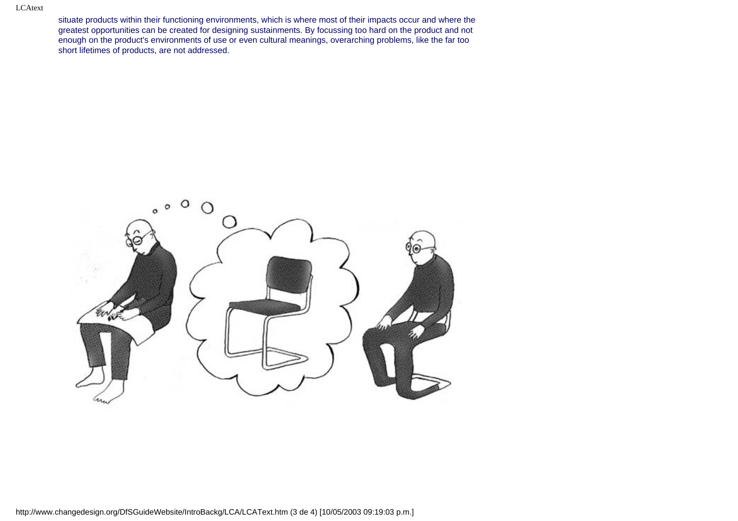#### LCAtext

situate products within their functioning environments, which is where most of their impacts occur and where the greatest opportunities can be created for designing sustainments. By focussing too hard on the product and not enough on the product's environments of use or even cultural meanings, overarching problems, like the far too short lifetimes of products, are not addressed.



http://www.changedesign.org/DfSGuideWebsite/IntroBackg/LCA/LCAText.htm (3 de 4) [10/05/2003 09:19:03 p.m.]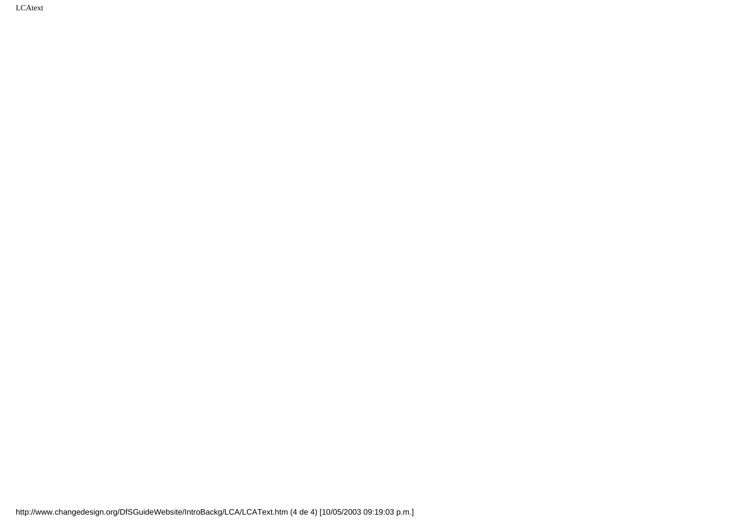LCAtext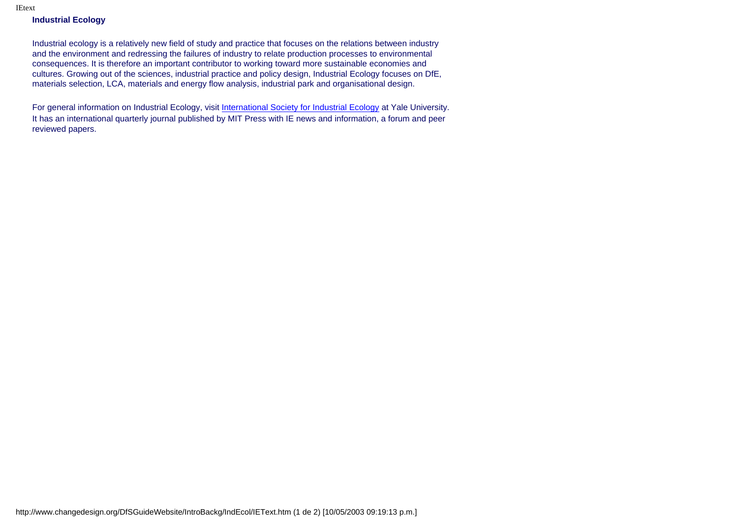#### IEtext

#### **Industrial Ecology**

Industrial ecology is a relatively new field of study and practice that focuses on the relations between industry and the environment and redressing the failures of industry to relate production processes to environmental consequences. It is therefore an important contributor to working toward more sustainable economies and cultures. Growing out of the sciences, industrial practice and policy design, Industrial Ecology focuses on DfE, materials selection, LCA, materials and energy flow analysis, industrial park and organisational design.

For general information on Industrial Ecology, visit [International Society for Industrial Ecology](#page-13-0) at Yale University. It has an international quarterly journal published by MIT Press with IE news and information, a forum and peer reviewed papers.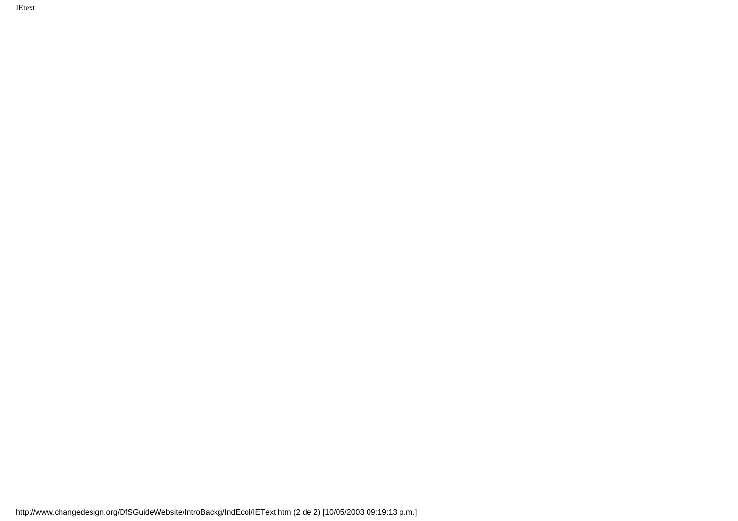IEtext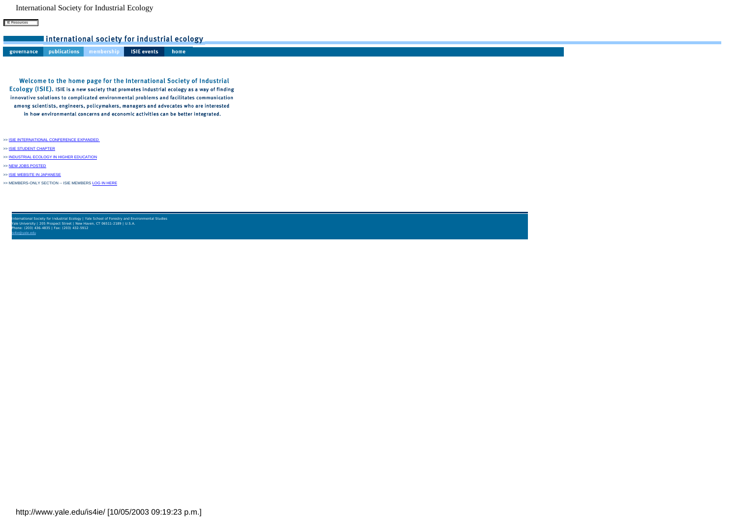<span id="page-13-0"></span>IE Resources

#### International society for industrial ecology

governance publications ISIE events home

Welcome to the home page for the International Society of Industrial Ecology (ISIE). ISIE is a new society that promotes industrial ecology as a way of finding innovative solutions to complicated environmental problems and facilitates communication among scientists, engineers, policymakers, managers and advocates who are interested in how environmental concerns and economic activities can be better integrated.

>> [ISIE INTERNATIONAL CONFERENCE EXPANDED](http://css.snre.umich.edu/isie2003/)

- >> [ISIE STUDENT CHAPTER](http://www.yale.edu/is4ie/students.htm)
- >> [INDUSTRIAL ECOLOGY IN HIGHER EDUCATION](http://css.snre.umich.edu/3_1_IEeducation.htm)
- >> [NEW JOBS POSTED](http://bin.yale.edu/%7Eise3/cgi-bin/jobs.php)
- >> [ISIE WEBSITE IN JAPANESE](http://www.su.rcast.u-tokyo.ac.jp:8004/)

>> MEMBERS-ONLY SECTION -- ISIE MEMBERS [LOG IN HERE](http://bin.yale.edu/%7Eise3/cgi-bin/members/login.php)

International Society for Industrial Ecology | Yale School of Forestry and Environmental Studies<br>Yale University | 205 Prospect Street | New Haven, CT 06511-2189 | U.S.A.<br>Phone: (203) 436-4835 | Fax: (203) 432-5912 Pvale.edu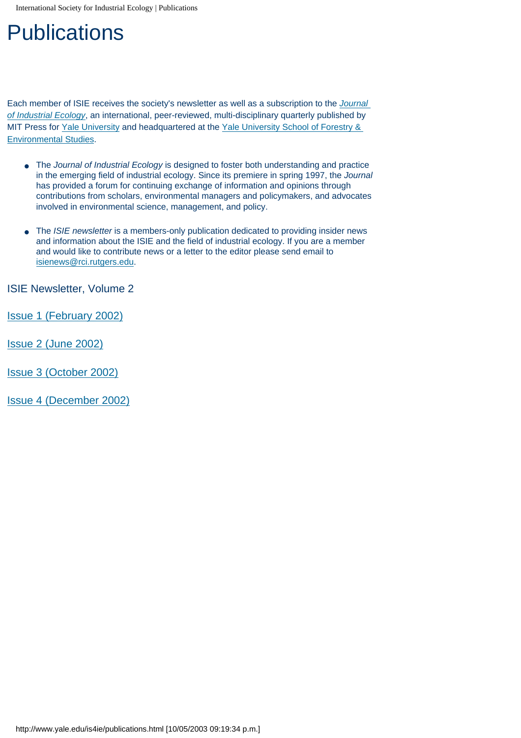## **Publications**

Each member of ISIE receives the society's newsletter as well as a subscription to the *[Journal](http://mitpress.mit.edu/JIE) [of Industrial Ecology](http://mitpress.mit.edu/JIE)*, an international, peer-reviewed, multi-disciplinary quarterly published by MIT Press for [Yale University](http://www.yale.edu/) and headquartered at the [Yale University School of Forestry &](http://www.yale.edu/environment) [Environmental Studies](http://www.yale.edu/environment).

- The *Journal of Industrial Ecology* is designed to foster both understanding and practice in the emerging field of industrial ecology. Since its premiere in spring 1997, the *Journal* has provided a forum for continuing exchange of information and opinions through contributions from scholars, environmental managers and policymakers, and advocates involved in environmental science, management, and policy.
- The *ISIE newsletter* is a members-only publication dedicated to providing insider news and information about the ISIE and the field of industrial ecology. If you are a member and would like to contribute news or a letter to the editor please send email to [isienews@rci.rutgers.edu.](mailto:isienews@rci.rutgers.edu)

ISIE Newsletter, Volume 2

[Issue 1 \(February 2002\)](http://www.yale.edu/is4ie/images/Volume%202,%20Issue%201.pdf)

[Issue 2 \(June 2002\)](http://www.yale.edu/is4ie/images/Volume%202,%20Issue%202.pdf)

[Issue 3 \(October 2002\)](http://www.yale.edu/is4ie/images/v2i3a.pdf)

[Issue 4 \(December 2002\)](#page-15-0)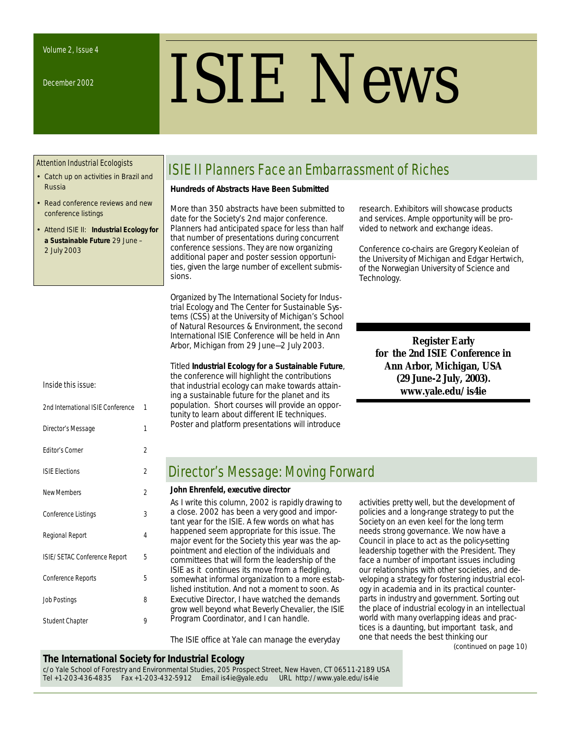<span id="page-15-0"></span>December 2002

# ISIE News

- Catch up on activities in Brazil and Russia
- Read conference reviews and new conference listings
- Attend ISIE II: *Industrial Ecology for a Sustainable Future* 29 June – 2 July 2003

| 2nd International ISIE Conference |  |
|-----------------------------------|--|
| Director's Message                |  |
| <b>Editor's Corner</b>            |  |
| <b>ISIE Elections</b>             |  |
| New Members                       |  |
| Conference Listings               |  |
| Regional Report                   |  |
| ISIE/SETAC Conference Report      |  |
| <b>Conference Reports</b>         |  |
| <b>Job Postings</b>               |  |
| <b>Student Chapter</b>            |  |

Inside this issue:

## Attention Industrial Ecologists<br>Attention Industrial Ecologists<br>Attention Industrial Ecologists<br>Attention Industrial Ecologists<br>Attention Industrial Ecologists

#### **Hundreds of Abstracts Have Been Submitted**

More than 350 abstracts have been submitted to date for the Society's 2nd major conference. Planners had anticipated space for less than half that number of presentations during concurrent conference sessions. They are now organizing additional paper and poster session opportunities, given the large number of excellent submissions.

Organized by The International Society for Industrial Ecology and The Center for Sustainable Systems (CSS) at the University of Michigan's School of Natural Resources & Environment, the second International ISIE Conference will be held in Ann Arbor, Michigan from 29 June—2 July 2003.

Titled *Industrial Ecology for a Sustainable Future*, the conference will highlight the contributions that industrial ecology can make towards attaining a sustainable future for the planet and its population. Short courses will provide an opportunity to learn about different IE techniques. Poster and platform presentations will introduce

research. Exhibitors will showcase products and services. Ample opportunity will be provided to network and exchange ideas.

Conference co-chairs are Gregory Keoleian of the University of Michigan and Edgar Hertwich, of the Norwegian University of Science and Technology.

**Register Early for the 2nd ISIE Conference in Ann Arbor, Michigan, USA (29 June-2 July, 2003). www.yale.edu/is4ie**

## Director's Message: Moving Forward

#### **John Ehrenfeld, executive director**

As I write this column, 2002 is rapidly drawing to a close. 2002 has been a very good and important year for the ISIE. A few words on what has happened seem appropriate for this issue. The major event for the Society this year was the appointment and election of the individuals and committees that will form the leadership of the ISIE as it continues its move from a fledgling, somewhat informal organization to a more established institution. And not a moment to soon. As Executive Director, I have watched the demands grow well beyond what Beverly Chevalier, the ISIE Program Coordinator, and I can handle.

The ISIE office at Yale can manage the everyday

activities pretty well, but the development of policies and a long-range strategy to put the Society on an even keel for the long term needs strong governance. We now have a Council in place to act as the policy-setting leadership together with the President. They face a number of important issues including our relationships with other societies, and developing a strategy for fostering industrial ecology in academia and in its practical counterparts in industry and government. Sorting out the place of industrial ecology in an intellectual world with many overlapping ideas and practices is a daunting, but important task, and one that needs the best thinking our

 *(continued on page 10)*

#### **The International Society for Industrial Ecology**

c/o Yale School of Forestry and Environmental Studies, 205 Prospect Street, New Haven, CT 06511-2189 USA Tel +1-203-436-4835 Fax +1-203-432-5912 Email is4ie@yale.edu URL http://www.yale.edu/is4ie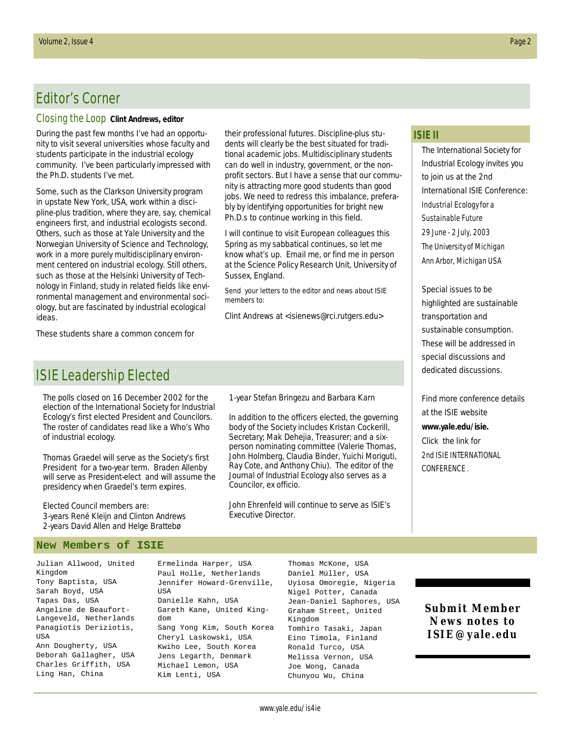## Editor's Corner

#### *Closing the Loop* **Clint Andrews, editor**

During the past few months I've had an opportunity to visit several universities whose faculty and students participate in the industrial ecology community. I've been particularly impressed with the Ph.D. students I've met.

Some, such as the Clarkson University program in upstate New York, USA, work within a discipline-plus tradition, where they are, say, chemical engineers first, and industrial ecologists second. Others, such as those at Yale University and the Norwegian University of Science and Technology, work in a more purely multidisciplinary environment centered on industrial ecology. Still others, such as those at the Helsinki University of Technology in Finland, study in related fields like environmental management and environmental sociology, but are fascinated by industrial ecological ideas.

These students share a common concern for

their professional futures. Discipline-plus students will clearly be the best situated for traditional academic jobs. Multidisciplinary students can do well in industry, government, or the nonprofit sectors. But I have a sense that our community is attracting more good students than good jobs. We need to redress this imbalance, preferably by identifying opportunities for bright new Ph.D.s to continue working in this field.

I will continue to visit European colleagues this Spring as my sabbatical continues, so let me know what's up. Email me, or find me in person at the Science Policy Research Unit, University of Sussex, England.

*Send your letters to the editor and news about ISIE members to:*

*Clint Andrews at <isienews@rci.rutgers.edu>*

1-year Stefan Bringezu and Barbara Karn

Councilor, ex officio.

Executive Director.

In addition to the officers elected, the governing body of the Society includes Kristan Cockerill, Secretary; Mak Dehejia, Treasurer; and a sixperson nominating committee (Valerie Thomas, John Holmberg, Claudia Binder, Yuichi Moriguti, Ray Cote, and Anthony Chiu). The editor of the Journal of Industrial Ecology also serves as a

John Ehrenfeld will continue to serve as ISIE's

## ISIE Leadership Elected

The polls closed on 16 December 2002 for the election of the International Society for Industrial Ecology's first elected President and Councilors. The roster of candidates read like a Who's Who of industrial ecology.

Thomas Graedel will serve as the Society's first President for a two-year term. Braden Allenby will serve as President-elect and will assume the presidency when Graedel's term expires.

Elected Council members are: 3-years René Kleijn and Clinton Andrews 2-years David Allen and Helge Brattebø

#### **New Members of ISIE**

Julian Allwood, United Kingdom Tony Baptista, USA Sarah Boyd, USA Tapas Das, USA Angeline de Beaufort-Langeveld, Netherlands Panagiotis Deriziotis, USA Ann Dougherty, USA Deborah Gallagher, USA Charles Griffith, USA Ling Han, China

Ermelinda Harper, USA Paul Holle, Netherlands Jennifer Howard-Grenville, **TISA** Danielle Kahn, USA Gareth Kane, United Kingdom Sang Yong Kim, South Korea Cheryl Laskowski, USA Kwiho Lee, South Korea Jens Legarth, Denmark Michael Lemon, USA Kim Lenti, USA

Thomas McKone, USA Daniel Müller, USA Uyiosa Omoregie, Nigeria Nigel Potter, Canada Jean-Daniel Saphores, USA Graham Street, United Kingdom Tomhiro Tasaki, Japan Eino Timola, Finland Ronald Turco, USA Melissa Vernon, USA Joe Wong, Canada Chunyou Wu, China

**Submit Member News notes to ISIE@yale.edu**

#### **ISIE II**

The International Society for Industrial Ecology invites you to join us at the 2nd International ISIE Conference: Industrial Ecology for a Sustainable Future 29 June - 2 July, 2003 The University of Michigan Ann Arbor, Michigan USA

Special issues to be highlighted are sustainable transportation and sustainable consumption. These will be addressed in special discussions and dedicated discussions.

Find more conference details at the ISIE website

**www.yale.edu/isie.**

Click the link for 2nd ISIE INTERNATIONAL CONFERENCE .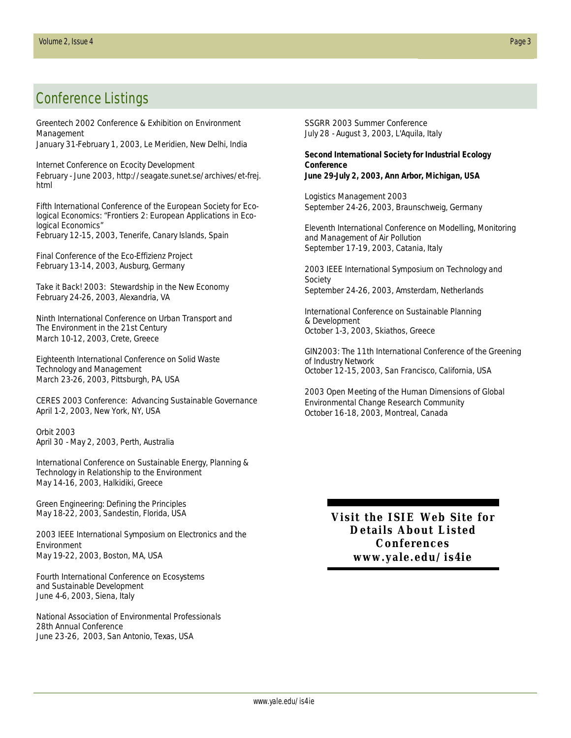## Conference Listings

*Greentech 2002 Conference & Exhibition on Environment Management* January 31-February 1, 2003, Le Meridien, New Delhi, India

*Internet Conference on Ecocity Development* February - June 2003, http://seagate.sunet.se/archives/et-frej. html

*Fifth International Conference of the European Society for Ecological Economics: "Frontiers 2: European Applications in Ecological Economics"* February 12-15, 2003, Tenerife, Canary Islands, Spain

*Final Conference of the Eco-Effizienz Project* February 13-14, 2003, Ausburg, Germany

*Take it Back! 2003: Stewardship in the New Economy* February 24-26, 2003, Alexandria, VA

*Ninth International Conference on Urban Transport and The Environment in the 21st Century* March 10-12, 2003, Crete, Greece

*Eighteenth International Conference on Solid Waste Technology and Management* March 23-26, 2003, Pittsburgh, PA, USA

*CERES 2003 Conference: Advancing Sustainable Governance* April 1-2, 2003, New York, NY, USA

*Orbit 2003* April 30 - May 2, 2003, Perth, Australia

*International Conference on Sustainable Energy, Planning & Technology in Relationship to the Environment* May 14-16, 2003, Halkidiki, Greece

*Green Engineering: Defining the Principles* May 18-22, 2003, Sandestin, Florida, USA

*2003 IEEE International Symposium on Electronics and the Environment*  May 19-22, 2003, Boston, MA, USA

*Fourth International Conference on Ecosystems and Sustainable Development* June 4-6, 2003, Siena, Italy

*National Association of Environmental Professionals 28th Annual Conference* June 23-26, 2003, San Antonio, Texas, USA

*SSGRR 2003 Summer Conference* July 28 - August 3, 2003, L'Aquila, Italy

**Second International Society for Industrial Ecology Conference June 29-July 2, 2003, Ann Arbor, Michigan, USA**

*Logistics Management 2003* September 24-26, 2003, Braunschweig, Germany

*Eleventh International Conference on Modelling, Monitoring and Management of Air Pollution* September 17-19, 2003, Catania, Italy

*2003 IEEE International Symposium on Technology and Society* September 24-26, 2003, Amsterdam, Netherlands

*International Conference on Sustainable Planning & Development* October 1-3, 2003, Skiathos, Greece

*GIN2003: The 11th International Conference of the Greening of Industry Network* October 12-15, 2003, San Francisco, California, USA

*2003 Open Meeting of the Human Dimensions of Global Environmental Change Research Community* October 16-18, 2003, Montreal, Canada

> **Visit the ISIE Web Site for Details About Listed Conferences www.yale.edu/is4ie**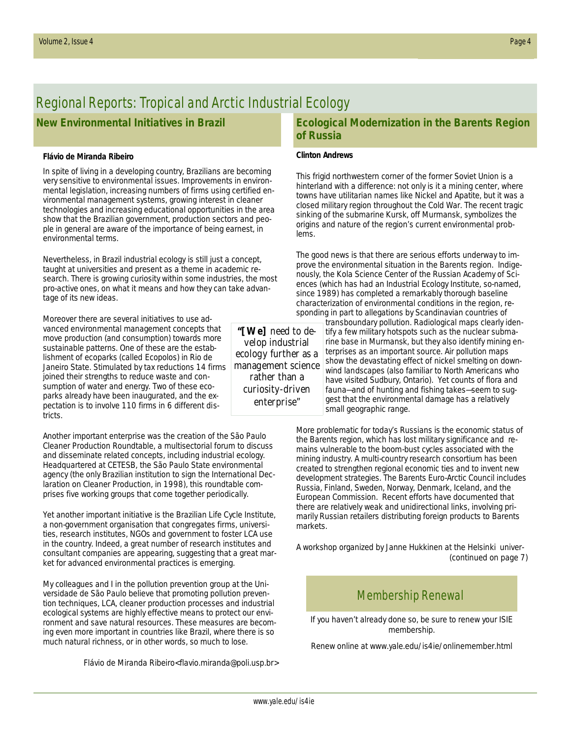## Regional Reports: Tropical and Arctic Industrial Ecology

**New Environmental Initiatives in Brazil**

#### **Flávio de Miranda Ribeiro**

In spite of living in a developing country, Brazilians are becoming very sensitive to environmental issues. Improvements in environmental legislation, increasing numbers of firms using certified environmental management systems, growing interest in cleaner technologies and increasing educational opportunities in the area show that the Brazilian government, production sectors and people in general are aware of the importance of being earnest, in environmental terms.

Nevertheless, in Brazil industrial ecology is still just a concept, taught at universities and present as a theme in academic research. There is growing curiosity within some industries, the most *pro-active* ones, on what it means and how they can take advantage of its new ideas.

Moreover there are several initiatives to use advanced environmental management concepts that move production (and consumption) towards more sustainable patterns. One of these are the establishment of ecoparks (called *Ecopolos*) in Rio de Janeiro State. Stimulated by tax reductions 14 firms joined their strengths to reduce waste and consumption of water and energy. Two of these ecoparks already have been inaugurated, and the expectation is to involve 110 firms in 6 different districts.

Another important enterprise was the creation of the São Paulo Cleaner Production Roundtable, a multisectorial forum to discuss and disseminate related concepts, including industrial ecology. Headquartered at CETESB, the São Paulo State environmental agency (the only Brazilian institution to sign the International Declaration on Cleaner Production, in 1998), this roundtable comprises five working groups that come together periodically.

Yet another important initiative is the Brazilian Life Cycle Institute, a non-government organisation that congregates firms, universities, research institutes, NGOs and government to foster LCA use in the country. Indeed, a great number of research institutes and consultant companies are appearing, suggesting that a great market for advanced environmental practices is emerging.

My colleagues and I in the pollution prevention group at the Universidade de São Paulo believe that promoting pollution prevention techniques, LCA, cleaner production processes and industrial ecological systems are highly effective means to protect our environment and save natural resources. These measures are becoming even more important in countries like Brazil, where there is so much natural richness, or in other words, so much to lose.

*Flávio de Miranda Ribeiro<flavio.miranda@poli.usp.br>*

**"[We]** need to develop industrial ecology further as a management science rather than a curiosity-driven enterprise"

#### **Ecological Modernization in the Barents Region of Russia**

#### **Clinton Andrews**

This frigid northwestern corner of the former Soviet Union is a hinterland with a difference: not only is it a mining center, where towns have utilitarian names like *Nickel* and *Apatite*, but it was a closed military region throughout the Cold War. The recent tragic sinking of the submarine *Kursk*, off Murmansk, symbolizes the origins and nature of the region's current environmental problems.

The good news is that there are serious efforts underway to improve the environmental situation in the Barents region. Indigenously, the Kola Science Center of the Russian Academy of Sciences (which has had an Industrial Ecology Institute, so-named, since 1989) has completed a remarkably thorough baseline characterization of environmental conditions in the region, responding in part to allegations by Scandinavian countries of

transboundary pollution. Radiological maps clearly identify a few military hotspots such as the nuclear submarine base in Murmansk, but they also identify mining enterprises as an important source. Air pollution maps show the devastating effect of nickel smelting on downwind landscapes (also familiar to North Americans who have visited Sudbury, Ontario). Yet counts of flora and fauna—and of hunting and fishing takes—seem to suggest that the environmental damage has a relatively small geographic range.

More problematic for today's Russians is the economic status of the Barents region, which has lost military significance and remains vulnerable to the boom-bust cycles associated with the mining industry. A multi-country research consortium has been created to strengthen regional economic ties and to invent new development strategies. The Barents Euro-Arctic Council includes Russia, Finland, Sweden, Norway, Denmark, Iceland, and the European Commission. Recent efforts have documented that there are relatively weak and unidirectional links, involving primarily Russian retailers distributing foreign products to Barents markets.

A workshop organized by Janne Hukkinen at the Helsinki univer- *(continued on page 7)*

## Membership Renewal

If you haven't already done so, be sure to renew your ISIE membership.

Renew online at www.yale.edu/is4ie/onlinemember.html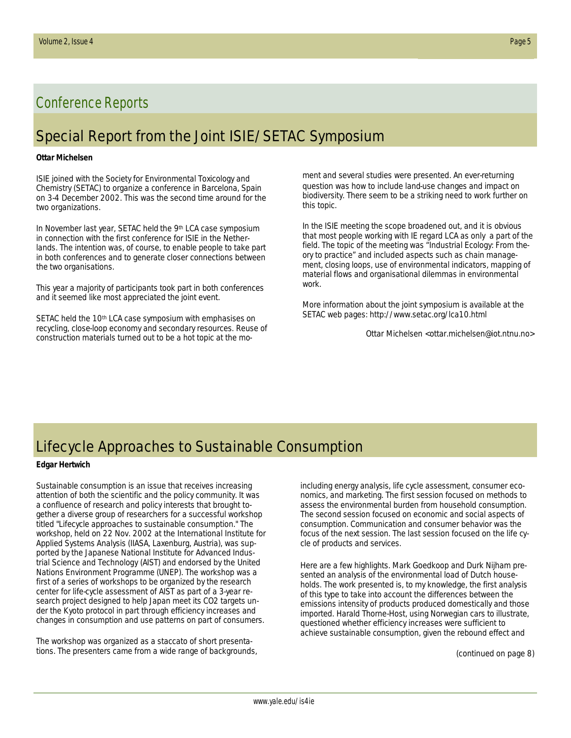## Special Report from the Joint ISIE/SETAC Symposium

#### **Ottar Michelsen**

ISIE joined with the Society for Environmental Toxicology and Chemistry (SETAC) to organize a conference in Barcelona, Spain on 3-4 December 2002. This was the second time around for the two organizations.

In November last year, SETAC held the 9th LCA case symposium in connection with the first conference for ISIE in the Netherlands. The intention was, of course, to enable people to take part in both conferences and to generate closer connections between the two organisations.

This year a majority of participants took part in both conferences and it seemed like most appreciated the joint event.

SETAC held the 10<sup>th</sup> LCA case symposium with emphasises on recycling, close-loop economy and secondary resources. Reuse of construction materials turned out to be a hot topic at the moment and several studies were presented. An ever-returning question was how to include land-use changes and impact on biodiversity. There seem to be a striking need to work further on this topic.

In the ISIE meeting the scope broadened out, and it is obvious that most people working with IE regard LCA as only a part of the field. The topic of the meeting was "Industrial Ecology: From theory to practice" and included aspects such as chain management, closing loops, use of environmental indicators, mapping of material flows and organisational dilemmas in environmental work.

More information about the joint symposium is available at the SETAC web pages: http://www.setac.org/lca10.html

*Ottar Michelsen <ottar.michelsen@iot.ntnu.no>*

## Lifecycle Approaches to Sustainable Consumption

#### **Edgar Hertwich**

Sustainable consumption is an issue that receives increasing attention of both the scientific and the policy community. It was a confluence of research and policy interests that brought together a diverse group of researchers for a successful workshop titled "Lifecycle approaches to sustainable consumption." The workshop, held on 22 Nov. 2002 at the *International Institute for Applied Systems Analysis* (IIASA, Laxenburg, Austria), was supported by the Japanese *National Institute for Advanced Industrial Science and Technology* (AIST) and endorsed by the *United Nations Environment Programme* (UNEP). The workshop was a first of a series of workshops to be organized by the research center for life-cycle assessment of AIST as part of a 3-year research project designed to help Japan meet its CO2 targets under the Kyoto protocol in part through efficiency increases and changes in consumption and use patterns on part of consumers.

The workshop was organized as a staccato of short presentations. The presenters came from a wide range of backgrounds, including energy analysis, life cycle assessment, consumer economics, and marketing. The first session focused on methods to assess the environmental burden from household consumption. The second session focused on economic and social aspects of consumption. Communication and consumer behavior was the focus of the next session. The last session focused on the life cycle of products and services.

Here are a few highlights. Mark Goedkoop and Durk Nijham presented an analysis of the environmental load of Dutch households. The work presented is, to my knowledge, the first analysis of this type to take into account the differences between the emissions intensity of products produced domestically and those imported. Harald Thorne-Host, using Norwegian cars to illustrate, questioned whether efficiency increases were sufficient to achieve sustainable consumption, given the rebound effect and

*(continued on page 8)*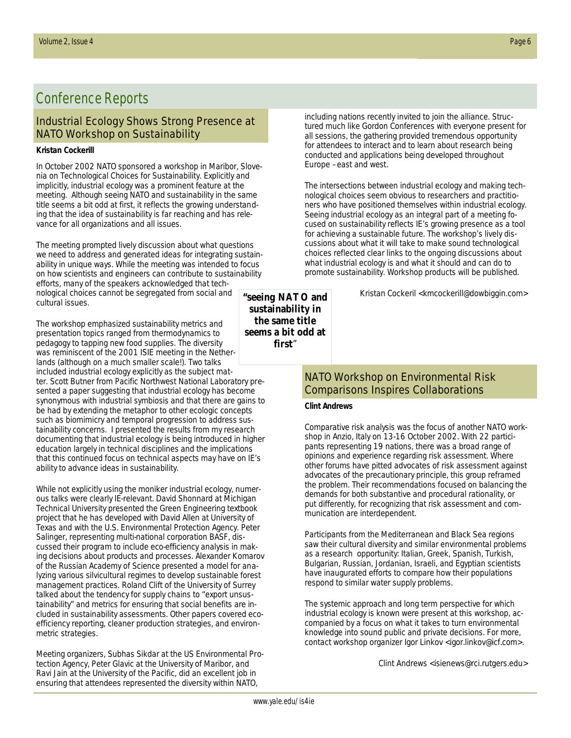#### Industrial Ecology Shows Strong Presence at NATO Workshop on Sustainability

#### **Kristan Cockerill**

In October 2002 NATO sponsored a workshop in Maribor, Slovenia on Technological Choices for Sustainability. Explicitly and implicitly, industrial ecology was a prominent feature at the meeting. Although seeing NATO and sustainability in the same title seems a bit odd at first, it reflects the growing understanding that the idea of sustainability is far reaching and has relevance for all organizations and all issues.

The meeting prompted lively discussion about what questions we need to address and generated ideas for integrating sustainability in unique ways. While the meeting was intended to focus on how scientists and engineers can contribute to sustainability efforts, many of the speakers acknowledged that tech-

nological choices cannot be segregated from social and cultural issues.

The workshop emphasized sustainability metrics and presentation topics ranged from thermodynamics to pedagogy to tapping new food supplies. The diversity was reminiscent of the 2001 ISIE meeting in the Netherlands (although on a much smaller scale!). Two talks included industrial ecology explicitly as the subject matter. Scott Butner from Pacific Northwest National Laboratory presented a paper suggesting that industrial ecology has become synonymous with industrial symbiosis and that there are gains to be had by extending the metaphor to other ecologic concepts such as biomimicry and temporal progression to address sustainability concerns. I presented the results from my research documenting that industrial ecology is being introduced in higher education largely in technical disciplines and the implications that this continued focus on technical aspects may have on IE's ability to advance ideas in sustainability.

While not explicitly using the moniker industrial ecology, numerous talks were clearly IE-relevant. David Shonnard at Michigan Technical University presented the Green Engineering textbook project that he has developed with David Allen at University of Texas and with the U.S. Environmental Protection Agency. Peter Salinger, representing multi-national corporation BASF, discussed their program to include eco-efficiency analysis in making decisions about products and processes. Alexander Komarov of the Russian Academy of Science presented a model for analyzing various silvicultural regimes to develop sustainable forest management practices. Roland Clift of the University of Surrey talked about the tendency for supply chains to "export unsustainability" and metrics for ensuring that social benefits are included in sustainability assessments. Other papers covered ecoefficiency reporting, cleaner production strategies, and environmetric strategies.

Meeting organizers, Subhas Sikdar at the US Environmental Protection Agency, Peter Glavic at the University of Maribor, and Ravi Jain at the University of the Pacific, did an excellent job in ensuring that attendees represented the diversity within NATO,

including nations recently invited to join the alliance. Structured much like Gordon Conferences with everyone present for all sessions, the gathering provided tremendous opportunity for attendees to interact and to learn about research being conducted and applications being developed throughout Europe –east and west.

The intersections between industrial ecology and making technological choices seem obvious to researchers and practitioners who have positioned themselves within industrial ecology. Seeing industrial ecology as an integral part of a meeting focused on sustainability reflects IE's growing presence as a tool for achieving a sustainable future. The workshop's lively discussions about what it will take to make sound technological choices reflected clear links to the ongoing discussions about what industrial ecology is and what it should and can do to promote sustainability. Workshop products will be published.

*Kristan Cockeril <kmcockerill@dowbiggin.com>*

#### **"seeing NATO and sustainability in the same title seems a bit odd at first**"

#### NATO Workshop on Environmental Risk Comparisons Inspires Collaborations

#### **Clint Andrews**

Comparative risk analysis was the focus of another NATO workshop in Anzio, Italy on 13-16 October 2002. With 22 participants representing 19 nations, there was a broad range of opinions and experience regarding risk assessment. Where other forums have pitted advocates of risk assessment against advocates of the precautionary principle, this group reframed the problem. Their recommendations focused on balancing the demands for both substantive and procedural rationality, or put differently, for recognizing that risk assessment and communication are interdependent.

Participants from the Mediterranean and Black Sea regions saw their cultural diversity and similar environmental problems as a research opportunity: Italian, Greek, Spanish, Turkish, Bulgarian, Russian, Jordanian, Israeli, and Egyptian scientists have inaugurated efforts to compare how their populations respond to similar water supply problems.

The systemic approach and long term perspective for which industrial ecology is known were present at this workshop, accompanied by a focus on what it takes to turn environmental knowledge into sound public and private decisions. For more, contact workshop organizer Igor Linkov <igor.linkov@icf.com>.

*Clint Andrews <isienews@rci.rutgers.edu>*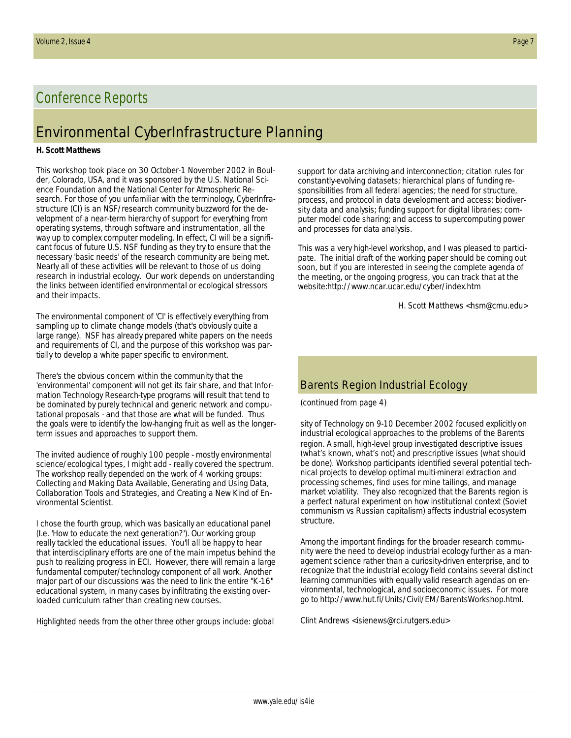## Environmental CyberInfrastructure Planning

#### **H. Scott Matthews**

This workshop took place on 30 October-1 November 2002 in Boulder, Colorado, USA, and it was sponsored by the U.S. National Science Foundation and the National Center for Atmospheric Research. For those of you unfamiliar with the terminology, CyberInfrastructure (CI) is an NSF/research community buzzword for the development of a near-term hierarchy of support for everything from operating systems, through software and instrumentation, all the way up to complex computer modeling. In effect, CI will be a significant focus of future U.S. NSF funding as they try to ensure that the necessary 'basic needs' of the research community are being met. Nearly all of these activities will be relevant to those of us doing research in industrial ecology. Our work depends on understanding the links between identified environmental or ecological stressors and their impacts.

The environmental component of 'CI' is effectively everything from sampling up to climate change models (that's obviously quite a large range). NSF has already prepared white papers on the needs and requirements of CI, and the purpose of this workshop was partially to develop a white paper specific to environment.

There's the obvious concern within the community that the 'environmental' component will not get its fair share, and that Information Technology Research-type programs will result that tend to be dominated by purely technical and generic network and computational proposals - and that those are what will be funded. Thus the goals were to identify the low-hanging fruit as well as the longerterm issues and approaches to support them.

The invited audience of roughly 100 people - mostly environmental science/ecological types, I might add - really covered the spectrum. The workshop really depended on the work of 4 working groups: Collecting and Making Data Available, Generating and Using Data, Collaboration Tools and Strategies, and Creating a New Kind of Environmental Scientist.

I chose the fourth group, which was basically an educational panel (I.e. 'How to educate the next generation?'). Our working group really tackled the educational issues. You'll all be happy to hear that interdisciplinary efforts are one of the main impetus behind the push to realizing progress in ECI. However, there will remain a large fundamental computer/technology component of all work. Another major part of our discussions was the need to link the entire "K-16" educational system, in many cases by infiltrating the existing overloaded curriculum rather than creating new courses.

Highlighted needs from the other three other groups include: global

support for data archiving and interconnection; citation rules for constantly-evolving datasets; hierarchical plans of funding responsibilities from all federal agencies; the need for structure, process, and protocol in data development and access; biodiversity data and analysis; funding support for digital libraries; computer model code sharing; and access to supercomputing power and processes for data analysis.

This was a very high-level workshop, and I was pleased to participate. The initial draft of the working paper should be coming out soon, but if you are interested in seeing the complete agenda of the meeting, or the ongoing progress, you can track that at the website:http://www.ncar.ucar.edu/cyber/index.htm

*H. Scott Matthews <hsm@cmu.edu>*

#### Barents Region Industrial Ecology

*(continued from page 4)*

sity of Technology on 9-10 December 2002 focused explicitly on industrial ecological approaches to the problems of the Barents region. A small, high-level group investigated descriptive issues (what's known, what's not) and prescriptive issues (what should be done). Workshop participants identified several potential technical projects to develop optimal multi-mineral extraction and processing schemes, find uses for mine tailings, and manage market volatility. They also recognized that the Barents region is a perfect natural experiment on how institutional context (Soviet communism vs Russian capitalism) affects industrial ecosystem structure.

Among the important findings for the broader research community were the need to develop industrial ecology further as a management science rather than a curiosity-driven enterprise, and to recognize that the industrial ecology field contains several distinct learning communities with equally valid research agendas on environmental, technological, and socioeconomic issues. For more go to http://www.hut.fi/Units/Civil/EM/BarentsWorkshop.html.

*Clint Andrews <isienews@rci.rutgers.edu>*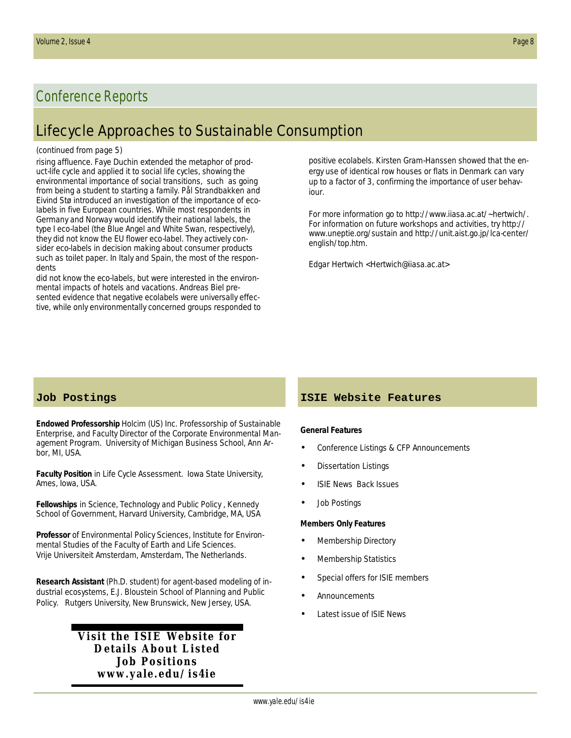## Lifecycle Approaches to Sustainable Consumption

#### *(continued from page 5)*

rising affluence. Faye Duchin extended the metaphor of product-life cycle and applied it to social life cycles, showing the environmental importance of social transitions, such as going from being a student to starting a family. Pål Strandbakken and Eivind Stø introduced an investigation of the importance of ecolabels in five European countries. While most respondents in Germany and Norway would identify their national labels, the type I eco-label (the Blue Angel and White Swan, respectively), they did not know the EU flower eco-label. They actively consider eco-labels in decision making about consumer products such as toilet paper. In Italy and Spain, the most of the respondents

did not know the eco-labels, but were interested in the environmental impacts of hotels and vacations. Andreas Biel presented evidence that negative ecolabels were universally effective, while only environmentally concerned groups responded to positive ecolabels. Kirsten Gram-Hanssen showed that the energy use of identical row houses or flats in Denmark can vary up to a factor of 3, confirming the importance of user behaviour.

For more information go to http://www.iiasa.ac.at/~hertwich/. For information on future workshops and activities, try http:// www.uneptie.org/sustain and http://unit.aist.go.jp/lca-center/ english/top.htm.

*Edgar Hertwich <Hertwich@iiasa.ac.at>*

#### **Job Postings**

**Endowed Professorship** Holcim (US) Inc. Professorship of Sustainable Enterprise, and Faculty Director of the Corporate Environmental Management Program. University of Michigan Business School, Ann Arbor, MI, USA.

**Faculty Position** in Life Cycle Assessment. Iowa State University, Ames, Iowa, USA.

**Fellowships** in Science, Technology and Public Policy , Kennedy School of Government, Harvard University, Cambridge, MA, USA

**Professor** of Environmental Policy Sciences, Institute for Environmental Studies of the Faculty of Earth and Life Sciences. Vrije Universiteit Amsterdam, Amsterdam, The Netherlands.

**Research Assistant** (Ph.D. student) for agent-based modeling of industrial ecosystems, E.J. Bloustein School of Planning and Public Policy. Rutgers University, New Brunswick, New Jersey, USA.

> **Visit the ISIE Website for Details About Listed Job Positions www.yale.edu/is4ie**

#### **ISIE Website Features**

#### *General Features*

- Conference Listings & CFP Announcements
- Dissertation Listings
- *ISIE News* Back Issues
- Job Postings

#### *Members Only Features*

- Membership Directory
- **Membership Statistics**
- Special offers for ISIE members
- **Announcements**
- Latest issue of *ISIE News*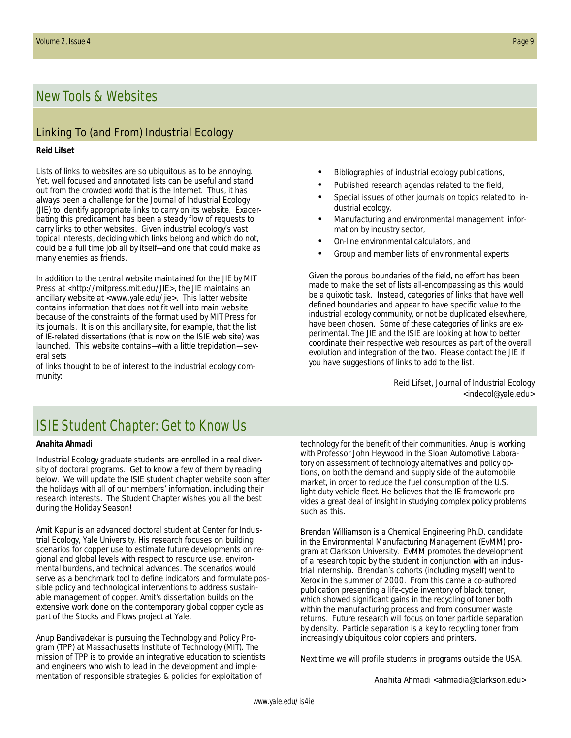## New Tools & Websites

#### Linking To (and From) Industrial Ecology

#### **Reid Lifset**

Lists of links to websites are so ubiquitous as to be annoying. Yet, well focused and annotated lists can be useful and stand out from the crowded world that is the Internet. Thus, it has always been a challenge for the *Journal of Industrial Ecology* (*JIE*) to identify appropriate links to carry on its website. Exacerbating this predicament has been a steady flow of requests to carry links to other websites. Given industrial ecology's vast topical interests, deciding which links belong and which do not, could be a full time job all by itself—and one that could make as many enemies as friends.

In addition to the central website maintained for the *JIE* by MIT Press at <http://mitpress.mit.edu/JIE>, the *JIE* maintains an ancillary website at <www.yale.edu/jie>. This latter website contains information that does not fit well into main website because of the constraints of the format used by MIT Press for its journals. It is on this ancillary site, for example, that the list of IE-related dissertations (that is now on the ISIE web site) was launched. This website contains—with a little trepidation— several sets

of links thought to be of interest to the industrial ecology community:

- Bibliographies of industrial ecology publications,
- Published research agendas related to the field,
- Special issues of other journals on topics related to industrial ecology,
- Manufacturing and environmental management information by industry sector,
- On-line environmental calculators, and
- Group and member lists of environmental experts

Given the porous boundaries of the field, no effort has been made to make the set of lists all-encompassing as this would be a quixotic task. Instead, categories of links that have well defined boundaries and appear to have specific value to the industrial ecology community, or not be duplicated elsewhere, have been chosen. Some of these categories of links are experimental. The *JIE* and the ISIE are looking at how to better coordinate their respective web resources as part of the overall evolution and integration of the two. Please contact the *JIE* if you have suggestions of links to add to the list.

> Reid Lifset, Journal of Industrial Ecology <indecol@yale.edu>

## ISIE Student Chapter: Get to Know Us

#### **Anahita Ahmadi**

Industrial Ecology graduate students are enrolled in a real diversity of doctoral programs. Get to know a few of them by reading below. We will update the ISIE student chapter website soon after the holidays with all of our members' information, including their research interests. The Student Chapter wishes you all the best during the Holiday Season!

Amit Kapur is an advanced doctoral student at Center for Industrial Ecology, Yale University. His research focuses on building scenarios for copper use to estimate future developments on regional and global levels with respect to resource use, environmental burdens, and technical advances. The scenarios would serve as a benchmark tool to define indicators and formulate possible policy and technological interventions to address sustainable management of copper. Amit's dissertation builds on the extensive work done on the contemporary global copper cycle as part of the Stocks and Flows project at Yale.

Anup Bandivadekar is pursuing the Technology and Policy Program (TPP) at Massachusetts Institute of Technology (MIT). The mission of TPP is to provide an integrative education to scientists and engineers who wish to lead in the development and implementation of responsible strategies & policies for exploitation of

technology for the benefit of their communities. Anup is working with Professor John Heywood in the Sloan Automotive Laboratory on assessment of technology alternatives and policy options, on both the demand and supply side of the automobile market, in order to reduce the fuel consumption of the U.S. light-duty vehicle fleet. He believes that the IE framework provides a great deal of insight in studying complex policy problems such as this.

Brendan Williamson is a Chemical Engineering Ph.D. candidate in the Environmental Manufacturing Management (EvMM) program at Clarkson University. EvMM promotes the development of a research topic by the student in conjunction with an industrial internship. Brendan's cohorts (including myself) went to Xerox in the summer of 2000. From this came a co-authored publication presenting a life-cycle inventory of black toner, which showed significant gains in the recycling of toner both within the manufacturing process and from consumer waste returns. Future research will focus on toner particle separation by density. Particle separation is a key to recycling toner from increasingly ubiquitous color copiers and printers.

Next time we will profile students in programs outside the USA.

 *Anahita Ahmadi <ahmadia@clarkson.edu>*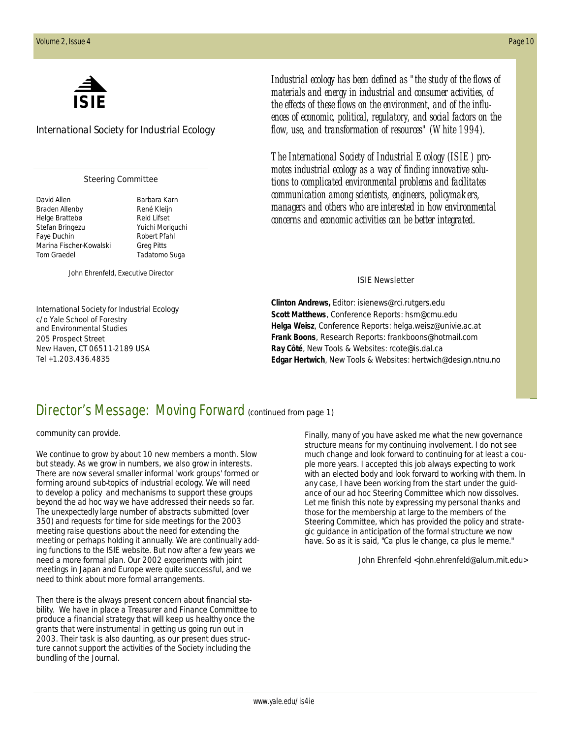



#### International Society for Industrial Ecology

#### Steering Committee

| David Allen         |
|---------------------|
| Braden Allenby      |
| Helge Brattebø      |
| Stefan Bringezu     |
| <b>Faye Duchin</b>  |
| Marina Fischer-Kowa |
| <b>Tom Graedel</b>  |
|                     |

Barbara Karn René Kleijn Reid Lifset Yuichi Moriguchi Robert Pfahl Iski Greg Pitts Tadatomo Suga

John Ehrenfeld, Executive Director

International Society for Industrial Ecology c/o Yale School of Forestry and Environmental Studies 205 Prospect Street New Haven, CT 06511-2189 USA Tel +1.203.436.4835

*Industrial ecology has been defined as "the study of the flows of materials and energy in industrial and consumer activities, of the effects of these flows on the environment, and of the influences of economic, political, regulatory, and social factors on the flow, use, and transformation of resources" (White 1994).*

*The International Society of Industrial Ecology (ISIE) promotes industrial ecology as a way of finding innovative solutions to complicated environmental problems and facilitates communication among scientists, engineers, policymakers, managers and others who are interested in how environmental concerns and economic activities can be better integrated.*

#### ISIE Newsletter

**Clinton Andrews,** Editor: isienews@rci.rutgers.edu **Scott Matthews**, Conference Reports: hsm@cmu.edu **Helga Weisz**, Conference Reports: helga.weisz@univie.ac.at **Frank Boons**, Research Reports: frankboons@hotmail.com **Ray Côté**, New Tools & Websites: rcote@is.dal.ca **Edgar Hertwich**, New Tools & Websites: hertwich@design.ntnu.no

## Director's Message: Moving Forward *(continued from page 1)*

community can provide.

We continue to grow by about 10 new members a month. Slow but steady. As we grow in numbers, we also grow in interests. There are now several smaller informal 'work groups' formed or forming around sub-topics of industrial ecology. We will need to develop a policy and mechanisms to support these groups beyond the ad hoc way we have addressed their needs so far. The unexpectedly large number of abstracts submitted (over 350) and requests for time for side meetings for the 2003 meeting raise questions about the need for extending the meeting or perhaps holding it annually. We are continually adding functions to the ISIE website. But now after a few years we need a more formal plan. Our 2002 experiments with joint meetings in Japan and Europe were quite successful, and we need to think about more formal arrangements.

Then there is the always present concern about financial stability. We have in place a Treasurer and Finance Committee to produce a financial strategy that will keep us healthy once the grants that were instrumental in getting us going run out in 2003. Their task is also daunting, as our present dues structure cannot support the activities of the Society including the bundling of the *Journal*.

Finally, many of you have asked me what the new governance structure means for my continuing involvement. I do not see much change and look forward to continuing for at least a couple more years. I accepted this job always expecting to work with an elected body and look forward to working with them. In any case, I have been working from the start under the guidance of our ad hoc Steering Committee which now dissolves. Let me finish this note by expressing my personal thanks and those for the membership at large to the members of the Steering Committee, which has provided the policy and strategic guidance in anticipation of the formal structure we now have. So as it is said, "Ca plus le change, ca plus le meme."

John Ehrenfeld <john.ehrenfeld@alum.mit.edu>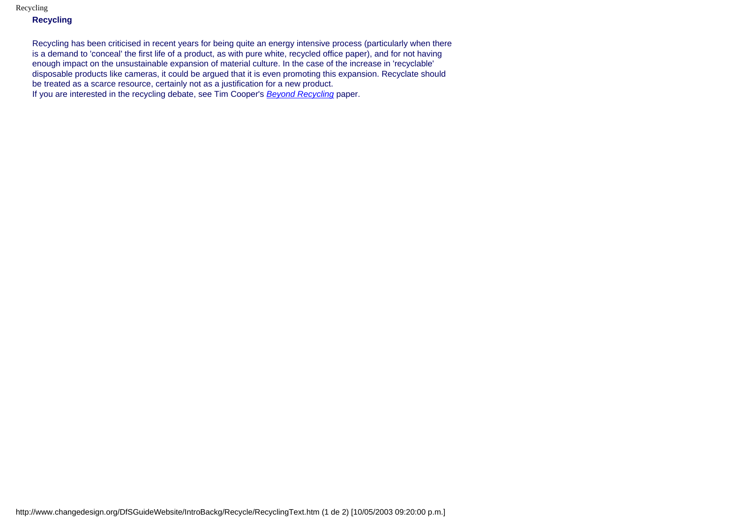#### Recycling

#### **Recycling**

Recycling has been criticised in recent years for being quite an energy intensive process (particularly when there is a demand to 'conceal' the first life of a product, as with pure white, recycled office paper), and for not having enough impact on the unsustainable expansion of material culture. In the case of the increase in 'recyclable' disposable products like cameras, it could be argued that it is even promoting this expansion. Recyclate should be treated as a scarce resource, certainly not as a justification for a new product. If you are interested in the recycling debate, see Tim Cooper's *[Beyond Recycling](#page-27-0)* paper.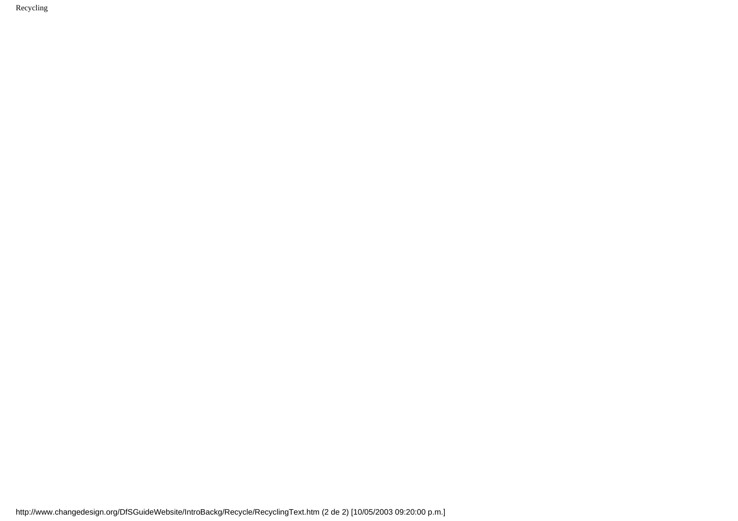Recycling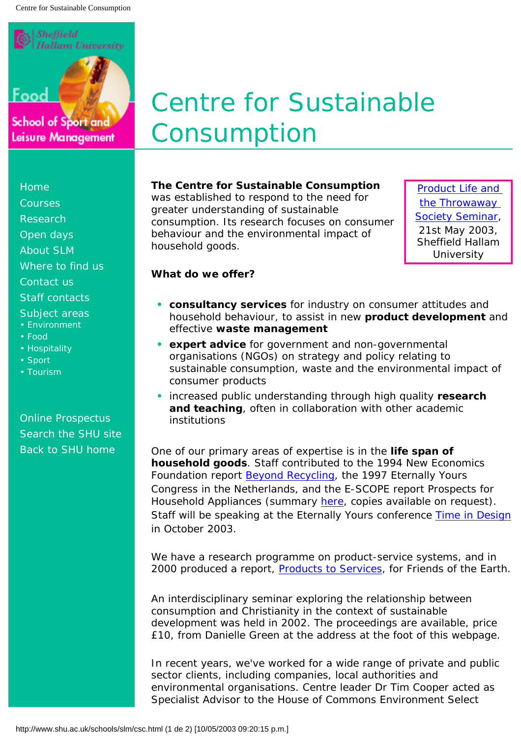<span id="page-27-0"></span>Centre for Sustainable Consumption

**Sheffield Hallam University** 

## Food

## **School of Sport and** Leisure Management

- [Home](http://www.shu.ac.uk/schools/slm/index.html)
- **[Courses](http://www.shu.ac.uk/schools/slm/courses.html)**
- [Research](http://www.shu.ac.uk/schools/slm/research.html)
- [Open days](http://www.shu.ac.uk/schools/slm/open.html)
- [About SLM](http://www.shu.ac.uk/schools/slm/about.html)
- [Where to find us](http://www.shu.ac.uk/schools/slm/where.html)
- [Contact us](http://www.shu.ac.uk/schools/slm/contact.html)
- [Staff contacts](http://www.shu.ac.uk/schools/slm/staff.html)
- Subject areas
- • [Environment](http://www.shu.ac.uk/schools/slm/subjectareas/environ.html)
- • [Food](http://www.shu.ac.uk/schools/slm/subjectareas/food.html)
- • [Hospitality](http://www.shu.ac.uk/schools/slm/subjectareas/hosp.html)
- • [Sport](http://www.shu.ac.uk/schools/slm/subjectareas/sport.html)
- • [Tourism](http://www.shu.ac.uk/schools/slm/subjectareas/tourism.html)

[Online Prospectus](http://www.shu.ac.uk/prospectus/) [Search the SHU site](http://www.shu.ac.uk/services/marketing/corporate/core/search.html) [Back to SHU home](http://www.shu.ac.uk/)

## Centre for Sustainable **Consumption**

## **The Centre for Sustainable Consumption**

was established to respond to the need for greater understanding of sustainable consumption. Its research focuses on consumer behaviour and the environmental impact of household goods.

[Product Life and](http://www.shu.ac.uk/schools/slm/seminar.html) [the Throwaway](http://www.shu.ac.uk/schools/slm/seminar.html)  [Society Seminar,](http://www.shu.ac.uk/schools/slm/seminar.html) 21st May 2003, Sheffield Hallam University

## **What do we offer?**

- **• consultancy services** for industry on consumer attitudes and household behaviour, to assist in new **product development** and effective **waste management**
- **• expert advice** for government and non-governmental organisations (NGOs) on strategy and policy relating to sustainable consumption, waste and the environmental impact of consumer products
- **•** increased public understanding through high quality **research and teaching**, often in collaboration with other academic institutions

One of our primary areas of expertise is in the **life span of household goods**. Staff contributed to the 1994 New Economics Foundation report *[Beyond Recycling](http://www.shu.ac.uk/schools/slm/Beyond%20Recycling.pdf)*, the 1997 *Eternally Yours Congress* in the Netherlands, and the E-SCOPE report *Prospects for Household Appliances* (summary *here*, copies available on request). Staff will be speaking at the Eternally Yours conference *[Time in Design](http://www.eternally-yours.org/)* in October 2003.

We have a research programme on product-service systems, and in 2000 produced a report, *[Products to Services](http://www.shu.ac.uk/schools/slm/products_services.pdf)*, for Friends of the Earth.

An interdisciplinary seminar exploring the relationship between consumption and Christianity in the context of sustainable development was held in 2002. The proceedings are available, price £10, from Danielle Green at the address at the foot of this webpage.

In recent years, we've worked for a wide range of private and public sector clients, including companies, local authorities and environmental organisations. Centre leader Dr Tim Cooper acted as Specialist Advisor to the House of Commons Environment Select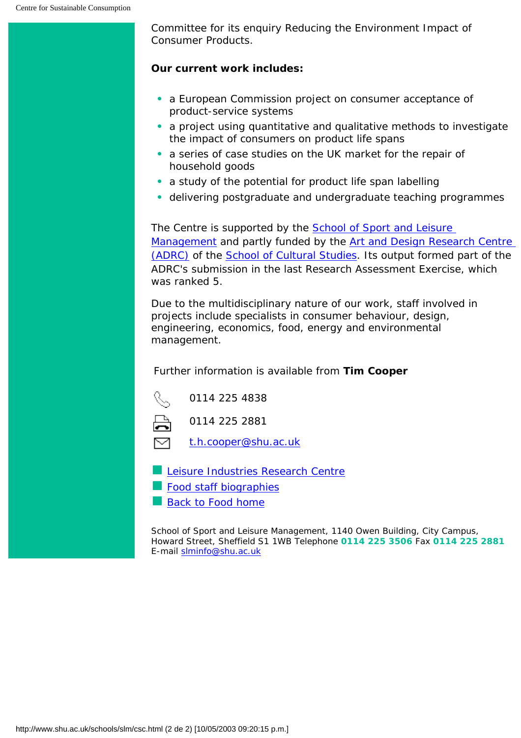Committee for its enquiry *Reducing the Environment Impact of Consumer Products*.

#### **Our current work includes:**

- **•** a European Commission project on consumer acceptance of product-service systems
- **•** a project using quantitative and qualitative methods to investigate the impact of consumers on product life spans
- **•** a series of case studies on the UK market for the repair of household goods
- **•** a study of the potential for product life span labelling
- **•** delivering postgraduate and undergraduate teaching programmes

The Centre is supported by the [School of Sport and Leisure](http://www.shu.ac.uk/schools/slm/index.html)  [Management](http://www.shu.ac.uk/schools/slm/index.html) and partly funded by the [Art and Design Research Centre](http://www.shu.ac.uk/schools/cs/cri/adrc/research2/index.html)  [\(ADRC\)](http://www.shu.ac.uk/schools/cs/cri/adrc/research2/index.html) of the [School of Cultural Studies.](http://www.shu.ac.uk/schools/cs/) Its output formed part of the ADRC's submission in the last Research Assessment Exercise, which was ranked 5.

Due to the multidisciplinary nature of our work, staff involved in projects include specialists in consumer behaviour, design, engineering, economics, food, energy and environmental management.

#### Further information is available from **Tim Cooper**





- 0114 225 2881
- ▽ [t.h.cooper@shu.ac.uk](mailto:t.h.cooper@shu.ac.uk)

**[Leisure Industries Research Centre](http://www.shu.ac.uk/schools/slm/lirc.html)** 

- **[Food staff biographies](http://www.shu.ac.uk/schools/slm/cfoodstf.html)**
- [Back to Food home](http://www.shu.ac.uk/schools/slm/subjectareas/food.html)

School of Sport and Leisure Management, 1140 Owen Building, City Campus, Howard Street, Sheffield S1 1WB Telephone **0114 225 3506** Fax **0114 225 2881** E-mail [slminfo@shu.ac.uk](mailto:slminfo@shu.ac.uk)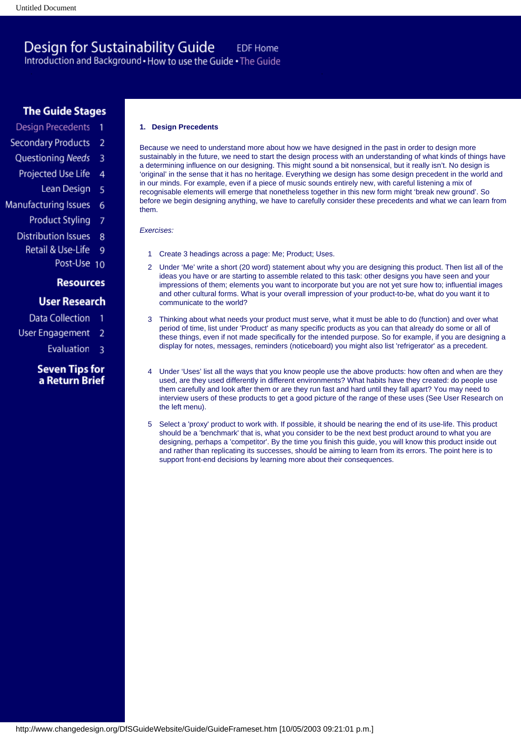#### <span id="page-29-0"></span>Design for Sustainability Guide **EDF Home**

Introduction and Background . How to use the Guide . The Guide

#### **The Guide Stages**

- Design Precedents 1
- **Secondary Products**  $\overline{2}$
- Questioning Needs  $\overline{3}$
- Projected Use Life 4
	- Lean Design - 5
- Manufacturing Issues  $-6$ 
	- **Product Styling** - 7
	- **Distribution Issues**  $\mathbf{8}$ 
		- Retail & Use-Life 9
			- Post-Use 10

#### **Resources**

#### **User Research**

- Data Collection 1
- User Engagement

#### Evaluation  $\overline{3}$

 $\overline{2}$ 

#### **Seven Tips for** a Return Brief

#### **1. Design Precedents**

Because we need to understand more about how we have designed in the past in order to design more sustainably in the future, we need to start the design process with an understanding of what kinds of things have a determining influence on our designing. This might sound a bit nonsensical, but it really isn't. No design is 'original' in the sense that it has no heritage. Everything we design has some design precedent in the world and in our minds. For example, even if a piece of music sounds entirely new, with careful listening a mix of recognisable elements will emerge that nonetheless together in this new form might 'break new ground'. So before we begin designing anything, we have to carefully consider these precedents and what we can learn from them.

*Exercises:*

- 1 Create 3 headings across a page: Me; Product; Uses.
- 2 Under 'Me' write a short (20 word) statement about why you are designing this product. Then list all of the ideas you have or are starting to assemble related to this task: other designs you have seen and your impressions of them; elements you want to incorporate but you are not yet sure how to; influential images and other cultural forms. What is your overall impression of your product-to-be, what do you want it to communicate to the world?
- 3 Thinking about what needs your product must serve, what it must be able to do (function) and over what period of time, list under 'Product' as many specific products as you can that already do some or all of these things, even if not made specifically for the intended purpose. So for example, if you are designing a display for notes, messages, reminders (noticeboard) you might also list 'refrigerator' as a precedent.
- Under 'Uses' list all the ways that you know people use the above products: how often and when are they used, are they used differently in different environments? What habits have they created: do people use them carefully and look after them or are they run fast and hard until they fall apart? You may need to interview users of these products to get a good picture of the range of these uses (See User Research on the left menu).
- 5 Select a 'proxy' product to work with. If possible, it should be nearing the end of its use-life. This product should be a 'benchmark' that is, what you consider to be the next best product around to what you are designing, perhaps a 'competitor'. By the time you finish this guide, you will know this product inside out and rather than replicating its successes, should be aiming to learn from its errors. The point here is to support front-end decisions by learning more about their consequences.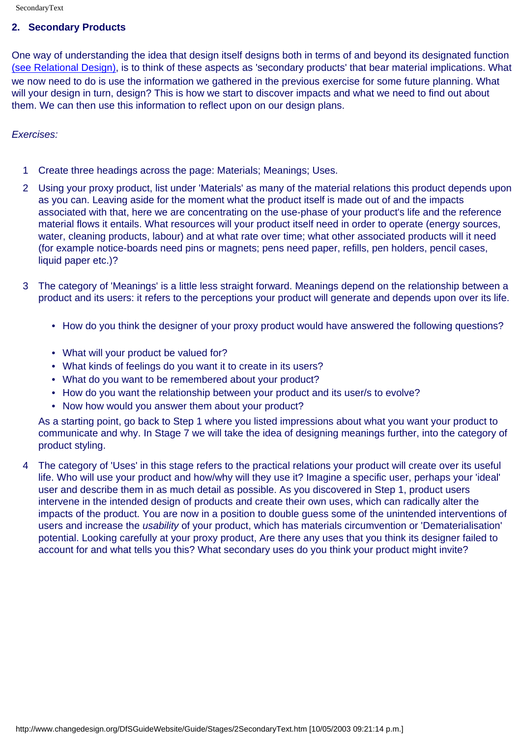#### **2. Secondary Products**

One way of understanding the idea that design itself designs both in terms of and beyond its designated function [\(see Relational Design\)](#page-1-0), is to think of these aspects as 'secondary products' that bear material implications. What we now need to do is use the information we gathered in the previous exercise for some future planning. What will your design in turn, design? This is how we start to discover impacts and what we need to find out about them. We can then use this information to reflect upon on our design plans.

#### *Exercises:*

- 1 Create three headings across the page: Materials; Meanings; Uses.
- 2 Using your proxy product, list under 'Materials' as many of the material relations this product depends upon as you can. Leaving aside for the moment what the product itself is made out of and the impacts associated with that, here we are concentrating on the use-phase of your product's life and the reference material flows it entails. What resources will your product itself need in order to operate (energy sources, water, cleaning products, labour) and at what rate over time; what other associated products will it need (for example notice-boards need pins or magnets; pens need paper, refills, pen holders, pencil cases, liquid paper etc.)?
- 3 The category of 'Meanings' is a little less straight forward. Meanings depend on the relationship between a product and its users: it refers to the perceptions your product will generate and depends upon over its life.
	- How do you think the designer of your proxy product would have answered the following questions?
	- What will your product be valued for?
	- What kinds of feelings do you want it to create in its users?
	- What do you want to be remembered about your product?
	- How do you want the relationship between your product and its user/s to evolve?
	- Now how would you answer them about your product?

As a starting point, go back to Step 1 where you listed impressions about what you want your product to communicate and why. In Stage 7 we will take the idea of designing meanings further, into the category of product styling.

4 The category of 'Uses' in this stage refers to the practical relations your product will create over its useful life. Who will use your product and how/why will they use it? Imagine a specific user, perhaps your 'ideal' user and describe them in as much detail as possible. As you discovered in Step 1, product users intervene in the intended design of products and create their own uses, which can radically alter the impacts of the product. You are now in a position to double guess some of the unintended interventions of users and increase the *usability* of your product, which has materials circumvention or 'Dematerialisation' potential. Looking carefully at your proxy product, Are there any uses that you think its designer failed to account for and what tells you this? What secondary uses do you think your product might invite?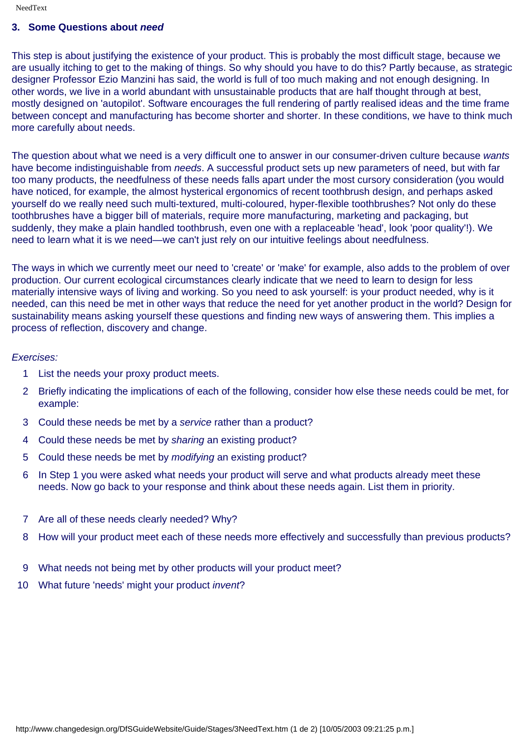#### **3. Some Questions about** *need*

This step is about justifying the existence of your product. This is probably the most difficult stage, because we are usually itching to get to the making of things. So why should you have to do this? Partly because, as strategic designer Professor Ezio Manzini has said, the world is full of too much making and not enough designing. In other words, we live in a world abundant with unsustainable products that are half thought through at best, mostly designed on 'autopilot'. Software encourages the full rendering of partly realised ideas and the time frame between concept and manufacturing has become shorter and shorter. In these conditions, we have to think much more carefully about needs.

The question about what we need is a very difficult one to answer in our consumer-driven culture because *wants* have become indistinguishable from *needs*. A successful product sets up new parameters of need, but with far too many products, the needfulness of these needs falls apart under the most cursory consideration (you would have noticed, for example, the almost hysterical ergonomics of recent toothbrush design, and perhaps asked yourself do we really need such multi-textured, multi-coloured, hyper-flexible toothbrushes? Not only do these toothbrushes have a bigger bill of materials, require more manufacturing, marketing and packaging, but suddenly, they make a plain handled toothbrush, even one with a replaceable 'head', look 'poor quality'!). We need to learn what it is we need—we can't just rely on our intuitive feelings about needfulness.

The ways in which we currently meet our need to 'create' or 'make' for example, also adds to the problem of over production. Our current ecological circumstances clearly indicate that we need to learn to design for less materially intensive ways of living and working. So you need to ask yourself: is your product needed, why is it needed, can this need be met in other ways that reduce the need for yet another product in the world? Design for sustainability means asking yourself these questions and finding new ways of answering them. This implies a process of reflection, discovery and change.

#### *Exercises:*

- 1 List the needs your proxy product meets.
- 2 Briefly indicating the implications of each of the following, consider how else these needs could be met, for example:
- 3 Could these needs be met by a *service* rather than a product?
- 4 Could these needs be met by *sharing* an existing product?
- 5 Could these needs be met by *modifying* an existing product?
- 6 In Step 1 you were asked what needs your product will serve and what products already meet these needs. Now go back to your response and think about these needs again. List them in priority.
- 7 Are all of these needs clearly needed? Why?
- 8 How will your product meet each of these needs more effectively and successfully than previous products?
- 9 What needs not being met by other products will your product meet?
- 10 What future 'needs' might your product *invent*?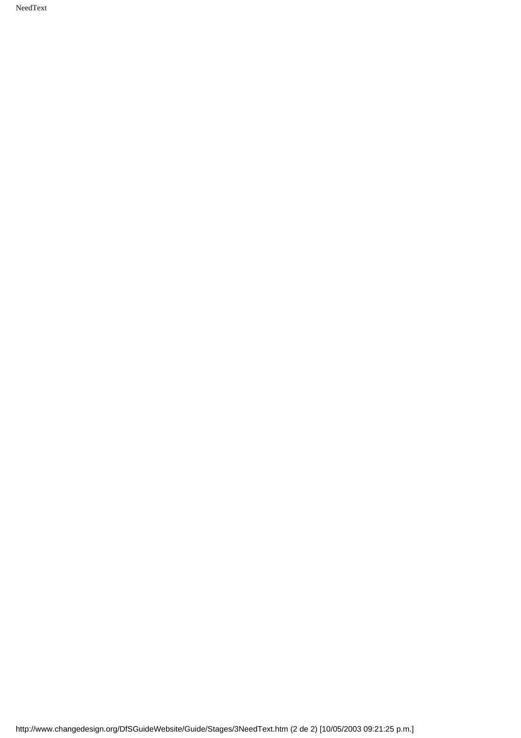NeedText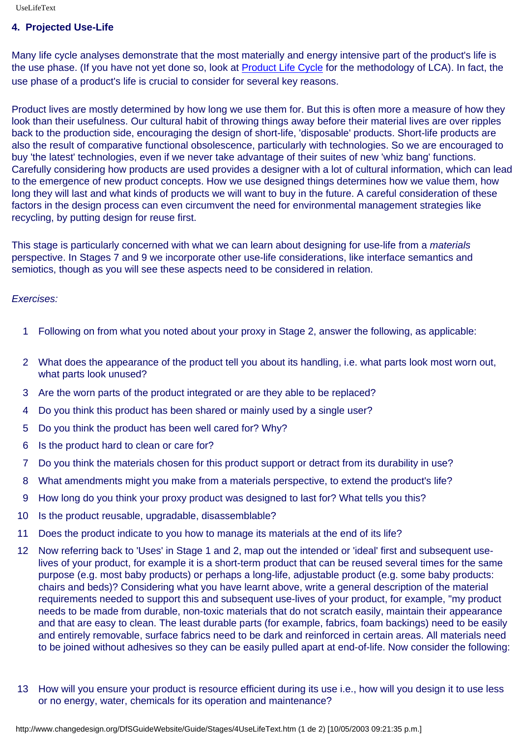UseLifeText

#### **4. Projected Use-Life**

Many life cycle analyses demonstrate that the most materially and energy intensive part of the product's life is the use phase. (If you have not yet done so, look at [Product Life Cycle](#page-1-0) for the methodology of LCA). In fact, the use phase of a product's life is crucial to consider for several key reasons.

Product lives are mostly determined by how long we use them for. But this is often more a measure of how they look than their usefulness. Our cultural habit of throwing things away before their material lives are over ripples back to the production side, encouraging the design of short-life, 'disposable' products. Short-life products are also the result of comparative functional obsolescence, particularly with technologies. So we are encouraged to buy 'the latest' technologies, even if we never take advantage of their suites of new 'whiz bang' functions. Carefully considering how products are used provides a designer with a lot of cultural information, which can lead to the emergence of new product concepts. How we use designed things determines how we value them, how long they will last and what kinds of products we will want to buy in the future. A careful consideration of these factors in the design process can even circumvent the need for environmental management strategies like recycling, by putting design for reuse first.

This stage is particularly concerned with what we can learn about designing for use-life from a *materials*  perspective. In Stages 7 and 9 we incorporate other use-life considerations, like interface semantics and semiotics, though as you will see these aspects need to be considered in relation.

#### *Exercises:*

- 1 Following on from what you noted about your proxy in Stage 2, answer the following, as applicable:
- 2 What does the appearance of the product tell you about its handling, i.e. what parts look most worn out, what parts look unused?
- 3 Are the worn parts of the product integrated or are they able to be replaced?
- 4 Do you think this product has been shared or mainly used by a single user?
- 5 Do you think the product has been well cared for? Why?
- 6 Is the product hard to clean or care for?
- 7 Do you think the materials chosen for this product support or detract from its durability in use?
- 8 What amendments might you make from a materials perspective, to extend the product's life?
- 9 How long do you think your proxy product was designed to last for? What tells you this?
- 10 Is the product reusable, upgradable, disassemblable?
- 11 Does the product indicate to you how to manage its materials at the end of its life?
- 12 Now referring back to 'Uses' in Stage 1 and 2, map out the intended or 'ideal' first and subsequent uselives of your product, for example it is a short-term product that can be reused several times for the same purpose (e.g. most baby products) or perhaps a long-life, adjustable product (e.g. some baby products: chairs and beds)? Considering what you have learnt above, write a general description of the material requirements needed to support this and subsequent use-lives of your product, for example, "my product needs to be made from durable, non-toxic materials that do not scratch easily, maintain their appearance and that are easy to clean. The least durable parts (for example, fabrics, foam backings) need to be easily and entirely removable, surface fabrics need to be dark and reinforced in certain areas. All materials need to be joined without adhesives so they can be easily pulled apart at end-of-life. Now consider the following:
- 13 How will you ensure your product is resource efficient during its use i.e., how will you design it to use less or no energy, water, chemicals for its operation and maintenance?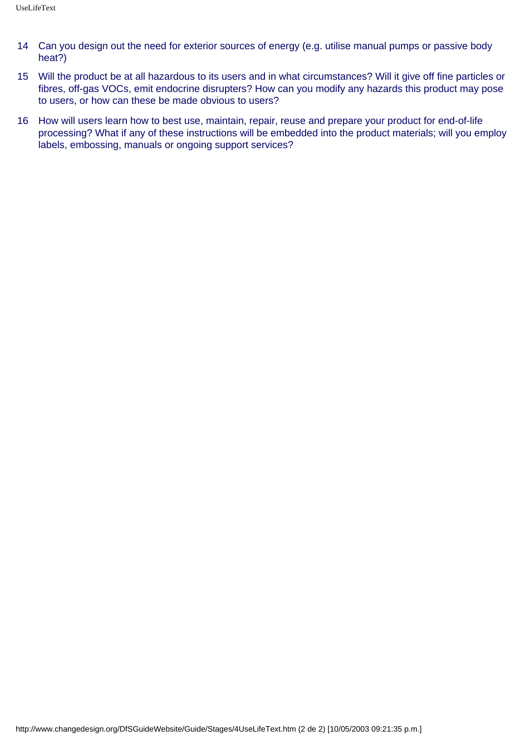- 14 Can you design out the need for exterior sources of energy (e.g. utilise manual pumps or passive body heat?)
- 15 Will the product be at all hazardous to its users and in what circumstances? Will it give off fine particles or fibres, off-gas VOCs, emit endocrine disrupters? How can you modify any hazards this product may pose to users, or how can these be made obvious to users?
- 16 How will users learn how to best use, maintain, repair, reuse and prepare your product for end-of-life processing? What if any of these instructions will be embedded into the product materials; will you employ labels, embossing, manuals or ongoing support services?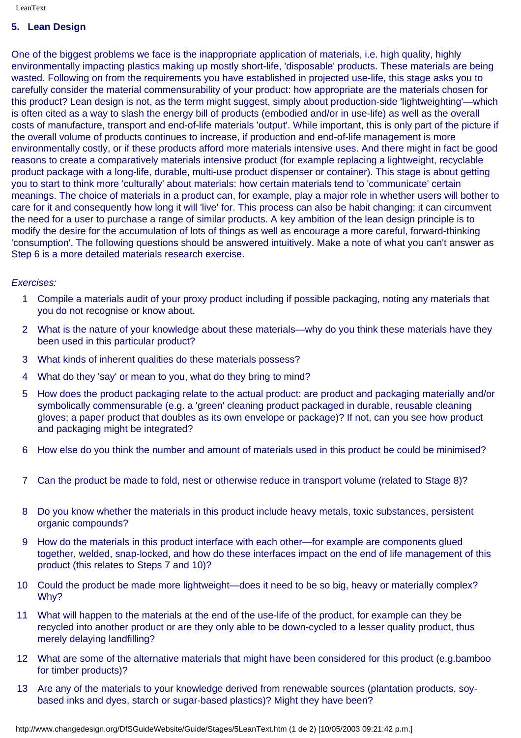LeanText

#### **5. Lean Design**

One of the biggest problems we face is the inappropriate application of materials, i.e. high quality, highly environmentally impacting plastics making up mostly short-life, 'disposable' products. These materials are being wasted. Following on from the requirements you have established in projected use-life, this stage asks you to carefully consider the material commensurability of your product: how appropriate are the materials chosen for this product? Lean design is not, as the term might suggest, simply about production-side 'lightweighting'—which is often cited as a way to slash the energy bill of products (embodied and/or in use-life) as well as the overall costs of manufacture, transport and end-of-life materials 'output'. While important, this is only part of the picture if the overall volume of products continues to increase, if production and end-of-life management is more environmentally costly, or if these products afford more materials intensive uses. And there might in fact be good reasons to create a comparatively materials intensive product (for example replacing a lightweight, recyclable product package with a long-life, durable, multi-use product dispenser or container). This stage is about getting you to start to think more 'culturally' about materials: how certain materials tend to 'communicate' certain meanings. The choice of materials in a product can, for example, play a major role in whether users will bother to care for it and consequently how long it will 'live' for. This process can also be habit changing: it can circumvent the need for a user to purchase a range of similar products. A key ambition of the lean design principle is to modify the desire for the accumulation of lots of things as well as encourage a more careful, forward-thinking 'consumption'. The following questions should be answered intuitively. Make a note of what you can't answer as Step 6 is a more detailed materials research exercise.

#### *Exercises:*

- 1 Compile a materials audit of your proxy product including if possible packaging, noting any materials that you do not recognise or know about.
- 2 What is the nature of your knowledge about these materials—why do you think these materials have they been used in this particular product?
- 3 What kinds of inherent qualities do these materials possess?
- 4 What do they 'say' or mean to you, what do they bring to mind?
- 5 How does the product packaging relate to the actual product: are product and packaging materially and/or symbolically commensurable (e.g. a 'green' cleaning product packaged in durable, reusable cleaning gloves; a paper product that doubles as its own envelope or package)? If not, can you see how product and packaging might be integrated?
- 6 How else do you think the number and amount of materials used in this product be could be minimised?
- 7 Can the product be made to fold, nest or otherwise reduce in transport volume (related to Stage 8)?
- 8 Do you know whether the materials in this product include heavy metals, toxic substances, persistent organic compounds?
- 9 How do the materials in this product interface with each other—for example are components glued together, welded, snap-locked, and how do these interfaces impact on the end of life management of this product (this relates to Steps 7 and 10)?
- 10 Could the product be made more lightweight—does it need to be so big, heavy or materially complex? Why?
- 11 What will happen to the materials at the end of the use-life of the product, for example can they be recycled into another product or are they only able to be down-cycled to a lesser quality product, thus merely delaying landfilling?
- 12 What are some of the alternative materials that might have been considered for this product (e.g.bamboo for timber products)?
- 13 Are any of the materials to your knowledge derived from renewable sources (plantation products, soybased inks and dyes, starch or sugar-based plastics)? Might they have been?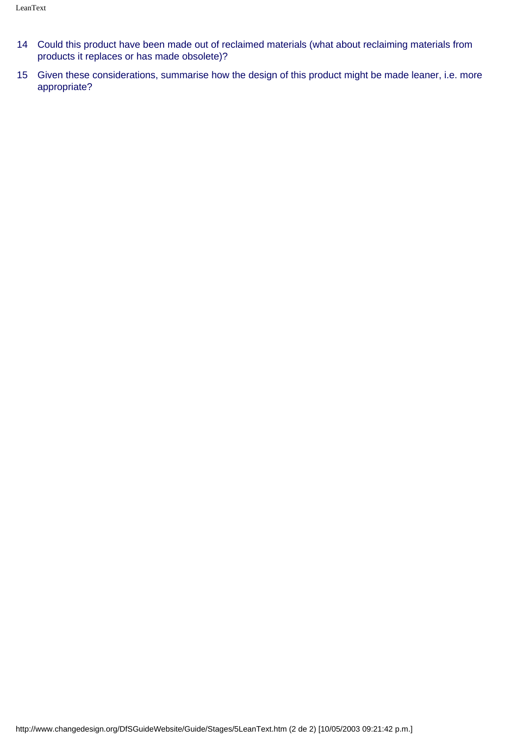- 14 Could this product have been made out of reclaimed materials (what about reclaiming materials from products it replaces or has made obsolete)?
- 15 Given these considerations, summarise how the design of this product might be made leaner, i.e. more appropriate?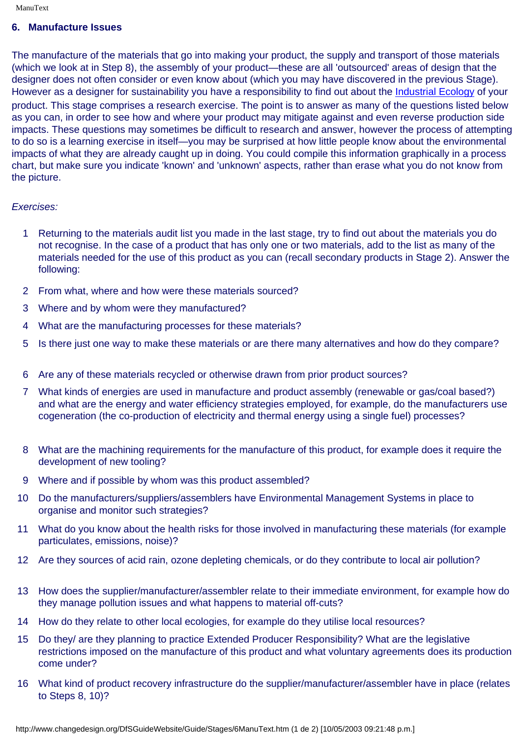### **6. Manufacture Issues**

The manufacture of the materials that go into making your product, the supply and transport of those materials (which we look at in Step 8), the assembly of your product—these are all 'outsourced' areas of design that the designer does not often consider or even know about (which you may have discovered in the previous Stage). However as a designer for sustainability you have a responsibility to find out about the [Industrial Ecology](#page-1-0) of your product. This stage comprises a research exercise. The point is to answer as many of the questions listed below as you can, in order to see how and where your product may mitigate against and even reverse production side impacts. These questions may sometimes be difficult to research and answer, however the process of attempting to do so is a learning exercise in itself—you may be surprised at how little people know about the environmental impacts of what they are already caught up in doing. You could compile this information graphically in a process chart, but make sure you indicate 'known' and 'unknown' aspects, rather than erase what you do not know from the picture.

### *Exercises:*

- 1 Returning to the materials audit list you made in the last stage, try to find out about the materials you do not recognise. In the case of a product that has only one or two materials, add to the list as many of the materials needed for the use of this product as you can (recall secondary products in Stage 2). Answer the following:
- 2 From what, where and how were these materials sourced?
- 3 Where and by whom were they manufactured?
- 4 What are the manufacturing processes for these materials?
- 5 Is there just one way to make these materials or are there many alternatives and how do they compare?
- 6 Are any of these materials recycled or otherwise drawn from prior product sources?
- 7 What kinds of energies are used in manufacture and product assembly (renewable or gas/coal based?) and what are the energy and water efficiency strategies employed, for example, do the manufacturers use cogeneration (the co-production of electricity and thermal energy using a single fuel) processes?
- 8 What are the machining requirements for the manufacture of this product, for example does it require the development of new tooling?
- 9 Where and if possible by whom was this product assembled?
- 10 Do the manufacturers/suppliers/assemblers have Environmental Management Systems in place to organise and monitor such strategies?
- 11 What do you know about the health risks for those involved in manufacturing these materials (for example particulates, emissions, noise)?
- 12 Are they sources of acid rain, ozone depleting chemicals, or do they contribute to local air pollution?
- 13 How does the supplier/manufacturer/assembler relate to their immediate environment, for example how do they manage pollution issues and what happens to material off-cuts?
- 14 How do they relate to other local ecologies, for example do they utilise local resources?
- 15 Do they/ are they planning to practice Extended Producer Responsibility? What are the legislative restrictions imposed on the manufacture of this product and what voluntary agreements does its production come under?
- 16 What kind of product recovery infrastructure do the supplier/manufacturer/assembler have in place (relates to Steps 8, 10)?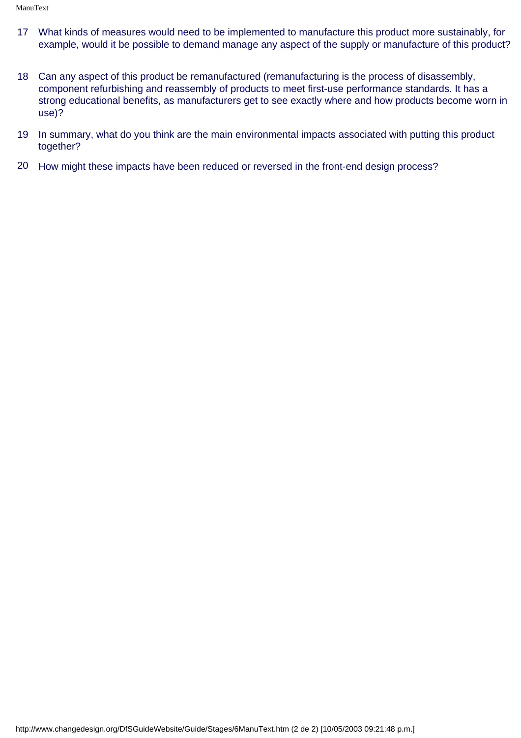- 17 What kinds of measures would need to be implemented to manufacture this product more sustainably, for example, would it be possible to demand manage any aspect of the supply or manufacture of this product?
- 18 Can any aspect of this product be remanufactured (remanufacturing is the process of disassembly, component refurbishing and reassembly of products to meet first-use performance standards. It has a strong educational benefits, as manufacturers get to see exactly where and how products become worn in use)?
- 19 In summary, what do you think are the main environmental impacts associated with putting this product together?
- 20 How might these impacts have been reduced or reversed in the front-end design process?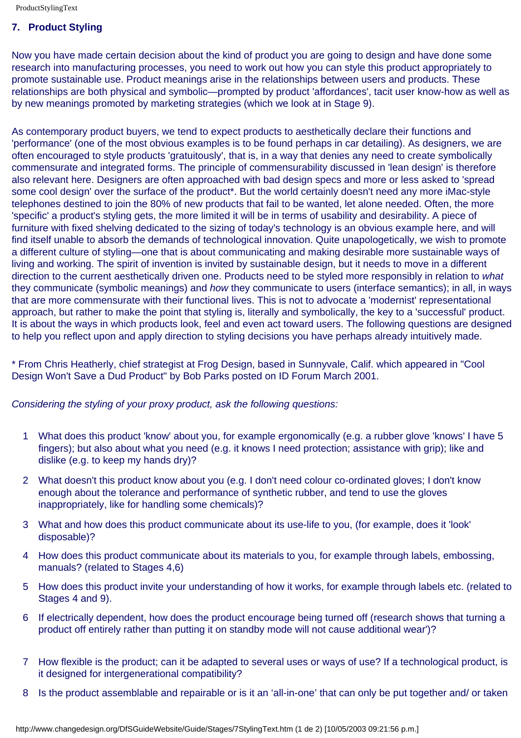## **7. Product Styling**

Now you have made certain decision about the kind of product you are going to design and have done some research into manufacturing processes, you need to work out how you can style this product appropriately to promote sustainable use. Product meanings arise in the relationships between users and products. These relationships are both physical and symbolic—prompted by product 'affordances', tacit user know-how as well as by new meanings promoted by marketing strategies (which we look at in Stage 9).

As contemporary product buyers, we tend to expect products to aesthetically declare their functions and 'performance' (one of the most obvious examples is to be found perhaps in car detailing). As designers, we are often encouraged to style products 'gratuitously', that is, in a way that denies any need to create symbolically commensurate and integrated forms. The principle of commensurability discussed in 'lean design' is therefore also relevant here. Designers are often approached with bad design specs and more or less asked to 'spread some cool design' over the surface of the product<sup>\*</sup>. But the world certainly doesn't need any more iMac-style telephones destined to join the 80% of new products that fail to be wanted, let alone needed. Often, the more 'specific' a product's styling gets, the more limited it will be in terms of usability and desirability. A piece of furniture with fixed shelving dedicated to the sizing of today's technology is an obvious example here, and will find itself unable to absorb the demands of technological innovation. Quite unapologetically, we wish to promote a different culture of styling—one that is about communicating and making desirable more sustainable ways of living and working. The spirit of invention is invited by sustainable design, but it needs to move in a different direction to the current aesthetically driven one. Products need to be styled more responsibly in relation to *what* they communicate (symbolic meanings) and *how* they communicate to users (interface semantics); in all, in ways that are more commensurate with their functional lives. This is not to advocate a 'modernist' representational approach, but rather to make the point that styling is, literally and symbolically, the key to a 'successful' product. It is about the ways in which products look, feel and even act toward users. The following questions are designed to help you reflect upon and apply direction to styling decisions you have perhaps already intuitively made.

\* From Chris Heatherly, chief strategist at Frog Design, based in Sunnyvale, Calif. which appeared in "Cool Design Won't Save a Dud Product" by Bob Parks posted on ID Forum March 2001.

*Considering the styling of your proxy product, ask the following questions:* 

- 1 What does this product 'know' about you, for example ergonomically (e.g. a rubber glove 'knows' I have 5 fingers); but also about what you need (e.g. it knows I need protection; assistance with grip); like and dislike (e.g. to keep my hands dry)?
- 2 What doesn't this product know about you (e.g. I don't need colour co-ordinated gloves; I don't know enough about the tolerance and performance of synthetic rubber, and tend to use the gloves inappropriately, like for handling some chemicals)?
- 3 What and how does this product communicate about its use-life to you, (for example, does it 'look' disposable)?
- 4 How does this product communicate about its materials to you, for example through labels, embossing, manuals? (related to Stages 4,6)
- 5 How does this product invite your understanding of how it works, for example through labels etc. (related to Stages 4 and 9).
- 6 If electrically dependent, how does the product encourage being turned off (research shows that turning a product off entirely rather than putting it on standby mode will not cause additional wear')?
- 7 How flexible is the product; can it be adapted to several uses or ways of use? If a technological product, is it designed for intergenerational compatibility?
- 8 Is the product assemblable and repairable or is it an 'all-in-one' that can only be put together and/ or taken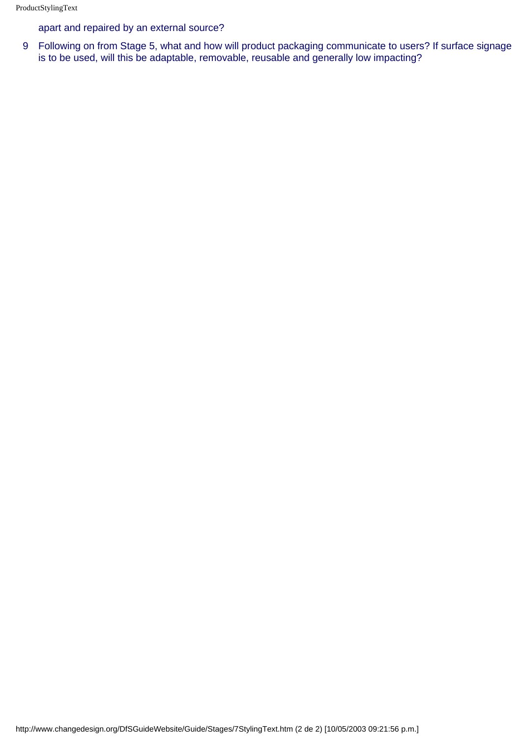## apart and repaired by an external source?

9 Following on from Stage 5, what and how will product packaging communicate to users? If surface signage is to be used, will this be adaptable, removable, reusable and generally low impacting?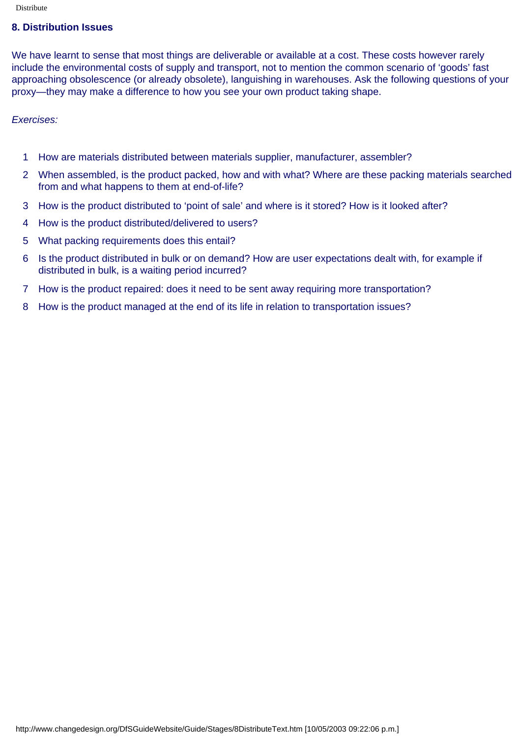## **8. Distribution Issues**

We have learnt to sense that most things are deliverable or available at a cost. These costs however rarely include the environmental costs of supply and transport, not to mention the common scenario of 'goods' fast approaching obsolescence (or already obsolete), languishing in warehouses. Ask the following questions of your proxy—they may make a difference to how you see your own product taking shape.

### *Exercises:*

- 1 How are materials distributed between materials supplier, manufacturer, assembler?
- 2 When assembled, is the product packed, how and with what? Where are these packing materials searched from and what happens to them at end-of-life?
- 3 How is the product distributed to 'point of sale' and where is it stored? How is it looked after?
- 4 How is the product distributed/delivered to users?
- 5 What packing requirements does this entail?
- 6 Is the product distributed in bulk or on demand? How are user expectations dealt with, for example if distributed in bulk, is a waiting period incurred?
- 7 How is the product repaired: does it need to be sent away requiring more transportation?
- 8 How is the product managed at the end of its life in relation to transportation issues?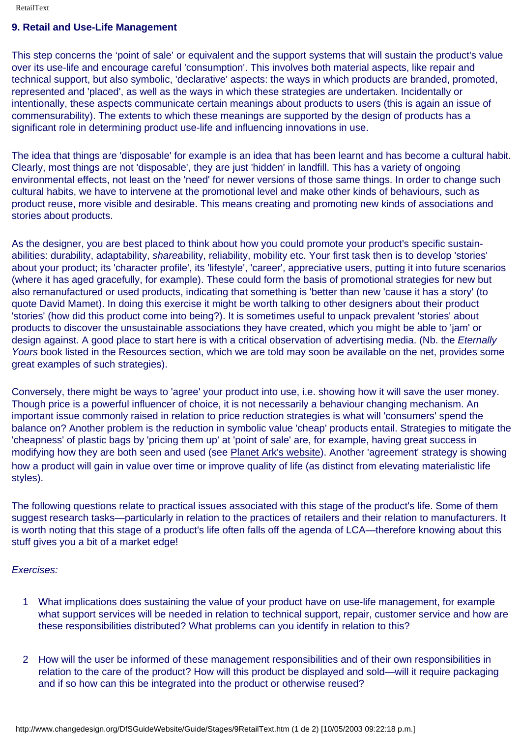## **9. Retail and Use-Life Management**

This step concerns the 'point of sale' or equivalent and the support systems that will sustain the product's value over its use-life and encourage careful 'consumption'. This involves both material aspects, like repair and technical support, but also symbolic, 'declarative' aspects: the ways in which products are branded, promoted, represented and 'placed', as well as the ways in which these strategies are undertaken. Incidentally or intentionally, these aspects communicate certain meanings about products to users (this is again an issue of commensurability). The extents to which these meanings are supported by the design of products has a significant role in determining product use-life and influencing innovations in use.

The idea that things are 'disposable' for example is an idea that has been learnt and has become a cultural habit. Clearly, most things are not 'disposable', they are just 'hidden' in landfill. This has a variety of ongoing environmental effects, not least on the 'need' for newer versions of those same things. In order to change such cultural habits, we have to intervene at the promotional level and make other kinds of behaviours, such as product reuse, more visible and desirable. This means creating and promoting new kinds of associations and stories about products.

As the designer, you are best placed to think about how you could promote your product's specific sustainabilities: durability, adaptability, *share*ability, reliability, mobility etc. Your first task then is to develop 'stories' about your product; its 'character profile', its 'lifestyle', 'career', appreciative users, putting it into future scenarios (where it has aged gracefully, for example). These could form the basis of promotional strategies for new but also remanufactured or used products, indicating that something is 'better than new 'cause it has a story' (to quote David Mamet). In doing this exercise it might be worth talking to other designers about their product 'stories' (how did this product come into being?). It is sometimes useful to unpack prevalent 'stories' about products to discover the unsustainable associations they have created, which you might be able to 'jam' or design against. A good place to start here is with a critical observation of advertising media. (Nb. the *Eternally Yours* book listed in the Resources section, which we are told may soon be available on the net, provides some great examples of such strategies).

Conversely, there might be ways to 'agree' your product into use, i.e. showing how it will save the user money. Though price is a powerful influencer of choice, it is not necessarily a behaviour changing mechanism. An important issue commonly raised in relation to price reduction strategies is what will 'consumers' spend the balance on? Another problem is the reduction in symbolic value 'cheap' products entail. Strategies to mitigate the 'cheapness' of plastic bags by 'pricing them up' at 'point of sale' are, for example, having great success in modifying how they are both seen and used (see [Planet Ark's website\)](http://www.planetark.org/generalpage.cfm/newsid/5/story.htm). Another 'agreement' strategy is showing how a product will gain in value over time or improve quality of life (as distinct from elevating materialistic life styles).

The following questions relate to practical issues associated with this stage of the product's life. Some of them suggest research tasks—particularly in relation to the practices of retailers and their relation to manufacturers. It is worth noting that this stage of a product's life often falls off the agenda of LCA—therefore knowing about this stuff gives you a bit of a market edge!

### *Exercises:*

- 1 What implications does sustaining the value of your product have on use-life management, for example what support services will be needed in relation to technical support, repair, customer service and how are these responsibilities distributed? What problems can you identify in relation to this?
- 2 How will the user be informed of these management responsibilities and of their own responsibilities in relation to the care of the product? How will this product be displayed and sold—will it require packaging and if so how can this be integrated into the product or otherwise reused?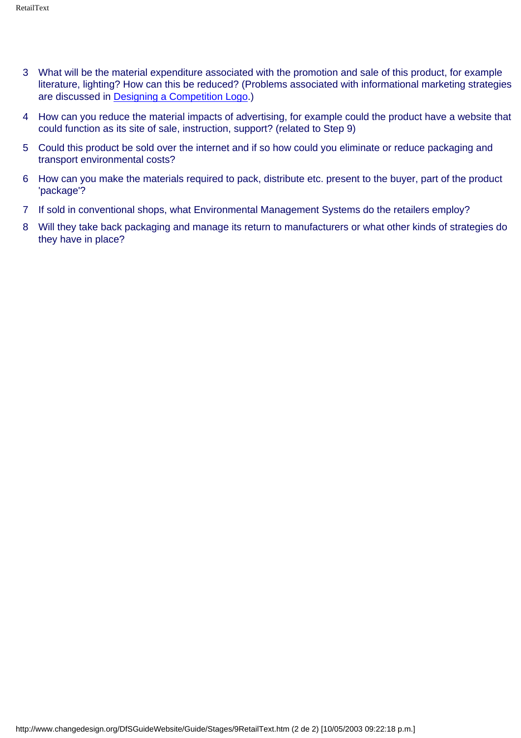- 3 What will be the material expenditure associated with the promotion and sale of this product, for example literature, lighting? How can this be reduced? (Problems associated with informational marketing strategies are discussed in [Designing a Competition Logo.](http://www.changedesign.org/DfSGuideWebsite/HowTo/HowToFrameset.htm))
- 4 How can you reduce the material impacts of advertising, for example could the product have a website that could function as its site of sale, instruction, support? (related to Step 9)
- 5 Could this product be sold over the internet and if so how could you eliminate or reduce packaging and transport environmental costs?
- 6 How can you make the materials required to pack, distribute etc. present to the buyer, part of the product 'package'?
- 7 If sold in conventional shops, what Environmental Management Systems do the retailers employ?
- 8 Will they take back packaging and manage its return to manufacturers or what other kinds of strategies do they have in place?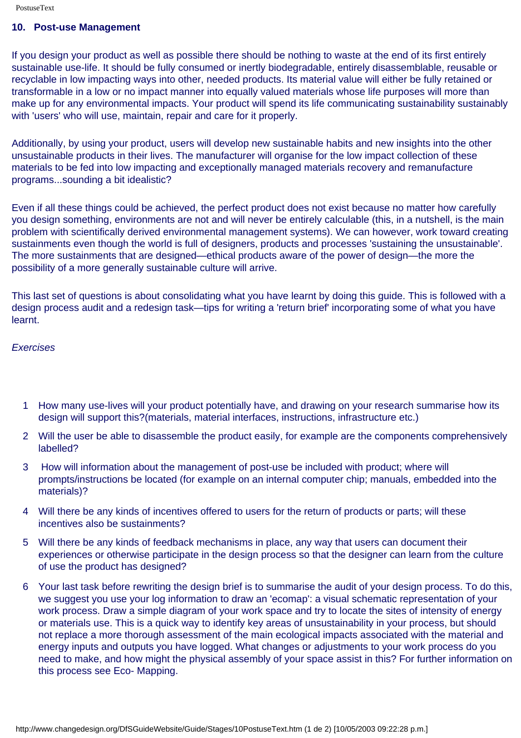## **10. Post-use Management**

If you design your product as well as possible there should be nothing to waste at the end of its first entirely sustainable use-life. It should be fully consumed or inertly biodegradable, entirely disassemblable, reusable or recyclable in low impacting ways into other, needed products. Its material value will either be fully retained or transformable in a low or no impact manner into equally valued materials whose life purposes will more than make up for any environmental impacts. Your product will spend its life communicating sustainability sustainably with 'users' who will use, maintain, repair and care for it properly.

Additionally, by using your product, users will develop new sustainable habits and new insights into the other unsustainable products in their lives. The manufacturer will organise for the low impact collection of these materials to be fed into low impacting and exceptionally managed materials recovery and remanufacture programs...sounding a bit idealistic?

Even if all these things could be achieved, the perfect product does not exist because no matter how carefully you design something, environments are not and will never be entirely calculable (this, in a nutshell, is the main problem with scientifically derived environmental management systems). We can however, work toward creating sustainments even though the world is full of designers, products and processes 'sustaining the unsustainable'. The more sustainments that are designed—ethical products aware of the power of design—the more the possibility of a more generally sustainable culture will arrive.

This last set of questions is about consolidating what you have learnt by doing this guide. This is followed with a design process audit and a redesign task—tips for writing a 'return brief' incorporating some of what you have learnt.

### *Exercises*

- 1 How many use-lives will your product potentially have, and drawing on your research summarise how its design will support this?(materials, material interfaces, instructions, infrastructure etc.)
- 2 Will the user be able to disassemble the product easily, for example are the components comprehensively labelled?
- 3 How will information about the management of post-use be included with product; where will prompts/instructions be located (for example on an internal computer chip; manuals, embedded into the materials)?
- 4 Will there be any kinds of incentives offered to users for the return of products or parts; will these incentives also be sustainments?
- 5 Will there be any kinds of feedback mechanisms in place, any way that users can document their experiences or otherwise participate in the design process so that the designer can learn from the culture of use the product has designed?
- 6 Your last task before rewriting the design brief is to summarise the audit of your design process. To do this, we suggest you use your log information to draw an 'ecomap': a visual schematic representation of your work process. Draw a simple diagram of your work space and try to locate the sites of intensity of energy or materials use. This is a quick way to identify key areas of unsustainability in your process, but should not replace a more thorough assessment of the main ecological impacts associated with the material and energy inputs and outputs you have logged. What changes or adjustments to your work process do you need to make, and how might the physical assembly of your space assist in this? For further information on this process see Eco- Mapping.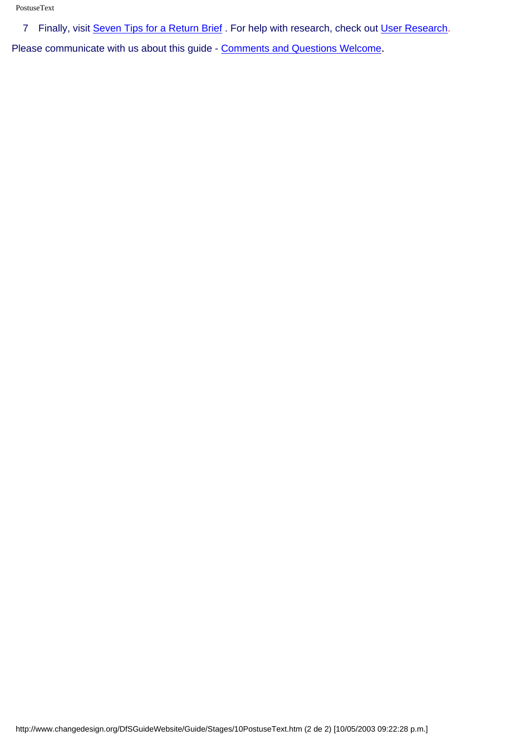PostuseText

7 Finally, visit [Seven Tips for a Return Brief](http://www.changedesign.org/DfSGuideWebsite/Guide/SevenTips/AllofSevenText.htm) . For help with research, check out [User Research](http://www.changedesign.org/DfSGuideWebsite/Guide/UserResearch/UserResIntroText.htm).

Please communicate with us about this guide - [Comments and Questions Welcome](mailto:edf@edf.edu.au).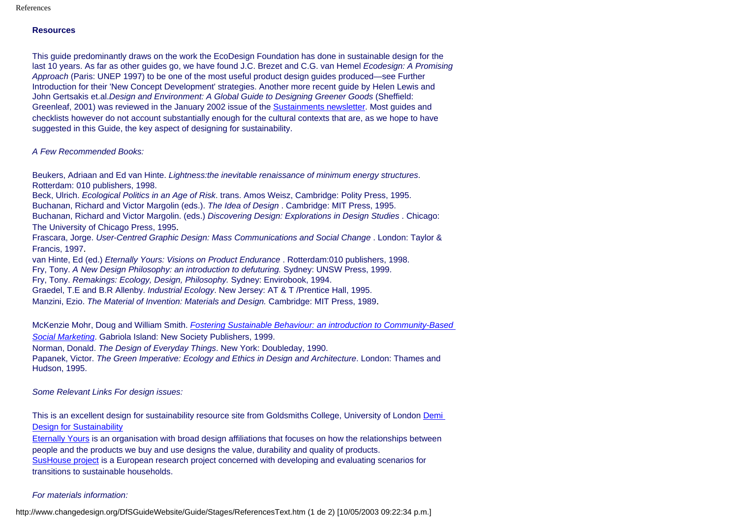References

#### **Resources**

This guide predominantly draws on the work the EcoDesign Foundation has done in sustainable design for the last 10 years. As far as other guides go, we have found J.C. Brezet and C.G. van Hemel *Ecodesign: A Promising Approach* (Paris: UNEP 1997) to be one of the most useful product design guides produced—see Further Introduction for their 'New Concept Development' strategies. Another more recent guide by Helen Lewis and John Gertsakis et.al.*Design and Environment: A Global Guide to Designing Greener Goods* (Sheffield: Greenleaf, 2001) was reviewed in the January 2002 issue of the [Sustainments newsletter.](http://www.edf.edu.au/Sustainments/Newsletter/index.htm) Most guides and checklists however do not account substantially enough for the cultural contexts that are, as we hope to have suggested in this Guide, the key aspect of designing for sustainability.

*A Few Recommended Books:*

Beukers, Adriaan and Ed van Hinte. *Lightness:the inevitable renaissance of minimum energy structures*. Rotterdam: 010 publishers, 1998.

Beck, Ulrich. *Ecological Politics in an Age of Risk*. trans. Amos Weisz, Cambridge: Polity Press, 1995. Buchanan, Richard and Victor Margolin (eds.). *The Idea of Design* . Cambridge: MIT Press, 1995. Buchanan, Richard and Victor Margolin. (eds.) *Discovering Design: Explorations in Design Studies* . Chicago:

The University of Chicago Press, 1995.

Frascara, Jorge. *User-Centred Graphic Design: Mass Communications and Social Change* . London: Taylor & Francis, 1997.

van Hinte, Ed (ed.) *Eternally Yours: Visions on Product Endurance* . Rotterdam:010 publishers, 1998. Fry, Tony. *A New Design Philosophy: an introduction to defuturing.* Sydney: UNSW Press, 1999. Fry, Tony. *Remakings: Ecology, Design, Philosophy.* Sydney: Envirobook, 1994. Graedel, T.E and B.R Allenby. *Industrial Ecology*. New Jersey: AT & T /Prentice Hall, 1995.

Manzini, Ezio. *The Material of Invention: Materials and Design.* Cambridge: MIT Press, 1989.

McKenzie Mohr, Doug and William Smith. *[Fostering Sustainable Behaviour: an introduction to Community-Based](http://www.cbsm.com/)* 

*[Social Marketing](http://www.cbsm.com/)*. Gabriola Island: New Society Publishers, 1999.

Norman, Donald. *The Design of Everyday Things*. New York: Doubleday, 1990.

Papanek, Victor. *The Green Imperative: Ecology and Ethics in Design and Architecture*. London: Thames and Hudson, 1995.

*Some Relevant Links For design issues:*

This is an excellent design for sustainability resource site from Goldsmiths College, University of London [Demi](#page-48-0) [Design for Sustainability](#page-48-0)

[Eternally Yours](http://www.eternally-yours.nl/) is an organisation with broad design affiliations that focuses on how the relationships between people and the products we buy and use designs the value, durability and quality of products. [SusHouse project](http://www.sushouse.tudelft.nl/not/frames.htm) is a European research project concerned with developing and evaluating scenarios for transitions to sustainable households.

### *For materials information:*

http://www.changedesign.org/DfSGuideWebsite/Guide/Stages/ReferencesText.htm (1 de 2) [10/05/2003 09:22:34 p.m.]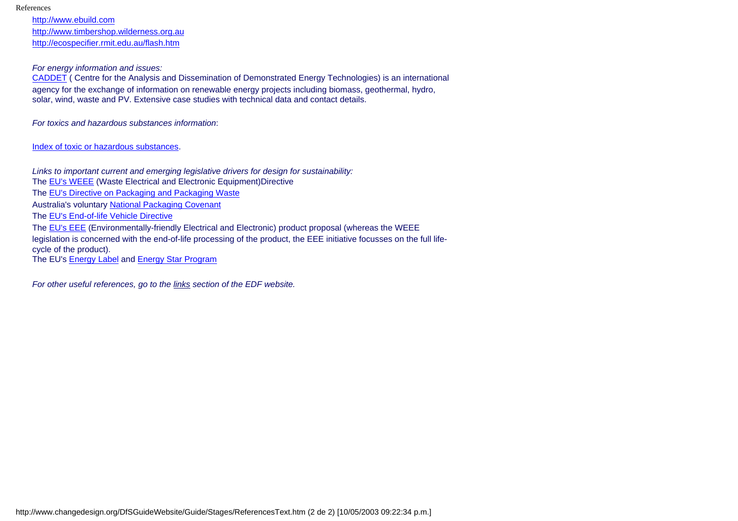References

[http://www.ebuild.com](http://www.ebuild.com/) [http://www.timbershop.wilderness.org.au](http://www.timbershop.wilderness.org.au/) [http://ecospecifier.rmit.edu.au/flash.htm](#page-70-0)

*For energy information and issues:*

[CADDET](http://www.caddet.co.uk/) ( Centre for the Analysis and Dissemination of Demonstrated Energy Technologies) is an international agency for the exchange of information on renewable energy projects including biomass, geothermal, hydro, solar, wind, waste and PV. Extensive case studies with technical data and contact details.

*For toxics and hazardous substances information*:

[Index of toxic or hazardous substances.](http://sun1.mpce.stu.mmu.ac.uk/pages/projects/dfe/guide/hazard.htm)

*Links to important current and emerging legislative drivers for design for sustainability:* The [EU's WEEE](#page-68-0) (Waste Electrical and Electronic Equipment)Directive The [EU's Directive on Packaging and Packaging Waste](#page-49-0) Australia's voluntary [National Packaging Covenant](#page-53-0) The [EU's End-of-life Vehicle Directive](#page-55-0) The [EU's EEE](#page-58-0) (Environmentally-friendly Electrical and Electronic) product proposal (whereas the WEEE legislation is concerned with the end-of-life processing of the product, the EEE initiative focusses on the full lifecycle of the product).

The EU's [Energy Label](#page-60-0) and [Energy Star Program](#page-64-0)

*For other useful references, go to the [links](http://www.edf.edu.au/Sustainments/Resources/index.htm) section of the EDF website.*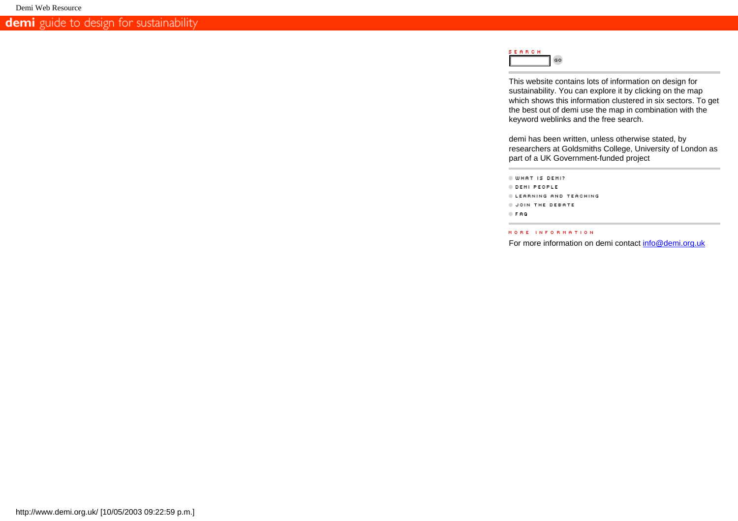## <span id="page-48-0"></span>demi guide to design for sustainability

SEARCH GO

This website contains lots of information on design for sustainability. You can explore it by clicking on the map which shows this information clustered in six sectors. To get the best out of demi use the map in combination with the keyword weblinks and the free search.

demi has been written, unless otherwise stated, by researchers at Goldsmiths College, University of London as part of a UK Government-funded project

UHAT IS DEMI?

**DEMI PEOPLE** 

**I LEARNING AND TEACHING** 

U JOIN THE DEBATE

 $EFAO$ 

MORE INFORMATION

For more information on demi contact [info@demi.org.uk](mailto:info@demi.org.uk)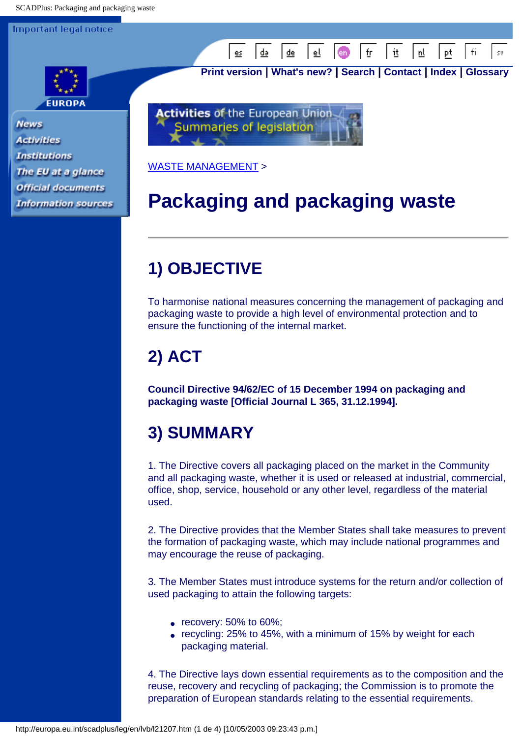#### <span id="page-49-1"></span><span id="page-49-0"></span>**Important legal notice**



**News Activities Institutions** The EU at a glance **Official documents Information sources** 



**[Print version](http://europa.eu.int/scadplus/printversion/en/lvb/l21207.htm) | [What's new?](http://europa.eu.int/geninfo/whatsnew.htm) | [Search](http://europa.eu.int/geninfo/query_en.htm) | [Contact](mailto:mailbox@scadplus.cec.eu.int) | [Index](http://europa.eu.int/scadplus/leg/en/index_01.htm) | [Glossary](http://europa.eu.int/scadplus/leg/en/cig/g4000.htm)**



[WASTE MANAGEMENT](http://europa.eu.int/scadplus/leg/en/s15002.htm) >

# **Packaging and packaging waste**

## **1) OBJECTIVE**

To harmonise national measures concerning the management of packaging and packaging waste to provide a high level of environmental protection and to ensure the functioning of the internal market.

# **2) ACT**

**Council Directive 94/62/EC of 15 December 1994 on packaging and packaging waste [Official Journal L 365, 31.12.1994].**

# **3) SUMMARY**

1. The Directive covers all packaging placed on the market in the Community and all packaging waste, whether it is used or released at industrial, commercial, office, shop, service, household or any other level, regardless of the material used.

2. The Directive provides that the Member States shall take measures to prevent the formation of packaging waste, which may include national programmes and may encourage the reuse of packaging.

3. The Member States must introduce systems for the return and/or collection of used packaging to attain the following targets:

- $\bullet$  recovery: 50% to 60%;
- recycling: 25% to 45%, with a minimum of 15% by weight for each packaging material.

4. The Directive lays down essential requirements as to the composition and the reuse, recovery and recycling of packaging; the Commission is to promote the preparation of European standards relating to the essential requirements.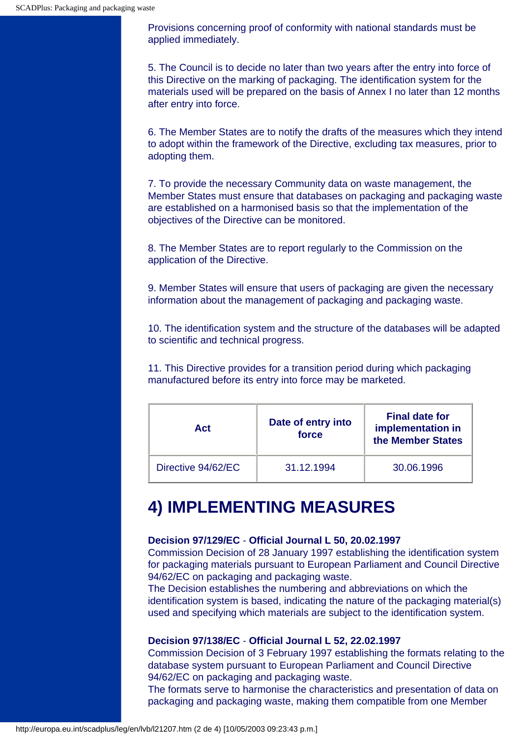Provisions concerning proof of conformity with national standards must be applied immediately.

5. The Council is to decide no later than two years after the entry into force of this Directive on the marking of packaging. The identification system for the materials used will be prepared on the basis of Annex I no later than 12 months after entry into force.

6. The Member States are to notify the drafts of the measures which they intend to adopt within the framework of the Directive, excluding tax measures, prior to adopting them.

7. To provide the necessary Community data on waste management, the Member States must ensure that databases on packaging and packaging waste are established on a harmonised basis so that the implementation of the objectives of the Directive can be monitored.

8. The Member States are to report regularly to the Commission on the application of the Directive.

9. Member States will ensure that users of packaging are given the necessary information about the management of packaging and packaging waste.

10. The identification system and the structure of the databases will be adapted to scientific and technical progress.

11. This Directive provides for a transition period during which packaging manufactured before its entry into force may be marketed.

| Act                | Date of entry into<br>force | <b>Final date for</b><br>implementation in<br>the Member States |
|--------------------|-----------------------------|-----------------------------------------------------------------|
| Directive 94/62/EC | 31.12.1994                  | 30.06.1996                                                      |

## **4) IMPLEMENTING MEASURES**

### **Decision 97/129/EC** - **Official Journal L 50, 20.02.1997**

Commission Decision of 28 January 1997 establishing the identification system for packaging materials pursuant to European Parliament and Council Directive 94/62/EC on packaging and packaging waste.

The Decision establishes the numbering and abbreviations on which the identification system is based, indicating the nature of the packaging material(s) used and specifying which materials are subject to the identification system.

### **Decision 97/138/EC** - **Official Journal L 52, 22.02.1997**

Commission Decision of 3 February 1997 establishing the formats relating to the database system pursuant to European Parliament and Council Directive 94/62/EC on packaging and packaging waste.

The formats serve to harmonise the characteristics and presentation of data on packaging and packaging waste, making them compatible from one Member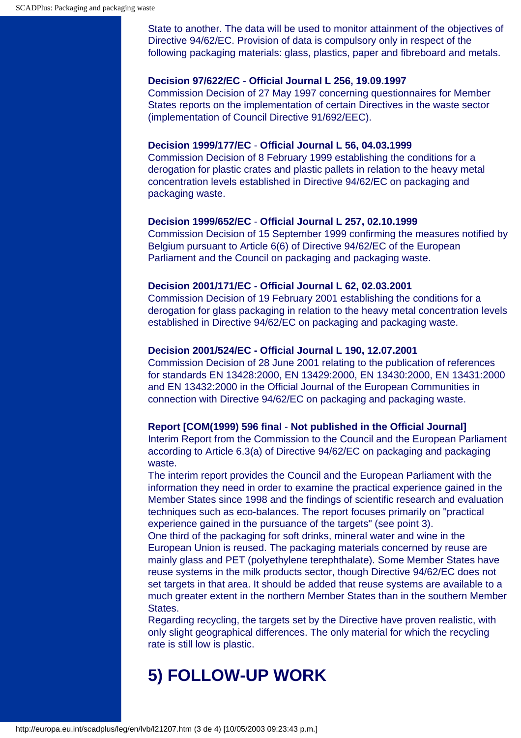State to another. The data will be used to monitor attainment of the objectives of Directive 94/62/EC. Provision of data is compulsory only in respect of the following packaging materials: glass, plastics, paper and fibreboard and metals.

### **Decision 97/622/EC** - **Official Journal L 256, 19.09.1997**

Commission Decision of 27 May 1997 concerning questionnaires for Member States reports on the implementation of certain Directives in the waste sector (implementation of Council Directive 91/692/EEC).

### **Decision 1999/177/EC** - **Official Journal L 56, 04.03.1999**

Commission Decision of 8 February 1999 establishing the conditions for a derogation for plastic crates and plastic pallets in relation to the heavy metal concentration levels established in Directive 94/62/EC on packaging and packaging waste.

### **Decision 1999/652/EC** - **Official Journal L 257, 02.10.1999**

Commission Decision of 15 September 1999 confirming the measures notified by Belgium pursuant to Article 6(6) of Directive 94/62/EC of the European Parliament and the Council on packaging and packaging waste.

### **Decision 2001/171/EC - Official Journal L 62, 02.03.2001**

Commission Decision of 19 February 2001 establishing the conditions for a derogation for glass packaging in relation to the heavy metal concentration levels established in Directive 94/62/EC on packaging and packaging waste.

### **Decision 2001/524/EC - Official Journal L 190, 12.07.2001**

Commission Decision of 28 June 2001 relating to the publication of references for standards EN 13428:2000, EN 13429:2000, EN 13430:2000, EN 13431:2000 and EN 13432:2000 in the Official Journal of the European Communities in connection with Directive 94/62/EC on packaging and packaging waste.

### **Report [COM(1999) 596 final** - **Not published in the Official Journal]**

Interim Report from the Commission to the Council and the European Parliament according to Article 6.3(a) of Directive 94/62/EC on packaging and packaging waste.

The interim report provides the Council and the European Parliament with the information they need in order to examine the practical experience gained in the Member States since 1998 and the findings of scientific research and evaluation techniques such as eco-balances. The report focuses primarily on "practical experience gained in the pursuance of the targets" (see point 3).

One third of the packaging for soft drinks, mineral water and wine in the European Union is reused. The packaging materials concerned by reuse are mainly glass and PET (polyethylene terephthalate). Some Member States have reuse systems in the milk products sector, though Directive 94/62/EC does not set targets in that area. It should be added that reuse systems are available to a much greater extent in the northern Member States than in the southern Member States.

Regarding recycling, the targets set by the Directive have proven realistic, with only slight geographical differences. The only material for which the recycling rate is still low is plastic.

## **5) FOLLOW-UP WORK**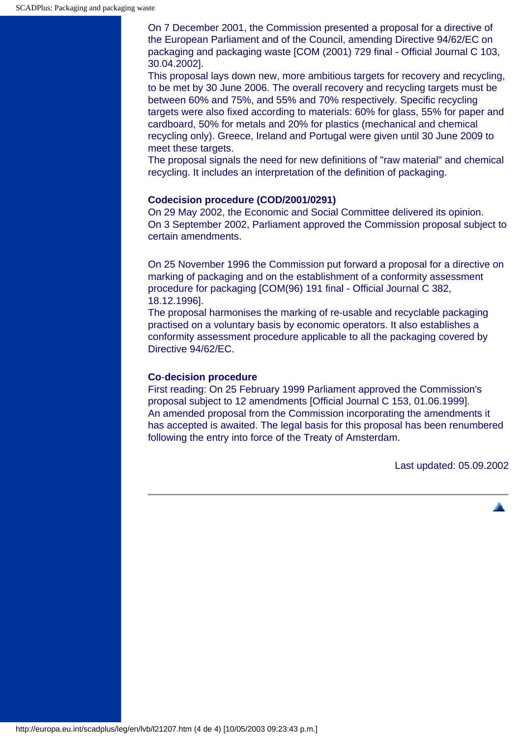On 7 December 2001, the Commission presented a proposal for a directive of the European Parliament and of the Council, amending Directive 94/62/EC on packaging and packaging waste [COM (2001) 729 final - Official Journal C 103, 30.04.2002].

This proposal lays down new, more ambitious targets for recovery and recycling, to be met by 30 June 2006. The overall recovery and recycling targets must be between 60% and 75%, and 55% and 70% respectively. Specific recycling targets were also fixed according to materials: 60% for glass, 55% for paper and cardboard, 50% for metals and 20% for plastics (mechanical and chemical recycling only). Greece, Ireland and Portugal were given until 30 June 2009 to meet these targets.

The proposal signals the need for new definitions of "raw material" and chemical recycling. It includes an interpretation of the definition of packaging.

### **Codecision procedure (COD/2001/0291)**

On 29 May 2002, the Economic and Social Committee delivered its opinion. On 3 September 2002, Parliament approved the Commission proposal subject to certain amendments.

On 25 November 1996 the Commission put forward a proposal for a directive on marking of packaging and on the establishment of a conformity assessment procedure for packaging [COM(96) 191 final - Official Journal C 382, 18.12.1996].

The proposal harmonises the marking of re-usable and recyclable packaging practised on a voluntary basis by economic operators. It also establishes a conformity assessment procedure applicable to all the packaging covered by Directive 94/62/EC.

### **Co**-**decision procedure**

First reading: On 25 February 1999 Parliament approved the Commission's proposal subject to 12 amendments [Official Journal C 153, 01.06.1999]. An amended proposal from the Commission incorporating the amendments it has accepted is awaited. The legal basis for this proposal has been renumbered following the entry into force of the Treaty of Amsterdam.

Last updated: 05.09.2002

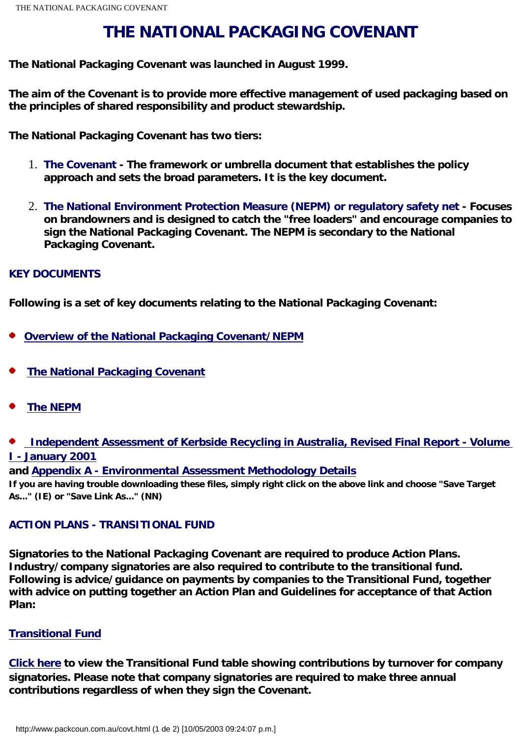## <span id="page-53-0"></span>**THE NATIONAL PACKAGING COVENANT**

**The National Packaging Covenant was launched in August 1999.**

**The aim of the Covenant is to provide more effective management of used packaging based on the principles of shared responsibility and product stewardship.**

**The National Packaging Covenant has two tiers:**

- 1. **The Covenant The framework or umbrella document that establishes the policy approach and sets the broad parameters. It is the key document.**
- 2. **The National Environment Protection Measure (NEPM) or regulatory safety net Focuses on brandowners and is designed to catch the "free loaders" and encourage companies to sign the National Packaging Covenant. The NEPM is secondary to the National Packaging Covenant.**

## **KEY DOCUMENTS**

**Following is a set of key documents relating to the National Packaging Covenant:**

- **[Overview of the National Packaging Covenant/NEPM](http://www.packcoun.com.au/covtoverview.html)**
- **[The National Packaging Covenant](http://www.packcoun.com.au/NPC.htm)**
- **[The NEPM](http://www.packcoun.com.au/finalnepm.html)**
- **[Independent Assessment of Kerbside Recycling in Australia, Revised Final Report Volume](http://www.packcoun.com.au/NPC-FINAL-01.PDF)  [I - January 2001](http://www.packcoun.com.au/NPC-FINAL-01.PDF)**

**and [Appendix A - Environmental Assessment Methodology Details](http://www.packcoun.com.au/NPC-FinalAppendices-01.PDF)**

**If you are having trouble downloading these files, simply right click on the above link and choose "Save Target As..." (IE) or "Save Link As..." (NN)**

## **ACTION PLANS - TRANSITIONAL FUND**

**Signatories to the National Packaging Covenant are required to produce Action Plans. Industry/company signatories are also required to contribute to the transitional fund. Following is advice/guidance on payments by companies to the Transitional Fund, together with advice on putting together an Action Plan and Guidelines for acceptance of that Action Plan:** 

## **Transitional Fund**

**[Click here](http://www.packcoun.com.au/transitional_fund.html) to view the Transitional Fund table showing contributions by turnover for company signatories. Please note that company signatories are required to make three annual contributions regardless of when they sign the Covenant.**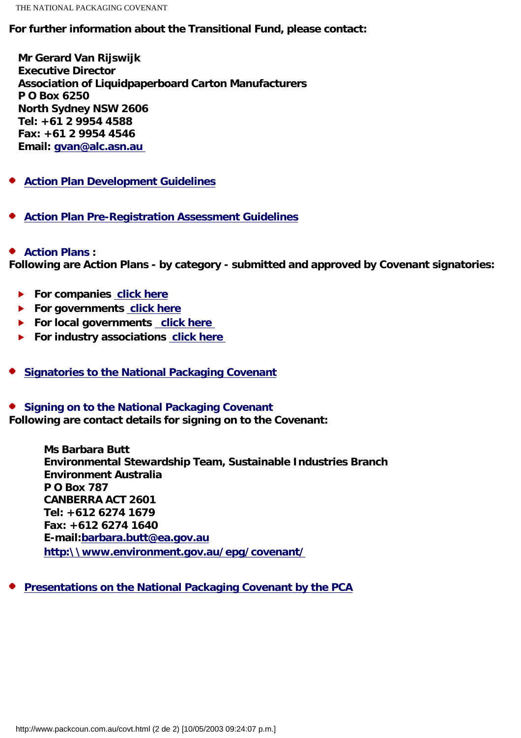THE NATIONAL PACKAGING COVENANT

## **For further information about the Transitional Fund, please contact:**

 **Mr Gerard Van Rijswijk Executive Director Association of Liquidpaperboard Carton Manufacturers P O Box 6250 North Sydney NSW 2606 Tel: +61 2 9954 4588 Fax: +61 2 9954 4546 Email: [gvan@alc.asn.au](mailto:gvan@alc.asn.au)** 

- **[Action Plan Development Guidelines](http://www.ea.gov.au/industry/waste/covenant/kit.html%20)**
- **[Action Plan Pre-Registration Assessment Guidelines](http://www.packcoun.com.au/preregassguidelines.html)**

## **Action Plans :**

**Following are Action Plans - by category - submitted and approved by Covenant signatories:**

- **For companies [click here](http://www.packcoun.com.au/ap_companies.htm)**
- **For governments [click here](http://www.packcoun.com.au/ap_govts.htm)**
- **For local governments [click here](http://www.packcoun.com.au/ap_localgovt.htm)**
- **For industry associations [click here](http://www.packcoun.com.au/ap_assoc.htm)**
- **[Signatories to the National Packaging Covenant](http://www.packcoun.com.au/covtsign1.html)**

### **Signing on to the National Packaging Covenant**

**Following are contact details for signing on to the Covenant:**

**Ms Barbara Butt Environmental Stewardship Team, Sustainable Industries Branch Environment Australia P O Box 787 CANBERRA ACT 2601 Tel: +612 6274 1679 Fax: +612 6274 1640 E-mail:[barbara.butt@ea.gov.au](mailto:barbara.butt@ea.gov.au) [http:\\www.environment.gov.au/epg/covenant/](http://www.packcoun.com.au/\\www.environment.gov.au/epg/covenant/)**

## **[Presentations on the National Packaging Covenant by the PCA](http://www.packcoun.com.au/speechpage.html)**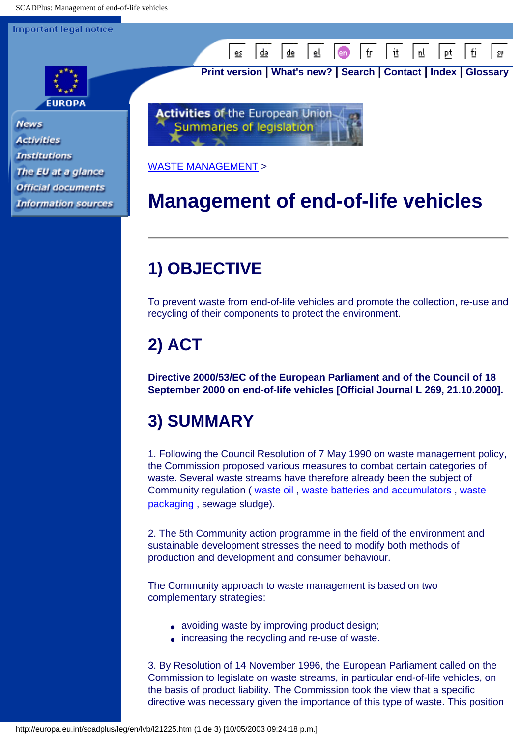#### <span id="page-55-0"></span>**Important legal notice**



**News Activities Institutions** The EU at a glance **Official documents Information sources** 



**[Print version](http://europa.eu.int/scadplus/printversion/en/lvb/l21225.htm) | [What's new?](http://europa.eu.int/geninfo/whatsnew.htm) | [Search](http://europa.eu.int/geninfo/query_en.htm) | [Contact](mailto:mailbox@scadplus.cec.eu.int) | [Index](http://europa.eu.int/scadplus/leg/en/index_01.htm) | [Glossary](http://europa.eu.int/scadplus/leg/en/cig/g4000.htm)**



[WASTE MANAGEMENT](http://europa.eu.int/scadplus/leg/en/s15002.htm) >

# **Management of end-of-life vehicles**

## **1) OBJECTIVE**

To prevent waste from end-of-life vehicles and promote the collection, re-use and recycling of their components to protect the environment.

# **2) ACT**

**Directive 2000/53/EC of the European Parliament and of the Council of 18 September 2000 on end**-**of**-**life vehicles [Official Journal L 269, 21.10.2000].**

# **3) SUMMARY**

1. Following the Council Resolution of 7 May 1990 on waste management policy, the Commission proposed various measures to combat certain categories of waste. Several waste streams have therefore already been the subject of Community regulation ( [waste oil](http://europa.eu.int/scadplus/leg/en/lvb/l21206.htm) , [waste batteries and accumulators](http://europa.eu.int/scadplus/leg/en/lvb/l21202.htm) , [waste](#page-49-1) [packaging](#page-49-1) , sewage sludge).

2. The 5th Community action programme in the field of the environment and sustainable development stresses the need to modify both methods of production and development and consumer behaviour.

The Community approach to waste management is based on two complementary strategies:

- avoiding waste by improving product design;
- increasing the recycling and re-use of waste.

3. By Resolution of 14 November 1996, the European Parliament called on the Commission to legislate on waste streams, in particular end-of-life vehicles, on the basis of product liability. The Commission took the view that a specific directive was necessary given the importance of this type of waste. This position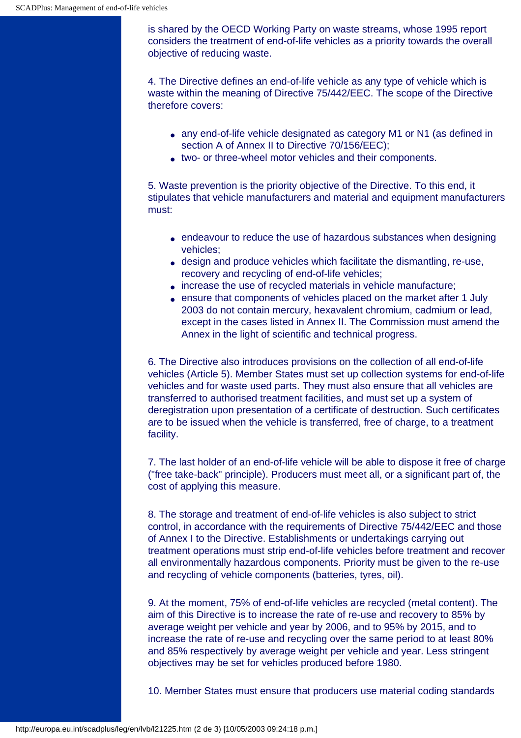is shared by the OECD Working Party on waste streams, whose 1995 report considers the treatment of end-of-life vehicles as a priority towards the overall objective of reducing waste.

4. The Directive defines an end-of-life vehicle as any type of vehicle which is waste within the meaning of Directive 75/442/EEC. The scope of the Directive therefore covers:

- any end-of-life vehicle designated as category M1 or N1 (as defined in section A of Annex II to Directive 70/156/EEC);
- two- or three-wheel motor vehicles and their components.

5. Waste prevention is the priority objective of the Directive. To this end, it stipulates that vehicle manufacturers and material and equipment manufacturers must:

- endeavour to reduce the use of hazardous substances when designing vehicles;
- design and produce vehicles which facilitate the dismantling, re-use, recovery and recycling of end-of-life vehicles;
- increase the use of recycled materials in vehicle manufacture;
- ensure that components of vehicles placed on the market after 1 July 2003 do not contain mercury, hexavalent chromium, cadmium or lead, except in the cases listed in Annex II. The Commission must amend the Annex in the light of scientific and technical progress.

6. The Directive also introduces provisions on the collection of all end-of-life vehicles (Article 5). Member States must set up collection systems for end-of-life vehicles and for waste used parts. They must also ensure that all vehicles are transferred to authorised treatment facilities, and must set up a system of deregistration upon presentation of a certificate of destruction. Such certificates are to be issued when the vehicle is transferred, free of charge, to a treatment facility.

7. The last holder of an end-of-life vehicle will be able to dispose it free of charge ("free take-back" principle). Producers must meet all, or a significant part of, the cost of applying this measure.

8. The storage and treatment of end-of-life vehicles is also subject to strict control, in accordance with the requirements of Directive 75/442/EEC and those of Annex I to the Directive. Establishments or undertakings carrying out treatment operations must strip end-of-life vehicles before treatment and recover all environmentally hazardous components. Priority must be given to the re-use and recycling of vehicle components (batteries, tyres, oil).

9. At the moment, 75% of end-of-life vehicles are recycled (metal content). The aim of this Directive is to increase the rate of re-use and recovery to 85% by average weight per vehicle and year by 2006, and to 95% by 2015, and to increase the rate of re-use and recycling over the same period to at least 80% and 85% respectively by average weight per vehicle and year. Less stringent objectives may be set for vehicles produced before 1980.

10. Member States must ensure that producers use material coding standards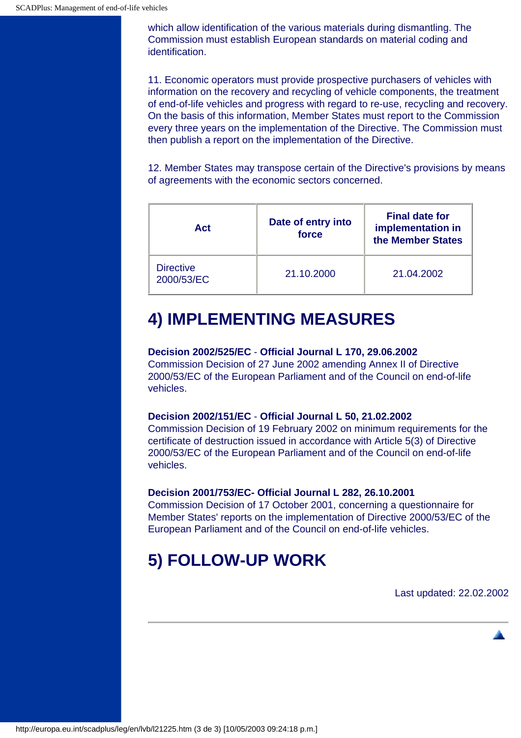which allow identification of the various materials during dismantling. The Commission must establish European standards on material coding and identification.

11. Economic operators must provide prospective purchasers of vehicles with information on the recovery and recycling of vehicle components, the treatment of end-of-life vehicles and progress with regard to re-use, recycling and recovery. On the basis of this information, Member States must report to the Commission every three years on the implementation of the Directive. The Commission must then publish a report on the implementation of the Directive.

12. Member States may transpose certain of the Directive's provisions by means of agreements with the economic sectors concerned.

| Act                            | Date of entry into<br>force | <b>Final date for</b><br>implementation in<br>the Member States |
|--------------------------------|-----------------------------|-----------------------------------------------------------------|
| <b>Directive</b><br>2000/53/EC | 21.10.2000                  | 21.04.2002                                                      |

## **4) IMPLEMENTING MEASURES**

**Decision 2002/525/EC** - **Official Journal L 170, 29.06.2002**

Commission Decision of 27 June 2002 amending Annex II of Directive 2000/53/EC of the European Parliament and of the Council on end-of-life vehicles.

## **Decision 2002/151/EC** - **Official Journal L 50, 21.02.2002**

Commission Decision of 19 February 2002 on minimum requirements for the certificate of destruction issued in accordance with Article 5(3) of Directive 2000/53/EC of the European Parliament and of the Council on end-of-life vehicles.

## **Decision 2001/753/EC- Official Journal L 282, 26.10.2001**

Commission Decision of 17 October 2001, concerning a questionnaire for Member States' reports on the implementation of Directive 2000/53/EC of the European Parliament and of the Council on end-of-life vehicles.

# **5) FOLLOW-UP WORK**

Last updated: 22.02.2002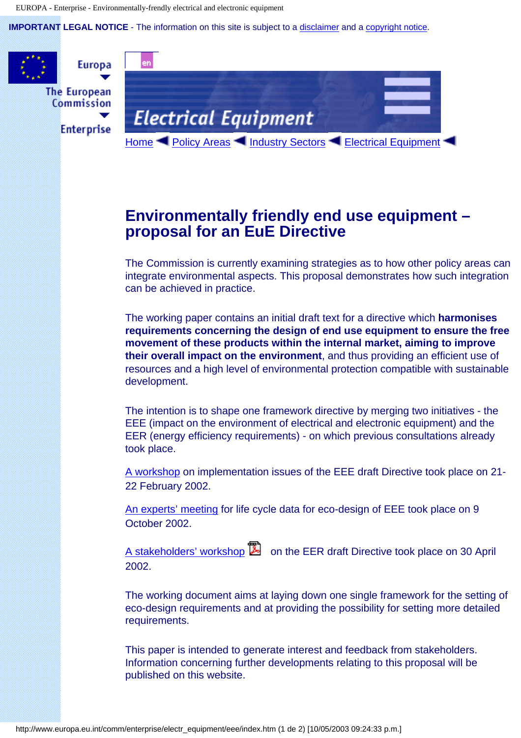<span id="page-58-0"></span>EUROPA - Enterprise - Environmentally-frendly electrical and electronic equipment

**IMPORTANT LEGAL NOTICE** - The information on this site is subject to a [disclaimer](http://www.europa.eu.int/geninfo/disclaimer_en.htm) and a [copyright notice.](http://www.europa.eu.int/geninfo/copyright_en.htm)



## **Environmentally friendly end use equipment – proposal for an EuE Directive**

The Commission is currently examining strategies as to how other policy areas can integrate environmental aspects. This proposal demonstrates how such integration can be achieved in practice.

The working paper contains an initial draft text for a directive which **harmonises requirements concerning the design of end use equipment to ensure the free movement of these products within the internal market, aiming to improve their overall impact on the environment**, and thus providing an efficient use of resources and a high level of environmental protection compatible with sustainable development.

The intention is to shape one framework directive by merging two initiatives - the EEE (impact on the environment of electrical and electronic equipment) and the EER (energy efficiency requirements) - on which previous consultations already took place.

[A workshop](http://www.europa.eu.int/comm/enterprise/electr_equipment/eee/workshop.htm) on implementation issues of the EEE draft Directive took place on 21- 22 February 2002.

[An experts' meeting](http://www.europa.eu.int/comm/enterprise/electr_equipment/eee/workshop9-10-02/index.htm) for life cycle data for eco-design of EEE took place on 9 October 2002.

[A stakeholders' workshop](http://www.europa.eu.int/comm/enterprise/electr_equipment/eee/stakeholderspresentation.pdf) **30** on the EER draft Directive took place on 30 April 2002.

The working document aims at laying down one single framework for the setting of eco-design requirements and at providing the possibility for setting more detailed requirements.

This paper is intended to generate interest and feedback from stakeholders. Information concerning further developments relating to this proposal will be published on this website.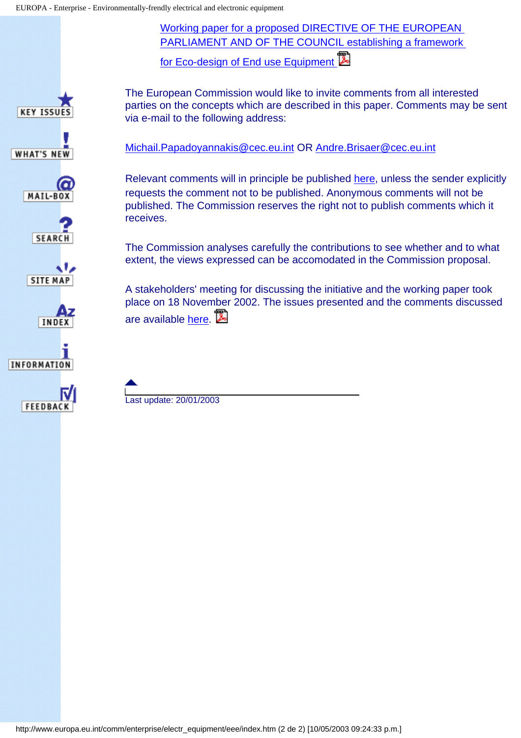[Working paper for a proposed DIRECTIVE OF THE EUROPEAN](http://www.europa.eu.int/comm/enterprise/electr_equipment/eee/workdoc09102002.pdf) [PARLIAMENT AND OF THE COUNCIL establishing a framework](http://www.europa.eu.int/comm/enterprise/electr_equipment/eee/workdoc09102002.pdf) for Eco-design of End use Equipment

The European Commission would like to invite comments from all interested parties on the concepts which are described in this paper. Comments may be sent via e-mail to the following address:

**WHAT'S NEW** 

**KEY ISSUE** 













[Michail.Papadoyannakis@cec.eu.int](mailto:Michail.papadoyannakis@cec.eu.int) OR [Andre.Brisaer@cec.eu.int](mailto:andre.brisaer@cec.eu.int)

Relevant comments will in principle be published [here](http://www.europa.eu.int/comm/enterprise/electr_equipment/eee/comments/index.htm), unless the sender explicitly requests the comment not to be published. Anonymous comments will not be published. The Commission reserves the right not to publish comments which it receives.

The Commission analyses carefully the contributions to see whether and to what extent, the views expressed can be accomodated in the Commission proposal.

A stakeholders' meeting for discussing the initiative and the working paper took place on 18 November 2002. The issues presented and the comments discussed are available [here](http://www.europa.eu.int/comm/enterprise/electr_equipment/eee/eue20021118.pdf).

Last update: 20/01/2003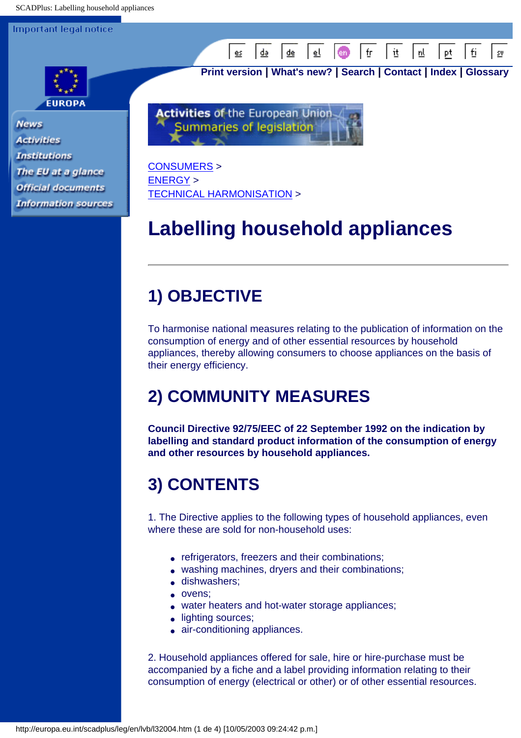### <span id="page-60-0"></span>**Important legal notice**



**News Activities Institutions** The EU at a glance **Official documents Information sources** 

 $|$  pt l≘s ∶ ∐£i ls⊻

**[Print version](http://europa.eu.int/scadplus/printversion/en/lvb/l32004.htm) | [What's new?](http://europa.eu.int/geninfo/whatsnew.htm) | [Search](http://europa.eu.int/geninfo/query_en.htm) | [Contact](mailto:mailbox@scadplus.cec.eu.int) | [Index](http://europa.eu.int/scadplus/leg/en/index_01.htm) | [Glossary](http://europa.eu.int/scadplus/leg/en/cig/g4000.htm)**

**Activities of the European Union** Summaries of legislation

[CONSUMERS](http://europa.eu.int/scadplus/leg/en/s16000.htm) > [ENERGY](http://europa.eu.int/scadplus/leg/en/s14000.htm) > [TECHNICAL HARMONISATION](http://europa.eu.int/scadplus/leg/en/s06011.htm) >

# **Labelling household appliances**

## **1) OBJECTIVE**

To harmonise national measures relating to the publication of information on the consumption of energy and of other essential resources by household appliances, thereby allowing consumers to choose appliances on the basis of their energy efficiency.

# **2) COMMUNITY MEASURES**

**Council Directive 92/75/EEC of 22 September 1992 on the indication by labelling and standard product information of the consumption of energy and other resources by household appliances.**

# **3) CONTENTS**

1. The Directive applies to the following types of household appliances, even where these are sold for non-household uses:

- refrigerators, freezers and their combinations;
- washing machines, dryers and their combinations;
- dishwashers:
- ovens;
- water heaters and hot-water storage appliances;
- lighting sources;
- air-conditioning appliances.

2. Household appliances offered for sale, hire or hire-purchase must be accompanied by a fiche and a label providing information relating to their consumption of energy (electrical or other) or of other essential resources.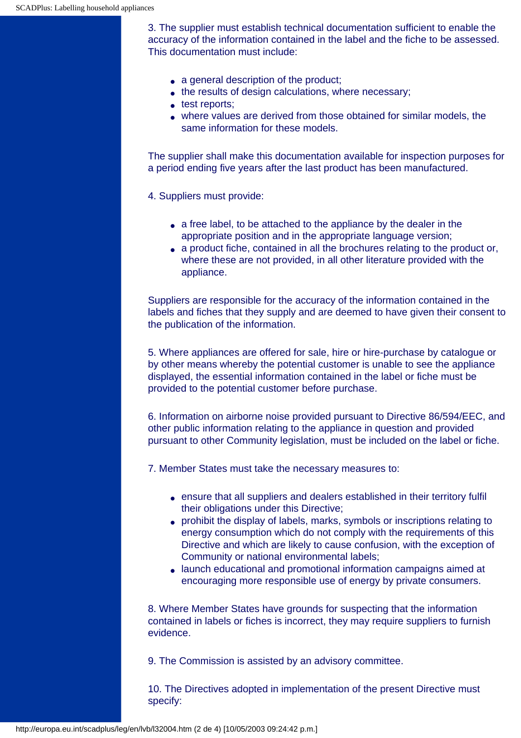3. The supplier must establish technical documentation sufficient to enable the accuracy of the information contained in the label and the fiche to be assessed. This documentation must include:

- a general description of the product;
- the results of design calculations, where necessary;
- test reports:
- where values are derived from those obtained for similar models, the same information for these models.

The supplier shall make this documentation available for inspection purposes for a period ending five years after the last product has been manufactured.

4. Suppliers must provide:

- a free label, to be attached to the appliance by the dealer in the appropriate position and in the appropriate language version;
- a product fiche, contained in all the brochures relating to the product or, where these are not provided, in all other literature provided with the appliance.

Suppliers are responsible for the accuracy of the information contained in the labels and fiches that they supply and are deemed to have given their consent to the publication of the information.

5. Where appliances are offered for sale, hire or hire-purchase by catalogue or by other means whereby the potential customer is unable to see the appliance displayed, the essential information contained in the label or fiche must be provided to the potential customer before purchase.

6. Information on airborne noise provided pursuant to Directive 86/594/EEC, and other public information relating to the appliance in question and provided pursuant to other Community legislation, must be included on the label or fiche.

7. Member States must take the necessary measures to:

- ensure that all suppliers and dealers established in their territory fulfil their obligations under this Directive;
- prohibit the display of labels, marks, symbols or inscriptions relating to energy consumption which do not comply with the requirements of this Directive and which are likely to cause confusion, with the exception of Community or national environmental labels;
- launch educational and promotional information campaigns aimed at encouraging more responsible use of energy by private consumers.

8. Where Member States have grounds for suspecting that the information contained in labels or fiches is incorrect, they may require suppliers to furnish evidence.

9. The Commission is assisted by an advisory committee.

10. The Directives adopted in implementation of the present Directive must specify: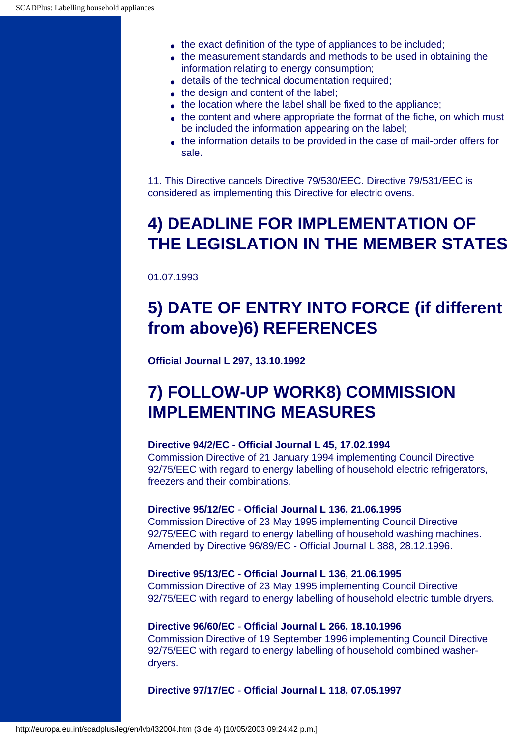- the exact definition of the type of appliances to be included;
- the measurement standards and methods to be used in obtaining the information relating to energy consumption;
- details of the technical documentation required;
- the design and content of the label;
- the location where the label shall be fixed to the appliance;
- the content and where appropriate the format of the fiche, on which must be included the information appearing on the label;
- the information details to be provided in the case of mail-order offers for sale.

11. This Directive cancels Directive 79/530/EEC. Directive 79/531/EEC is considered as implementing this Directive for electric ovens.

# **4) DEADLINE FOR IMPLEMENTATION OF THE LEGISLATION IN THE MEMBER STATES**

01.07.1993

# **5) DATE OF ENTRY INTO FORCE (if different from above)6) REFERENCES**

**Official Journal L 297, 13.10.1992**

# **7) FOLLOW-UP WORK8) COMMISSION IMPLEMENTING MEASURES**

### **Directive 94/2/EC** - **Official Journal L 45, 17.02.1994**

Commission Directive of 21 January 1994 implementing Council Directive 92/75/EEC with regard to energy labelling of household electric refrigerators, freezers and their combinations.

### **Directive 95/12/EC** - **Official Journal L 136, 21.06.1995**

Commission Directive of 23 May 1995 implementing Council Directive 92/75/EEC with regard to energy labelling of household washing machines. Amended by Directive 96/89/EC - Official Journal L 388, 28.12.1996.

### **Directive 95/13/EC** - **Official Journal L 136, 21.06.1995**

Commission Directive of 23 May 1995 implementing Council Directive 92/75/EEC with regard to energy labelling of household electric tumble dryers.

### **Directive 96/60/EC** - **Official Journal L 266, 18.10.1996**

Commission Directive of 19 September 1996 implementing Council Directive 92/75/EEC with regard to energy labelling of household combined washerdryers.

### **Directive 97/17/EC** - **Official Journal L 118, 07.05.1997**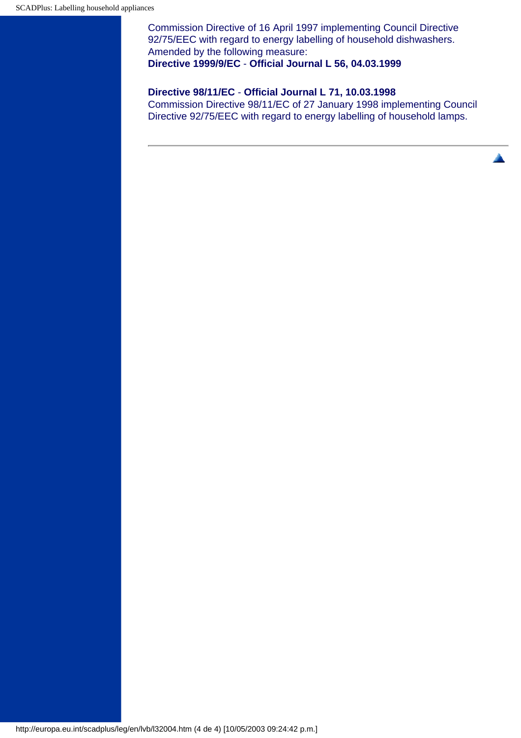Commission Directive of 16 April 1997 implementing Council Directive 92/75/EEC with regard to energy labelling of household dishwashers. Amended by the following measure: **Directive 1999/9/EC** - **Official Journal L 56, 04.03.1999**

## **Directive 98/11/EC** - **Official Journal L 71, 10.03.1998**

Commission Directive 98/11/EC of 27 January 1998 implementing Council Directive 92/75/EEC with regard to energy labelling of household lamps.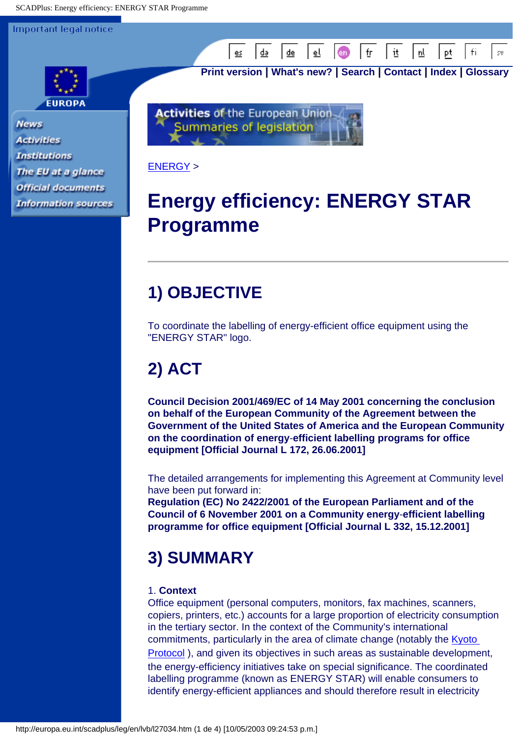#### <span id="page-64-0"></span>**Important legal notice**



**News Activities Institutions** The EU at a glance **Official documents Information sources** 

 $\frac{d}{d}$  $|_{pt}|$ | fi | sv l≘⊴

**[Print version](http://europa.eu.int/scadplus/printversion/en/lvb/l27034.htm) | [What's new?](http://europa.eu.int/geninfo/whatsnew.htm) | [Search](http://europa.eu.int/geninfo/query_en.htm) | [Contact](mailto:mailbox@scadplus.cec.eu.int) | [Index](http://europa.eu.int/scadplus/leg/en/index_01.htm) | [Glossary](http://europa.eu.int/scadplus/leg/en/cig/g4000.htm)**

**Activities of the European Union** Summaries of legislation

[ENERGY](http://europa.eu.int/scadplus/leg/en/s14000.htm) >

# **Energy efficiency: ENERGY STAR Programme**

## **1) OBJECTIVE**

To coordinate the labelling of energy-efficient office equipment using the "ENERGY STAR" logo.

# **2) ACT**

**Council Decision 2001/469/EC of 14 May 2001 concerning the conclusion on behalf of the European Community of the Agreement between the Government of the United States of America and the European Community on the coordination of energy**-**efficient labelling programs for office equipment [Official Journal L 172, 26.06.2001]**

The detailed arrangements for implementing this Agreement at Community level have been put forward in:

**Regulation (EC) No 2422/2001 of the European Parliament and of the Council of 6 November 2001 on a Community energy**-**efficient labelling programme for office equipment [Official Journal L 332, 15.12.2001]**

## **3) SUMMARY**

### 1. **Context**

Office equipment (personal computers, monitors, fax machines, scanners, copiers, printers, etc.) accounts for a large proportion of electricity consumption in the tertiary sector. In the context of the Community's international commitments, particularly in the area of climate change (notably the [Kyoto](http://europa.eu.int/scadplus/leg/en/lvb/l28060.htm)  [Protocol](http://europa.eu.int/scadplus/leg/en/lvb/l28060.htm) ), and given its objectives in such areas as sustainable development, the energy-efficiency initiatives take on special significance. The coordinated labelling programme (known as ENERGY STAR) will enable consumers to identify energy-efficient appliances and should therefore result in electricity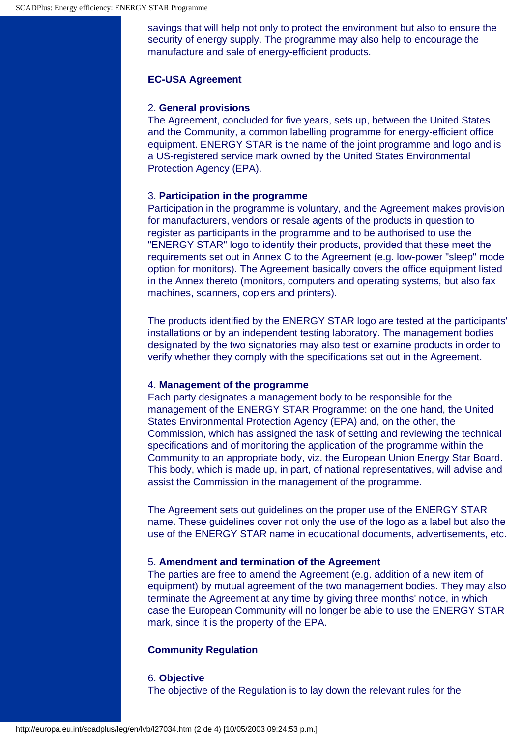savings that will help not only to protect the environment but also to ensure the security of energy supply. The programme may also help to encourage the manufacture and sale of energy-efficient products.

### **EC-USA Agreement**

### 2. **General provisions**

The Agreement, concluded for five years, sets up, between the United States and the Community, a common labelling programme for energy-efficient office equipment. ENERGY STAR is the name of the joint programme and logo and is a US-registered service mark owned by the United States Environmental Protection Agency (EPA).

#### 3. **Participation in the programme**

Participation in the programme is voluntary, and the Agreement makes provision for manufacturers, vendors or resale agents of the products in question to register as participants in the programme and to be authorised to use the "ENERGY STAR" logo to identify their products, provided that these meet the requirements set out in Annex C to the Agreement (e.g. low-power "sleep" mode option for monitors). The Agreement basically covers the office equipment listed in the Annex thereto (monitors, computers and operating systems, but also fax machines, scanners, copiers and printers).

The products identified by the ENERGY STAR logo are tested at the participants' installations or by an independent testing laboratory. The management bodies designated by the two signatories may also test or examine products in order to verify whether they comply with the specifications set out in the Agreement.

#### 4. **Management of the programme**

Each party designates a management body to be responsible for the management of the ENERGY STAR Programme: on the one hand, the United States Environmental Protection Agency (EPA) and, on the other, the Commission, which has assigned the task of setting and reviewing the technical specifications and of monitoring the application of the programme within the Community to an appropriate body, viz. the European Union Energy Star Board. This body, which is made up, in part, of national representatives, will advise and assist the Commission in the management of the programme.

The Agreement sets out guidelines on the proper use of the ENERGY STAR name. These guidelines cover not only the use of the logo as a label but also the use of the ENERGY STAR name in educational documents, advertisements, etc.

### 5. **Amendment and termination of the Agreement**

The parties are free to amend the Agreement (e.g. addition of a new item of equipment) by mutual agreement of the two management bodies. They may also terminate the Agreement at any time by giving three months' notice, in which case the European Community will no longer be able to use the ENERGY STAR mark, since it is the property of the EPA.

### **Community Regulation**

#### 6. **Objective**

The objective of the Regulation is to lay down the relevant rules for the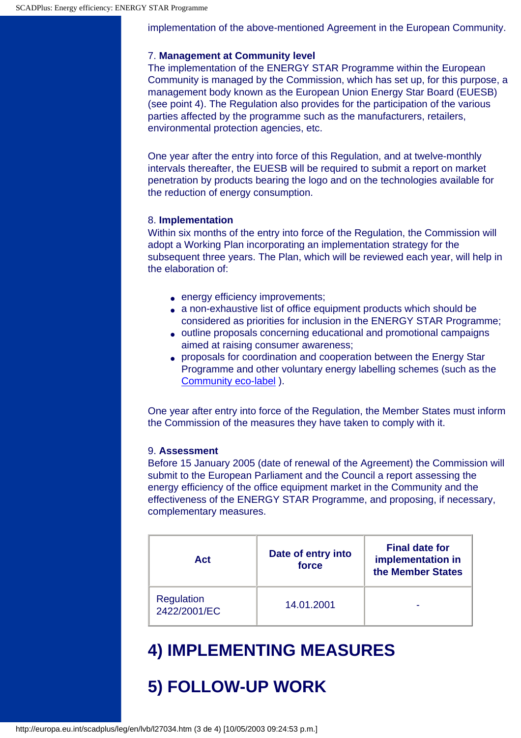implementation of the above-mentioned Agreement in the European Community.

## 7. **Management at Community level**

The implementation of the ENERGY STAR Programme within the European Community is managed by the Commission, which has set up, for this purpose, a management body known as the European Union Energy Star Board (EUESB) (see point 4). The Regulation also provides for the participation of the various parties affected by the programme such as the manufacturers, retailers, environmental protection agencies, etc.

One year after the entry into force of this Regulation, and at twelve-monthly intervals thereafter, the EUESB will be required to submit a report on market penetration by products bearing the logo and on the technologies available for the reduction of energy consumption.

### 8. **Implementation**

Within six months of the entry into force of the Regulation, the Commission will adopt a Working Plan incorporating an implementation strategy for the subsequent three years. The Plan, which will be reviewed each year, will help in the elaboration of:

- energy efficiency improvements;
- a non-exhaustive list of office equipment products which should be considered as priorities for inclusion in the ENERGY STAR Programme;
- outline proposals concerning educational and promotional campaigns aimed at raising consumer awareness;
- proposals for coordination and cooperation between the Energy Star Programme and other voluntary energy labelling schemes (such as the [Community eco-label](http://europa.eu.int/scadplus/leg/en/lvb/l28020.htm) ).

One year after entry into force of the Regulation, the Member States must inform the Commission of the measures they have taken to comply with it.

### 9. **Assessment**

Before 15 January 2005 (date of renewal of the Agreement) the Commission will submit to the European Parliament and the Council a report assessing the energy efficiency of the office equipment market in the Community and the effectiveness of the ENERGY STAR Programme, and proposing, if necessary, complementary measures.

| Act                        | Date of entry into<br>force | <b>Final date for</b><br>implementation in<br>the Member States |
|----------------------------|-----------------------------|-----------------------------------------------------------------|
| Regulation<br>2422/2001/EC | 14.01.2001                  |                                                                 |

# **4) IMPLEMENTING MEASURES**

# **5) FOLLOW-UP WORK**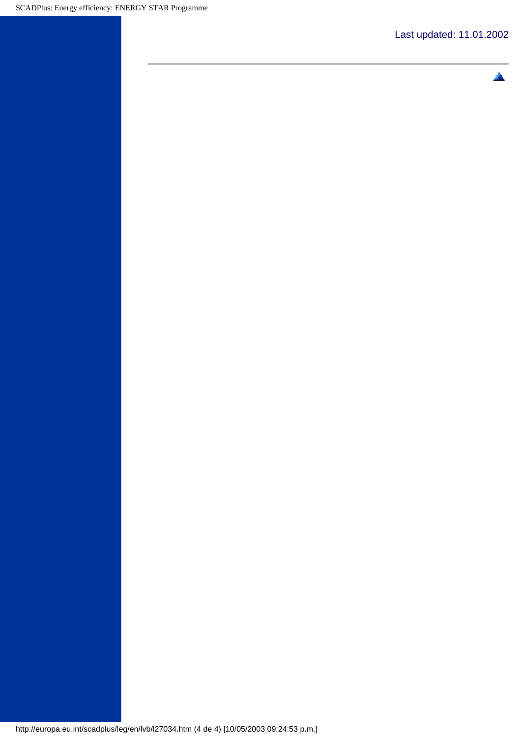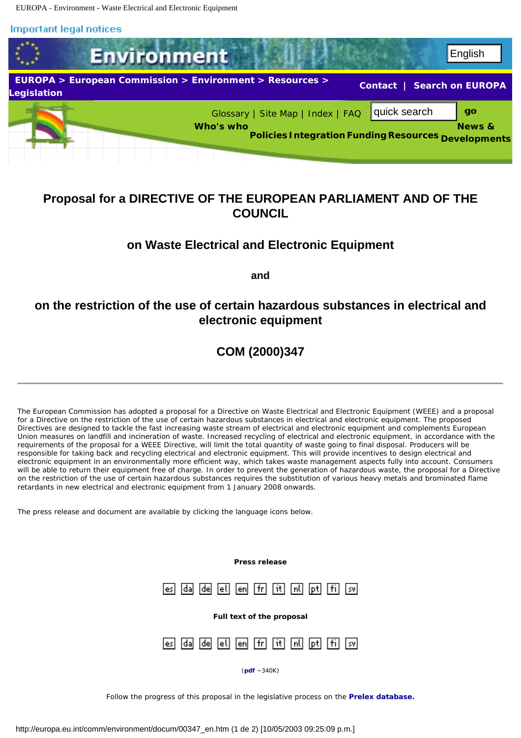<span id="page-68-0"></span>EUROPA - Environment - Waste Electrical and Electronic Equipment

#### <span id="page-68-1"></span>**Important legal notices**



## **Proposal for a DIRECTIVE OF THE EUROPEAN PARLIAMENT AND OF THE COUNCIL**

## **on Waste Electrical and Electronic Equipment**

**and**

## **on the restriction of the use of certain hazardous substances in electrical and electronic equipment**

**COM (2000)347**

The European Commission has adopted a proposal for a Directive on Waste Electrical and Electronic Equipment (WEEE) and a proposal for a Directive on the restriction of the use of certain hazardous substances in electrical and electronic equipment. The proposed Directives are designed to tackle the fast increasing waste stream of electrical and electronic equipment and complements European Union measures on landfill and incineration of waste. Increased recycling of electrical and electronic equipment, in accordance with the requirements of the proposal for a WEEE Directive, will limit the total quantity of waste going to final disposal. Producers will be responsible for taking back and recycling electrical and electronic equipment. This will provide incentives to design electrical and electronic equipment in an environmentally more efficient way, which takes waste management aspects fully into account. Consumers will be able to return their equipment free of charge. In order to prevent the generation of hazardous waste, the proposal for a Directive on the restriction of the use of certain hazardous substances requires the substitution of various heavy metals and brominated flame retardants in new electrical and electronic equipment from 1 January 2008 onwards.

The press release and document are available by clicking the language icons below.

**Press release**



**Full text of the proposal**



(**[pdf](http://europa.eu.int/comm/environment/pdfinfo.htm)** ~340K)

Follow the progress of this proposal in the legislative process on the **[Prelex database.](http://europa.eu.int/prelex/detail_dossier.cfm?CL=en&ReqId=0&DocType=COM&DocYear=2000 &DocNum=347)**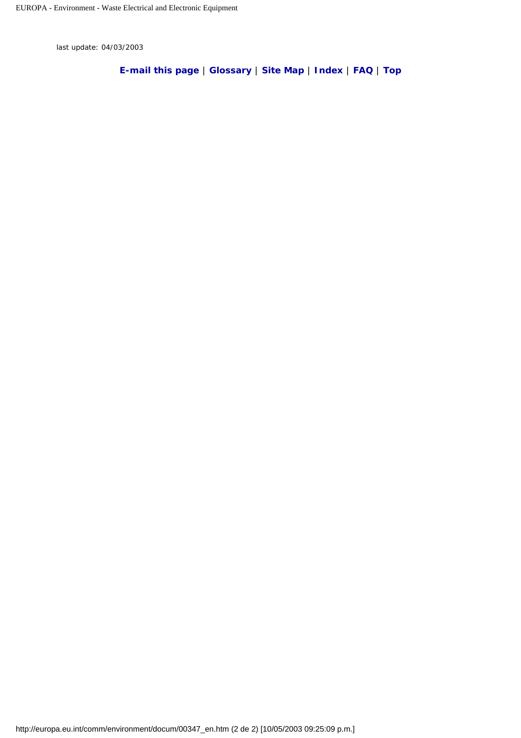last update: 04/03/2003

**[E-mail this page](http://europa.eu.int/comm/environment/mail/form_en.cfm)** | **[Glossary](http://europa.eu.int/comm/environment/glossary_en.htm)** | **[Site Map](http://europa.eu.int/comm/environment/sitemap_en.htm)** | **[Index](http://europa.eu.int/comm/environment/abc.htm)** | **[FAQ](http://europa.eu.int/comm/environment/faqs.htm)** | **[Top](#page-68-1)**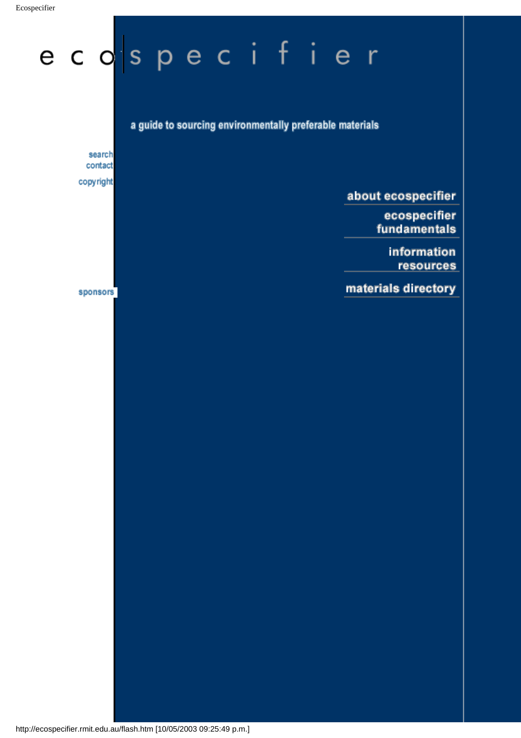<span id="page-70-0"></span>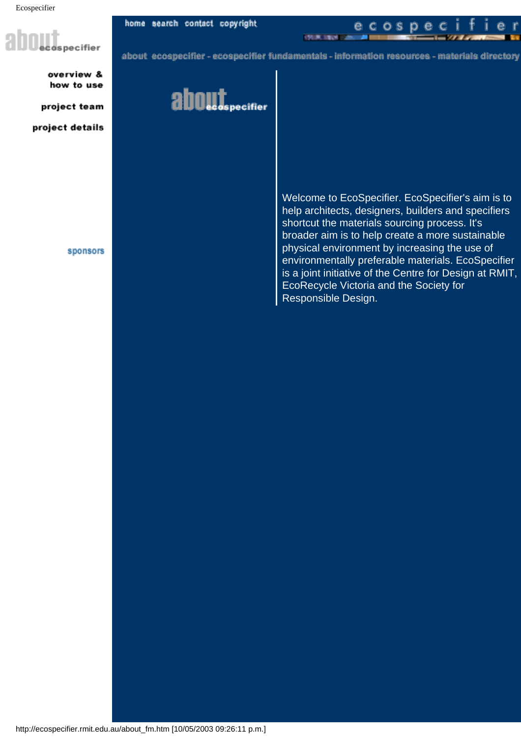Ecospecifier

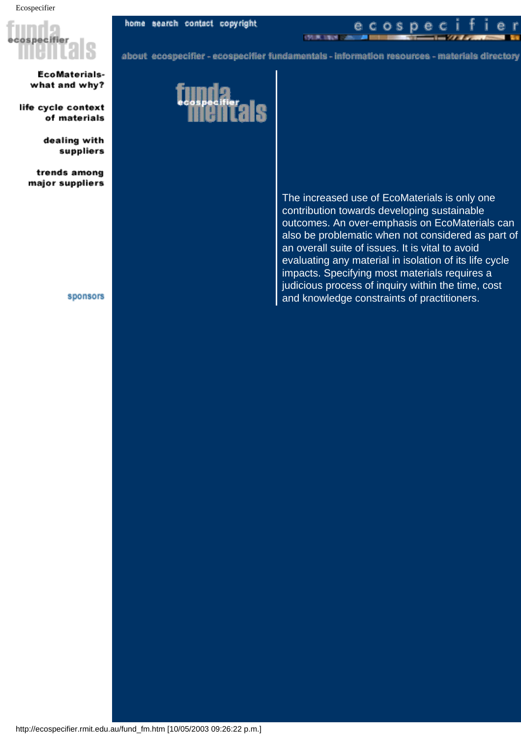home search contact copyright ospecifier

EcoMaterialswhat and why?

> dealing with suppliers

trends among major suppliers

life cycle context of materials about ecospecifier - ecospecifier fundamentals - information resources - materials directory

**CRUIT THEY** 



The increased use of EcoMaterials is only one contribution towards developing sustainable outcomes. An over-emphasis on EcoMaterials can also be problematic when not considered as part of an overall suite of issues. It is vital to avoid evaluating any material in isolation of its life cycle impacts. Specifying most materials requires a judicious process of inquiry within the time, cost and knowledge constraints of practitioners.

ecospe

sponsors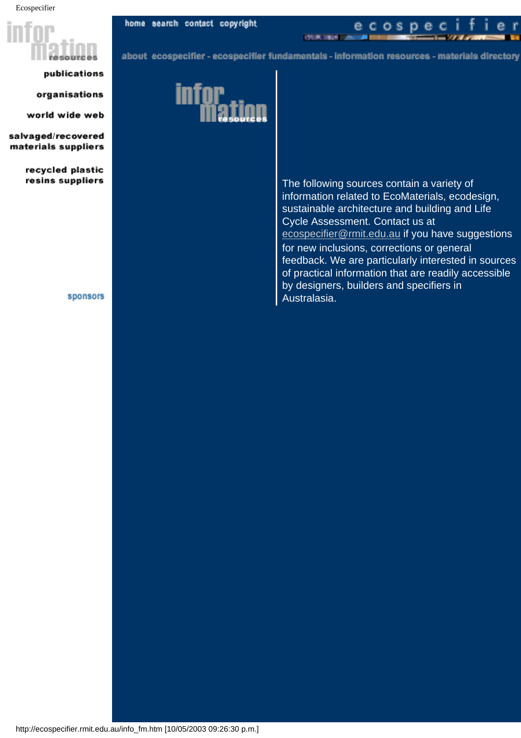publications

organisations

world wide web

salvaged/recovered materials suppliers

> recycled plastic resins suppliers

**infor** 

home search contact copyright

The following sources contain a variety of information related to EcoMaterials, ecodesign, sustainable architecture and building and Life Cycle Assessment. Contact us at ecospecifier@rmit.edu.au if you have suggestions for new inclusions, corrections or general feedback. We are particularly interested in sources of practical information that are readily accessible by designers, builders and specifiers in Australasia.

sponsors

ecospe

about ecospecifier - ecospecifier fundamentals - information resources - materials directory

**CRUIT TIBES**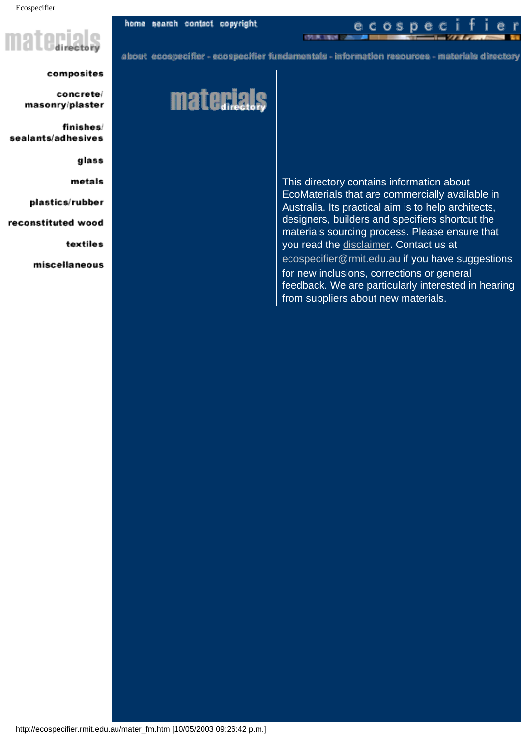#### home search contact copyright

about ecospecifier - ecospecifier fundamentals - information resources - materials directory

0910030001728

#### composites

concrete/ masonry/plaster

orio

finishes/ sealants/adhesives

glass

metals

plastics/rubber

reconstituted wood

textiles

miscellaneous

# **materials**

This directory contains information about EcoMaterials that are commercially available in Australia. Its practical aim is to help architects, designers, builders and specifiers shortcut the materials sourcing process. Please ensure that you read the disclaimer. Contact us at ecospecifier@rmit.edu.au if you have suggestions for new inclusions, corrections or general feedback. We are particularly interested in hearing from suppliers about new materials.

ecospe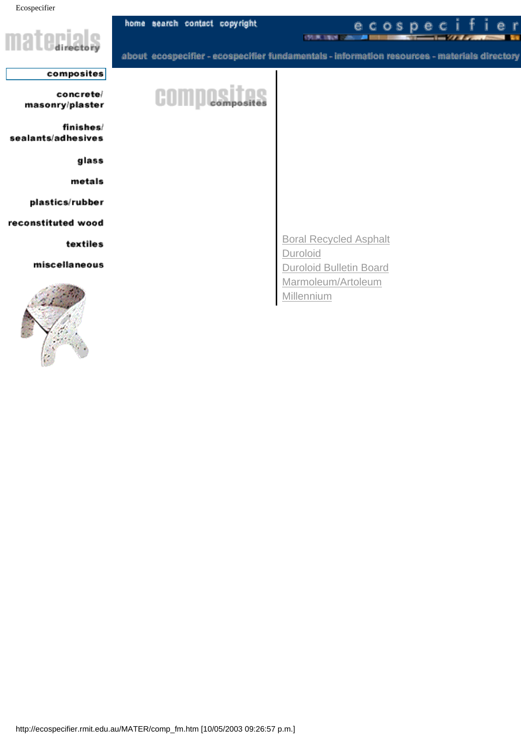### miolo directory

#### composites

concrete/ masonry/plaster

finishes/ sealants/adhesives

glass

metals

plastics/rubber

reconstituted wood

textiles

miscellaneous



composites com

home search contact copyright

**Boral Recycled Asphalt** Duroloid **Duroloid Bulletin Board** Marmoleum/Artoleum Millennium

about ecospecifier - ecospecifier fundamentals - information resources - materials directory

**GUREAN CALL #1** 

ecospec

e -r

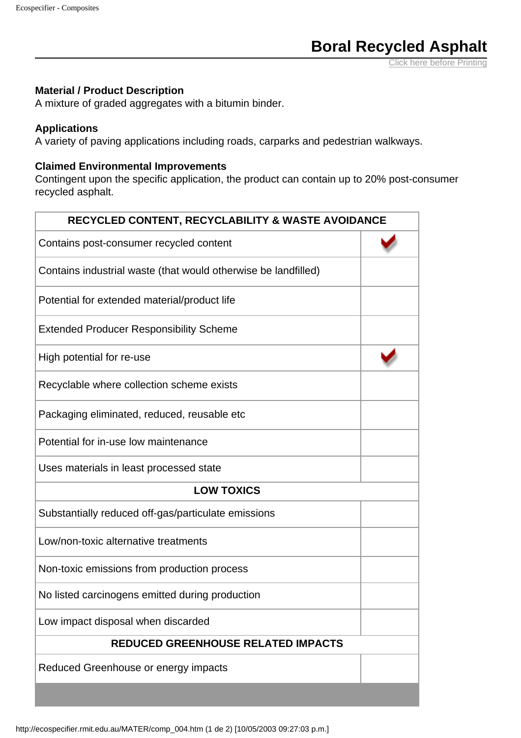## **Boral Recycled Asphalt**

[Click here before Printing](http://ecospecifier.rmit.edu.au/MATER/filename.htm)

#### <span id="page-76-0"></span>**Material / Product Description**

A mixture of graded aggregates with a bitumin binder.

#### **Applications**

A variety of paving applications including roads, carparks and pedestrian walkways.

#### **Claimed Environmental Improvements**

Contingent upon the specific application, the product can contain up to 20% post-consumer recycled asphalt.

| RECYCLED CONTENT, RECYCLABILITY & WASTE AVOIDANCE              |  |
|----------------------------------------------------------------|--|
| Contains post-consumer recycled content                        |  |
| Contains industrial waste (that would otherwise be landfilled) |  |
| Potential for extended material/product life                   |  |
| <b>Extended Producer Responsibility Scheme</b>                 |  |
| High potential for re-use                                      |  |
| Recyclable where collection scheme exists                      |  |
| Packaging eliminated, reduced, reusable etc                    |  |
| Potential for in-use low maintenance                           |  |
| Uses materials in least processed state                        |  |
| <b>LOW TOXICS</b>                                              |  |
| Substantially reduced off-gas/particulate emissions            |  |
| Low/non-toxic alternative treatments                           |  |
| Non-toxic emissions from production process                    |  |
| No listed carcinogens emitted during production                |  |
| Low impact disposal when discarded                             |  |
| <b>REDUCED GREENHOUSE RELATED IMPACTS</b>                      |  |
| Reduced Greenhouse or energy impacts                           |  |
|                                                                |  |

http://ecospecifier.rmit.edu.au/MATER/comp\_004.htm (1 de 2) [10/05/2003 09:27:03 p.m.]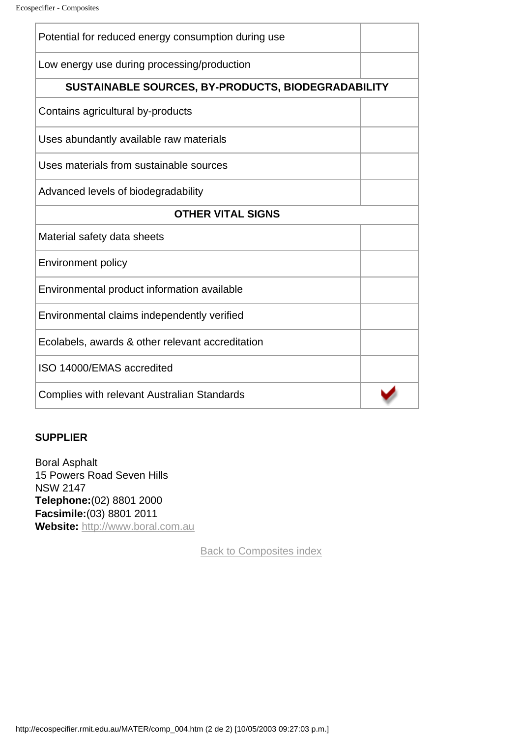| Potential for reduced energy consumption during use |  |
|-----------------------------------------------------|--|
| Low energy use during processing/production         |  |
| SUSTAINABLE SOURCES, BY-PRODUCTS, BIODEGRADABILITY  |  |
| Contains agricultural by-products                   |  |
| Uses abundantly available raw materials             |  |
| Uses materials from sustainable sources             |  |
| Advanced levels of biodegradability                 |  |
| <b>OTHER VITAL SIGNS</b>                            |  |
| Material safety data sheets                         |  |
| <b>Environment policy</b>                           |  |
| Environmental product information available         |  |
| Environmental claims independently verified         |  |
| Ecolabels, awards & other relevant accreditation    |  |
| ISO 14000/EMAS accredited                           |  |
| <b>Complies with relevant Australian Standards</b>  |  |

Boral Asphalt 15 Powers Road Seven Hills NSW 2147 **Telephone:**(02) 8801 2000 **Facsimile:**(03) 8801 2011 **Website:** [http://www.boral.com.au](http://www.boral.com.au/)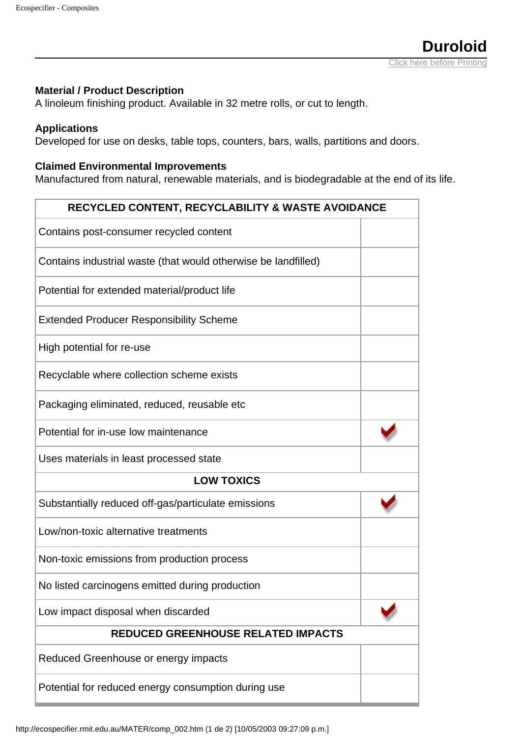#### <span id="page-78-0"></span>**Material / Product Description**

A linoleum finishing product. Available in 32 metre rolls, or cut to length.

#### **Applications**

Developed for use on desks, table tops, counters, bars, walls, partitions and doors.

#### **Claimed Environmental Improvements**

Manufactured from natural, renewable materials, and is biodegradable at the end of its life.

| RECYCLED CONTENT, RECYCLABILITY & WASTE AVOIDANCE              |  |
|----------------------------------------------------------------|--|
| Contains post-consumer recycled content                        |  |
| Contains industrial waste (that would otherwise be landfilled) |  |
| Potential for extended material/product life                   |  |
| <b>Extended Producer Responsibility Scheme</b>                 |  |
| High potential for re-use                                      |  |
| Recyclable where collection scheme exists                      |  |
| Packaging eliminated, reduced, reusable etc                    |  |
| Potential for in-use low maintenance                           |  |
| Uses materials in least processed state                        |  |
| <b>LOW TOXICS</b>                                              |  |
| Substantially reduced off-gas/particulate emissions            |  |
| Low/non-toxic alternative treatments                           |  |
| Non-toxic emissions from production process                    |  |
| No listed carcinogens emitted during production                |  |
| Low impact disposal when discarded                             |  |
| <b>REDUCED GREENHOUSE RELATED IMPACTS</b>                      |  |
| Reduced Greenhouse or energy impacts                           |  |
| Potential for reduced energy consumption during use            |  |

http://ecospecifier.rmit.edu.au/MATER/comp\_002.htm (1 de 2) [10/05/2003 09:27:09 p.m.]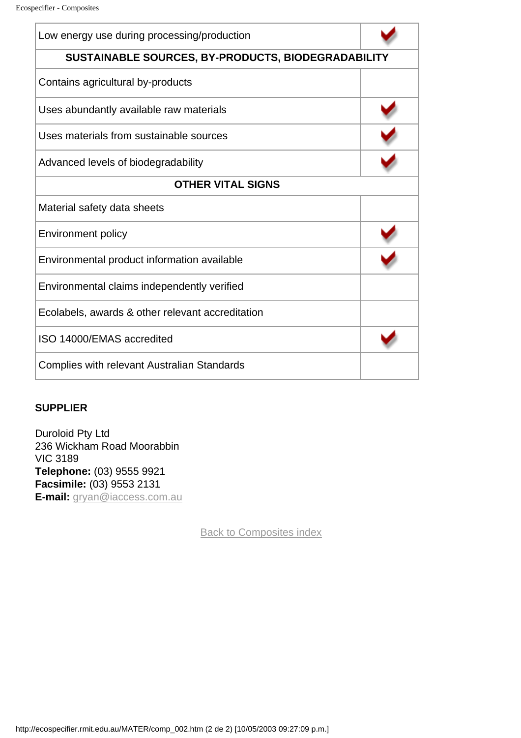| Low energy use during processing/production        |  |  |
|----------------------------------------------------|--|--|
| SUSTAINABLE SOURCES, BY-PRODUCTS, BIODEGRADABILITY |  |  |
| Contains agricultural by-products                  |  |  |
| Uses abundantly available raw materials            |  |  |
| Uses materials from sustainable sources            |  |  |
| Advanced levels of biodegradability                |  |  |
| <b>OTHER VITAL SIGNS</b>                           |  |  |
| Material safety data sheets                        |  |  |
| <b>Environment policy</b>                          |  |  |
| Environmental product information available        |  |  |
| Environmental claims independently verified        |  |  |
| Ecolabels, awards & other relevant accreditation   |  |  |
| ISO 14000/EMAS accredited                          |  |  |
| <b>Complies with relevant Australian Standards</b> |  |  |

Duroloid Pty Ltd 236 Wickham Road Moorabbin VIC 3189 **Telephone:** (03) 9555 9921 **Facsimile:** (03) 9553 2131 **E-mail:** [gryan@iaccess.com.au](mailto:gryan@iaccess.com.au)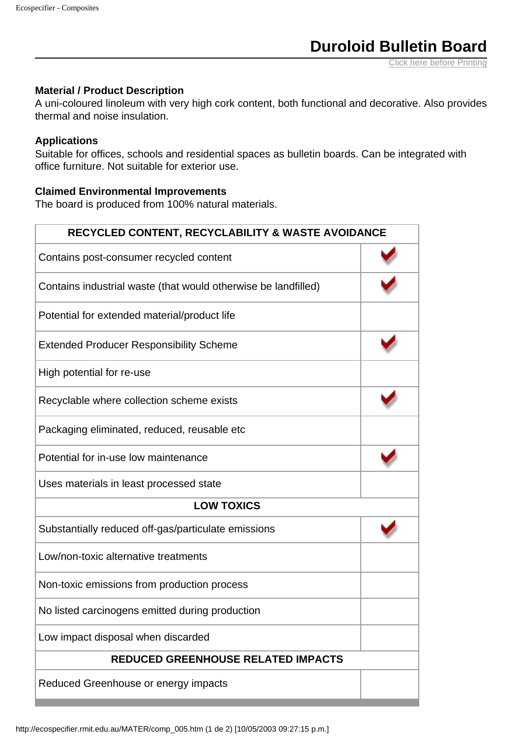#### <span id="page-80-0"></span>**Material / Product Description**

A uni-coloured linoleum with very high cork content, both functional and decorative. Also provides thermal and noise insulation.

#### **Applications**

Suitable for offices, schools and residential spaces as bulletin boards. Can be integrated with office furniture. Not suitable for exterior use.

#### **Claimed Environmental Improvements**

The board is produced from 100% natural materials.

| RECYCLED CONTENT, RECYCLABILITY & WASTE AVOIDANCE              |  |  |
|----------------------------------------------------------------|--|--|
| Contains post-consumer recycled content                        |  |  |
| Contains industrial waste (that would otherwise be landfilled) |  |  |
| Potential for extended material/product life                   |  |  |
| <b>Extended Producer Responsibility Scheme</b>                 |  |  |
| High potential for re-use                                      |  |  |
| Recyclable where collection scheme exists                      |  |  |
| Packaging eliminated, reduced, reusable etc                    |  |  |
| Potential for in-use low maintenance                           |  |  |
| Uses materials in least processed state                        |  |  |
| <b>LOW TOXICS</b>                                              |  |  |
| Substantially reduced off-gas/particulate emissions            |  |  |
| Low/non-toxic alternative treatments                           |  |  |
| Non-toxic emissions from production process                    |  |  |
| No listed carcinogens emitted during production                |  |  |
| Low impact disposal when discarded                             |  |  |
| REDUCED GREENHOUSE RELATED IMPACTS                             |  |  |
| Reduced Greenhouse or energy impacts                           |  |  |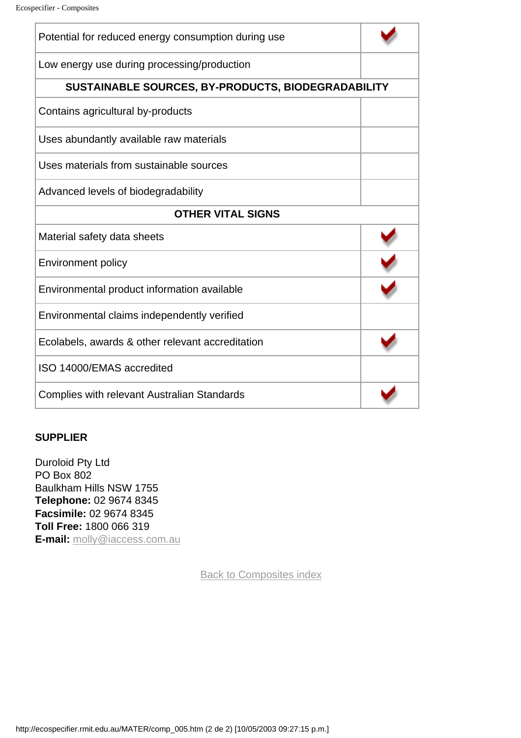| Potential for reduced energy consumption during use |  |  |  |
|-----------------------------------------------------|--|--|--|
| Low energy use during processing/production         |  |  |  |
| SUSTAINABLE SOURCES, BY-PRODUCTS, BIODEGRADABILITY  |  |  |  |
| Contains agricultural by-products                   |  |  |  |
| Uses abundantly available raw materials             |  |  |  |
| Uses materials from sustainable sources             |  |  |  |
| Advanced levels of biodegradability                 |  |  |  |
| <b>OTHER VITAL SIGNS</b>                            |  |  |  |
| Material safety data sheets                         |  |  |  |
| <b>Environment policy</b>                           |  |  |  |
| Environmental product information available         |  |  |  |
| Environmental claims independently verified         |  |  |  |
| Ecolabels, awards & other relevant accreditation    |  |  |  |
| ISO 14000/EMAS accredited                           |  |  |  |
| <b>Complies with relevant Australian Standards</b>  |  |  |  |

Duroloid Pty Ltd PO Box 802 Baulkham Hills NSW 1755 **Telephone:** 02 9674 8345 **Facsimile:** 02 9674 8345 **Toll Free:** 1800 066 319 **E-mail:** [molly@iaccess.com.au](mailto:molly@iaccess.com.au)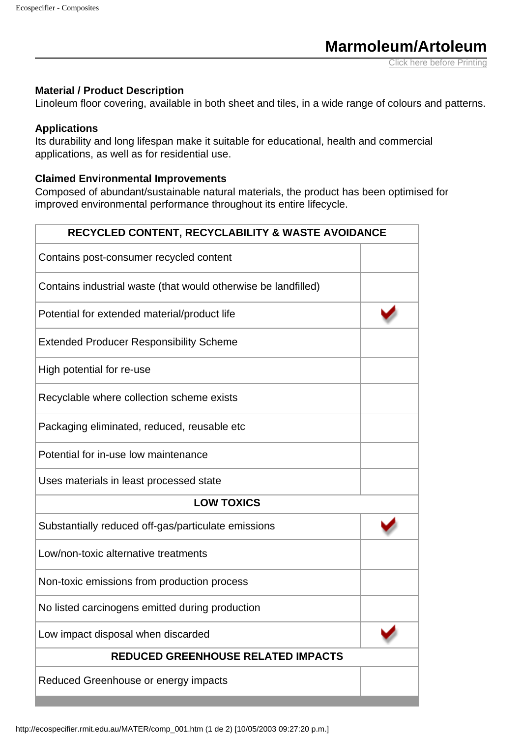## **Marmoleum/Artoleum**

#### <span id="page-82-0"></span>**Material / Product Description**

Linoleum floor covering, available in both sheet and tiles, in a wide range of colours and patterns.

#### **Applications**

Its durability and long lifespan make it suitable for educational, health and commercial applications, as well as for residential use.

#### **Claimed Environmental Improvements**

Composed of abundant/sustainable natural materials, the product has been optimised for improved environmental performance throughout its entire lifecycle.

| <b>RECYCLED CONTENT, RECYCLABILITY &amp; WASTE AVOIDANCE</b>   |  |
|----------------------------------------------------------------|--|
| Contains post-consumer recycled content                        |  |
| Contains industrial waste (that would otherwise be landfilled) |  |
| Potential for extended material/product life                   |  |
| <b>Extended Producer Responsibility Scheme</b>                 |  |
| High potential for re-use                                      |  |
| Recyclable where collection scheme exists                      |  |
| Packaging eliminated, reduced, reusable etc                    |  |
| Potential for in-use low maintenance                           |  |
| Uses materials in least processed state                        |  |
| <b>LOW TOXICS</b>                                              |  |
| Substantially reduced off-gas/particulate emissions            |  |
| Low/non-toxic alternative treatments                           |  |
| Non-toxic emissions from production process                    |  |
| No listed carcinogens emitted during production                |  |
| Low impact disposal when discarded                             |  |
| <b>REDUCED GREENHOUSE RELATED IMPACTS</b>                      |  |
| Reduced Greenhouse or energy impacts                           |  |

http://ecospecifier.rmit.edu.au/MATER/comp\_001.htm (1 de 2) [10/05/2003 09:27:20 p.m.]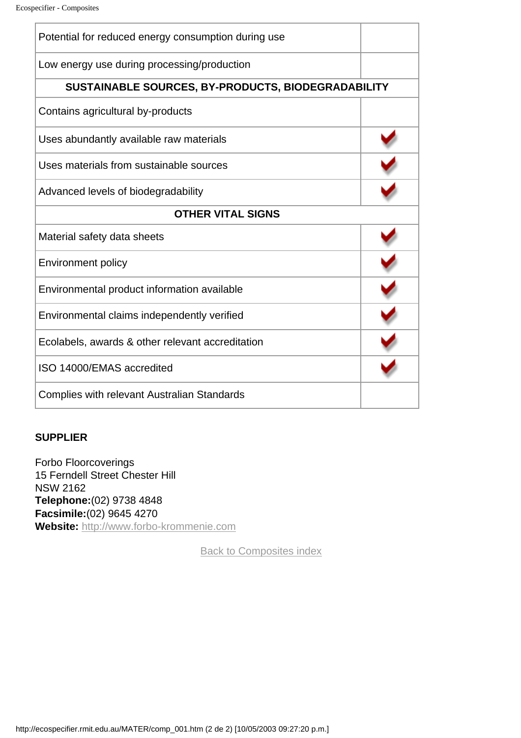| Potential for reduced energy consumption during use |  |  |  |
|-----------------------------------------------------|--|--|--|
| Low energy use during processing/production         |  |  |  |
| SUSTAINABLE SOURCES, BY-PRODUCTS, BIODEGRADABILITY  |  |  |  |
| Contains agricultural by-products                   |  |  |  |
| Uses abundantly available raw materials             |  |  |  |
| Uses materials from sustainable sources             |  |  |  |
| Advanced levels of biodegradability                 |  |  |  |
| <b>OTHER VITAL SIGNS</b>                            |  |  |  |
| Material safety data sheets                         |  |  |  |
| <b>Environment policy</b>                           |  |  |  |
| Environmental product information available         |  |  |  |
| Environmental claims independently verified         |  |  |  |
| Ecolabels, awards & other relevant accreditation    |  |  |  |
| ISO 14000/EMAS accredited                           |  |  |  |
| <b>Complies with relevant Australian Standards</b>  |  |  |  |

Forbo Floorcoverings 15 Ferndell Street Chester Hill NSW 2162 **Telephone:**(02) 9738 4848 **Facsimile:**(02) 9645 4270 **Website:** [http://www.forbo-krommenie.com](http://www.forbo-krommenie.com/)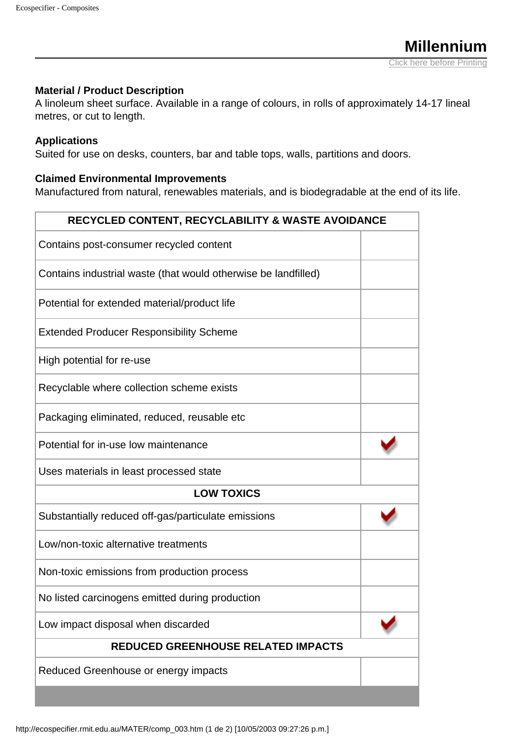#### <span id="page-84-0"></span>**Material / Product Description**

A linoleum sheet surface. Available in a range of colours, in rolls of approximately 14-17 lineal metres, or cut to length.

#### **Applications**

Suited for use on desks, counters, bar and table tops, walls, partitions and doors.

### **Claimed Environmental Improvements**

Manufactured from natural, renewables materials, and is biodegradable at the end of its life.

| <b>RECYCLED CONTENT, RECYCLABILITY &amp; WASTE AVOIDANCE</b>   |  |  |
|----------------------------------------------------------------|--|--|
| Contains post-consumer recycled content                        |  |  |
| Contains industrial waste (that would otherwise be landfilled) |  |  |
| Potential for extended material/product life                   |  |  |
| <b>Extended Producer Responsibility Scheme</b>                 |  |  |
| High potential for re-use                                      |  |  |
| Recyclable where collection scheme exists                      |  |  |
| Packaging eliminated, reduced, reusable etc                    |  |  |
| Potential for in-use low maintenance                           |  |  |
| Uses materials in least processed state                        |  |  |
| <b>LOW TOXICS</b>                                              |  |  |
| Substantially reduced off-gas/particulate emissions            |  |  |
| Low/non-toxic alternative treatments                           |  |  |
| Non-toxic emissions from production process                    |  |  |
| No listed carcinogens emitted during production                |  |  |
| Low impact disposal when discarded                             |  |  |
| <b>REDUCED GREENHOUSE RELATED IMPACTS</b>                      |  |  |
| Reduced Greenhouse or energy impacts                           |  |  |
|                                                                |  |  |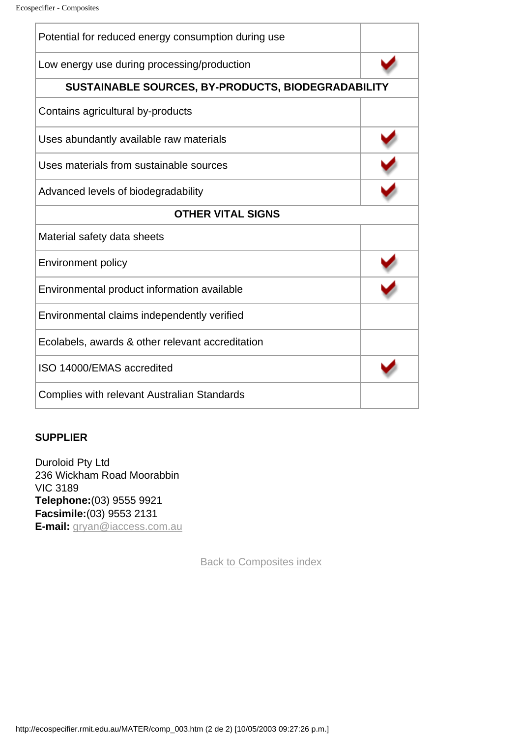| Potential for reduced energy consumption during use |  |  |  |
|-----------------------------------------------------|--|--|--|
| Low energy use during processing/production         |  |  |  |
| SUSTAINABLE SOURCES, BY-PRODUCTS, BIODEGRADABILITY  |  |  |  |
| Contains agricultural by-products                   |  |  |  |
| Uses abundantly available raw materials             |  |  |  |
| Uses materials from sustainable sources             |  |  |  |
| Advanced levels of biodegradability                 |  |  |  |
| <b>OTHER VITAL SIGNS</b>                            |  |  |  |
| Material safety data sheets                         |  |  |  |
| <b>Environment policy</b>                           |  |  |  |
| Environmental product information available         |  |  |  |
| Environmental claims independently verified         |  |  |  |
| Ecolabels, awards & other relevant accreditation    |  |  |  |
| ISO 14000/EMAS accredited                           |  |  |  |
| <b>Complies with relevant Australian Standards</b>  |  |  |  |

Duroloid Pty Ltd 236 Wickham Road Moorabbin VIC 3189 **Telephone:**(03) 9555 9921 **Facsimile:**(03) 9553 2131 **E-mail:** [gryan@iaccess.com.au](mailto:gryan@iaccess.com.au)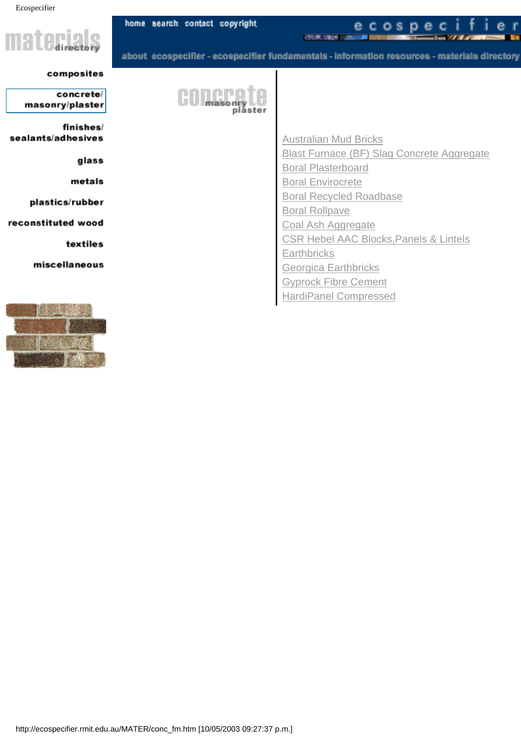home search contact copyright

m

mason

pläster

e c o s p e c if e r (510) 1804 - 200

about ecospecifier - ecospecifier fundamentals - information resources - materials directory

#### composites

oniolo

concrete/ masonry/plaster

finishes/ sealants/adhesives

glass

metals

plastics/rubber

reconstituted wood

textiles

miscellaneous



**Australian Mud Bricks** Blast Furnace (BF) Slag Concrete Aggregate **Boral Plasterboard Boral Envirocrete Boral Recycled Roadbase Boral Rollpave** Coal Ash Aggregate **CSR Hebel AAC Blocks, Panels & Lintels** Earthbricks **Georgica Earthbricks Gyprock Fibre Cement HardiPanel Compressed**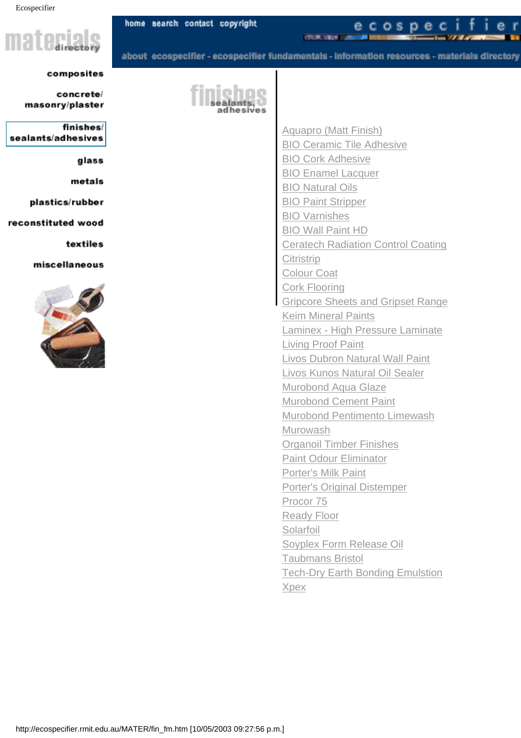home search contact copyright

e c o s p e c i f ier (510) 1939 - 20

about ecospecifier - ecospecifier fundamentals - information resources - materials directory

#### composites

oniolo

concrete/ masonry/plaster

finishes/ sealants/adhesives

glass

metals

plastics/rubber

reconstituted wood

textiles

miscellaneous



Aquapro (Matt Finish) **BIO Ceramic Tile Adhesive BIO Cork Adhesive BIO Enamel Lacquer BIO Natural Oils BIO Paint Stripper BIO Varnishes BIO Wall Paint HD Ceratech Radiation Control Coating** Citristrip **Colour Coat Cork Flooring Gripcore Sheets and Gripset Range Keim Mineral Paints** Laminex - High Pressure Laminate **Living Proof Paint** Livos Dubron Natural Wall Paint Livos Kunos Natural Oil Sealer Murobond Aqua Glaze **Murobond Cement Paint** Murobond Pentimento Limewash Murowash **Organoil Timber Finishes Paint Odour Eliminator** Porter's Milk Paint **Porter's Original Distemper** Procor 75 Ready Floor Solarfoil Soyplex Form Release Oil **Taubmans Bristol Tech-Dry Earth Bonding Emulstion** Xpex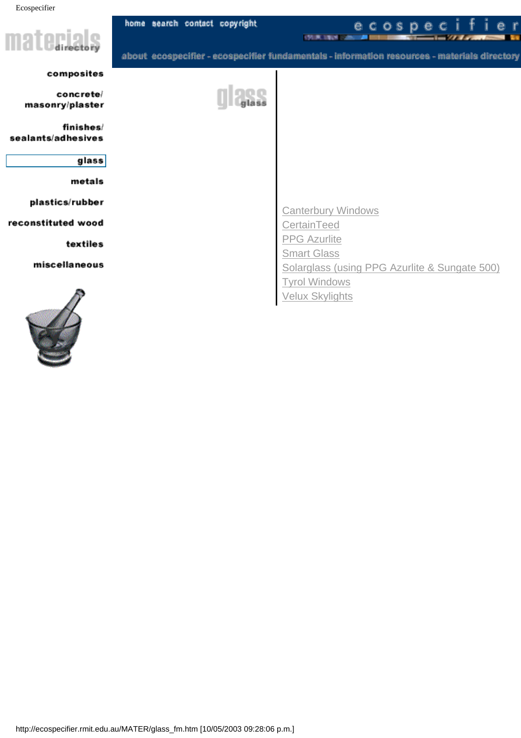#### home search contact copyright ecospeci e - r oniale **GUREAN CALL #1** 1733 about ecospecifier - ecospecifier fundamentals - information resources - materials directory composites **ISS**<br>glass concrete/ masonry/plaster finishes/ sealants/adhesives glass metais plastics/rubber [Canterbury Windows](http://ecospecifier.rmit.edu.au/MATER/glass006.htm) reconstituted wood **[CertainTeed](http://ecospecifier.rmit.edu.au/MATER/glass007.htm)** [PPG Azurlite](http://ecospecifier.rmit.edu.au/MATER/glass001.htm) textiles

miscellaneous



**[Smart Glass](http://ecospecifier.rmit.edu.au/MATER/glass002.htm)** [Solarglass \(using PPG Azurlite & Sungate 500\)](http://ecospecifier.rmit.edu.au/MATER/glass003.htm) [Tyrol Windows](http://ecospecifier.rmit.edu.au/MATER/glass004.htm) [Velux Skylights](http://ecospecifier.rmit.edu.au/MATER/glass005.htm)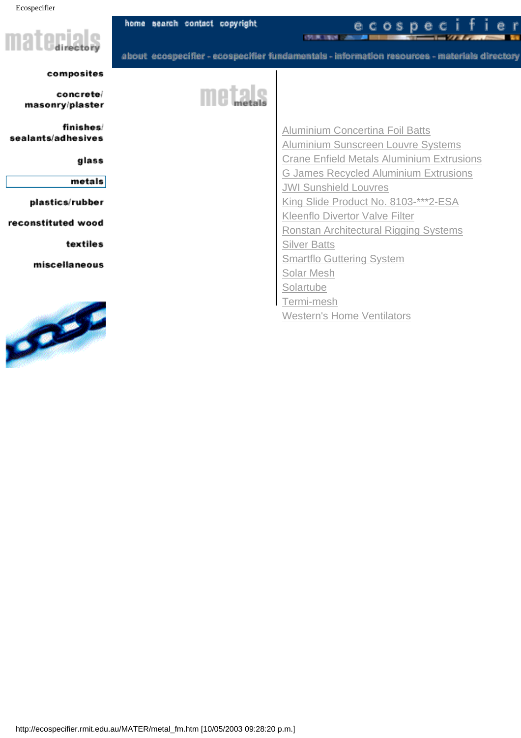## home search contact copyright ariolo

#### composites

concrete/ masonry/plaster

finishes/ sealants/adhesives

glass

metals

plastics/rubber

reconstituted wood

textiles

miscellaneous



about ecospecifier - ecospecifier fundamentals - information resources - materials directory

0910010091728



**Aluminium Concertina Foil Batts Aluminium Sunscreen Louvre Systems Crane Enfield Metals Aluminium Extrusions G James Recycled Aluminium Extrusions JWI Sunshield Louvres** King Slide Product No. 8103-\*\*\*2-ESA Kleenflo Divertor Valve Filter Ronstan Architectural Rigging Systems **Silver Batts Smartflo Guttering System** Solar Mesh Solartube Termi-mesh **Western's Home Ventilators** 

e c o s p e c i

e r

http://ecospecifier.rmit.edu.au/MATER/metal\_fm.htm [10/05/2003 09:28:20 p.m.]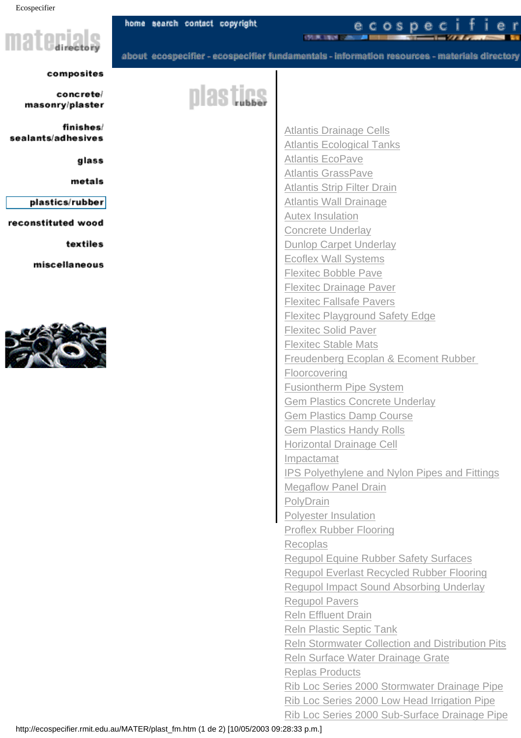## oniolo

home search contact copyright

ecospeci

about ecospecifier - ecospecifier fundamentals - information resources - materials directory

#### composites

concrete/ masonry/plaster

finishes/ sealants/adhesives

glass

metals

plastics/rubber

reconstituted wood

textiles

miscellaneous



plastics

**Atlantis Drainage Cells Atlantis Ecological Tanks Atlantis EcoPave Atlantis GrassPave Atlantis Strip Filter Drain Atlantis Wall Drainage Autex Insulation Concrete Underlay Dunlop Carpet Underlay Ecoflex Wall Systems Flexitec Bobble Pave Flexitec Drainage Paver Flexitec Fallsafe Pavers Flexitec Playground Safety Edge Flexitec Solid Paver Flexitec Stable Mats** Freudenberg Ecoplan & Ecoment Rubber Floorcovering **Fusiontherm Pipe System Gem Plastics Concrete Underlay Gem Plastics Damp Course Gem Plastics Handy Rolls Horizontal Drainage Cell** Impactamat **IPS Polyethylene and Nylon Pipes and Fittings Megaflow Panel Drain** PolyDrain **Polyester Insulation Proflex Rubber Flooring** Recoplas **Regupol Equine Rubber Safety Surfaces Requpol Everlast Recycled Rubber Flooring** Regupol Impact Sound Absorbing Underlay **Requpol Pavers Reln Effluent Drain Reln Plastic Septic Tank Reln Stormwater Collection and Distribution Pits** Reln Surface Water Drainage Grate **Replas Products** Rib Loc Series 2000 Stormwater Drainage Pipe Rib Loc Series 2000 Low Head Irrigation Pipe Rib Loc Series 2000 Sub-Surface Drainage Pipe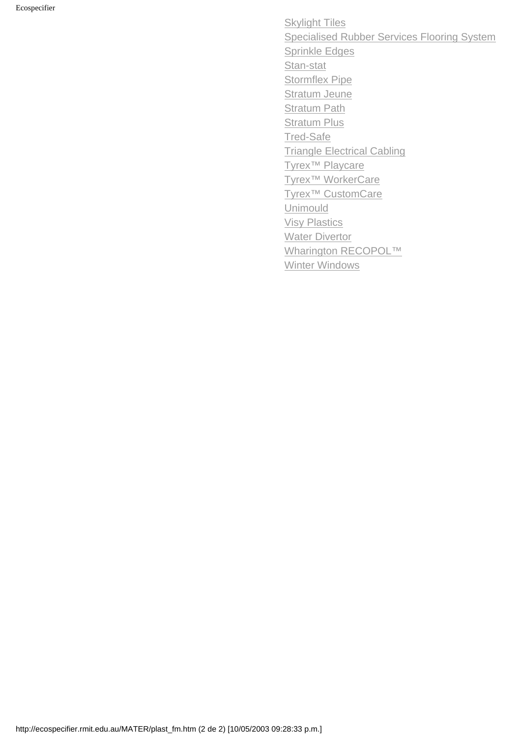**[Skylight Tiles](http://ecospecifier.rmit.edu.au/MATER/plast060.htm)** [Specialised Rubber Services Flooring System](http://ecospecifier.rmit.edu.au/MATER/plast038.htm) [Sprinkle Edges](http://ecospecifier.rmit.edu.au/MATER/plast020.htm) [Stan-stat](http://ecospecifier.rmit.edu.au/MATER/plast021.htm) [Stormflex Pipe](http://ecospecifier.rmit.edu.au/MATER/plast061.htm) [Stratum Jeune](http://ecospecifier.rmit.edu.au/MATER/plast055.htm) **[Stratum Path](http://ecospecifier.rmit.edu.au/MATER/plast053.htm) [Stratum Plus](http://ecospecifier.rmit.edu.au/MATER/plast054.htm)** [Tred-Safe](http://ecospecifier.rmit.edu.au/MATER/plast023.htm) [Triangle Electrical Cabling](http://ecospecifier.rmit.edu.au/MATER/plast037.htm) [Tyrex™ Playcare](http://ecospecifier.rmit.edu.au/MATER/plast024.htm) [Tyrex™ WorkerCare](http://ecospecifier.rmit.edu.au/MATER/plast025.htm) [Tyrex™ CustomCare](http://ecospecifier.rmit.edu.au/MATER/plast026.htm) [Unimould](http://ecospecifier.rmit.edu.au/MATER/plast027.htm) [Visy Plastics](http://ecospecifier.rmit.edu.au/MATER/plast062.htm) [Water Divertor](http://ecospecifier.rmit.edu.au/MATER/plast063.htm) [Wharington RECOPOL™](http://ecospecifier.rmit.edu.au/MATER/plast029.htm) [Winter Windows](http://ecospecifier.rmit.edu.au/MATER/plast028.htm)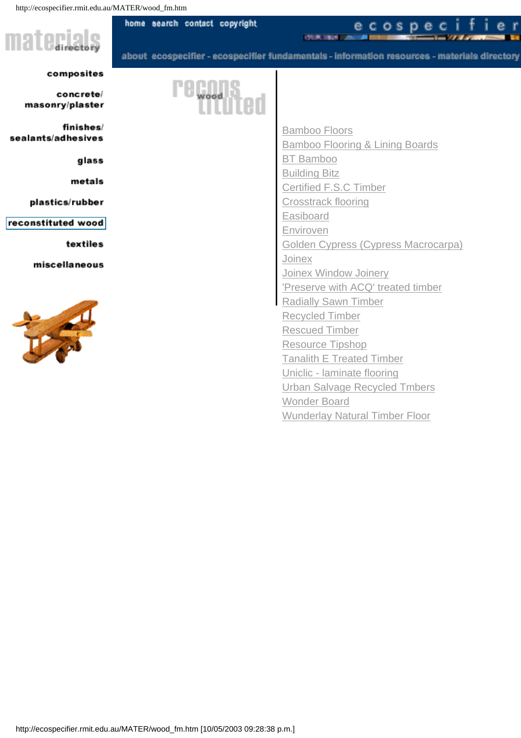http://ecospecifier.rmit.edu.au/MATER/wood\_fm.htm

home search contact copyright e c o s p e c i f i e r materials (510) 1939 - 20 about ecospecifier - ecospecifier fundamentals - information resources - materials directory composites wood concrete/ masonry/plaster finishes/ [Bamboo Floors](http://ecospecifier.rmit.edu.au/MATER/wood008.htm) sealants/adhesives [Bamboo Flooring & Lining Boards](http://ecospecifier.rmit.edu.au/MATER/wood006.htm) [BT Bamboo](http://ecospecifier.rmit.edu.au/MATER/wood009.htm) glass [Building Bitz](http://ecospecifier.rmit.edu.au/MATER/wood018.htm) metals [Certified F.S.C Timber](http://ecospecifier.rmit.edu.au/MATER/wood001.htm) plastics/rubber [Crosstrack flooring](http://www.mel.spowers.com.au/esd/products/reports/summary.asp?sid=12) [Easiboard](http://ecospecifier.rmit.edu.au/MATER/wood002.htm) reconstituted wood [Enviroven](http://ecospecifier.rmit.edu.au/MATER/wood010.htm) textiles [Golden Cypress \(Cypress Macrocarpa\)](http://ecospecifier.rmit.edu.au/MATER/wood005.htm) [Joinex](http://ecospecifier.rmit.edu.au/MATER/wood011.htm) miscellaneous [Joinex Window Joinery](http://ecospecifier.rmit.edu.au/MATER/wood012.htm) ['Preserve with ACQ' treated timber](http://ecospecifier.rmit.edu.au/MATER/wood013.htm) [Radially Sawn Timber](http://ecospecifier.rmit.edu.au/MATER/wood014.htm) [Recycled Timber](http://www.mel.spowers.com.au/esd/products/reports/summary.asp?sid=30) [Rescued Timber](http://ecospecifier.rmit.edu.au/MATER/wood015.htm) [Resource Tipshop](http://ecospecifier.rmit.edu.au/MATER/wood016.htm) [Tanalith E Treated Timber](http://ecospecifier.rmit.edu.au/MATER/wood007.htm) [Uniclic - laminate flooring](http://www.mel.spowers.com.au/esd/products/reports/summary.asp?sid=27) [Urban Salvage Recycled Tmbers](http://ecospecifier.rmit.edu.au/MATER/wood017.htm) [Wonder Board](http://ecospecifier.rmit.edu.au/MATER/wood003.htm) [Wunderlay Natural Timber Floor](http://ecospecifier.rmit.edu.au/MATER/wood004.htm)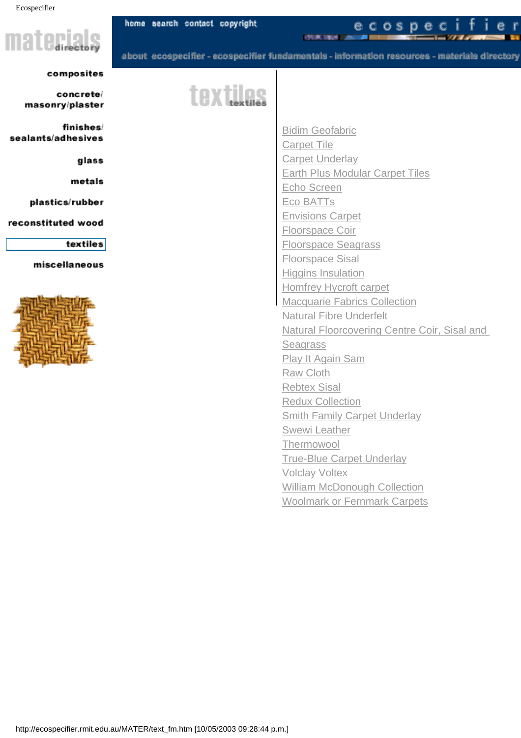#### home search contact copyright

ecospeci  $\mathbf{e}$ 09100310051720

about ecospecifier - ecospecifier fundamentals - information resources - materials directory

#### composites

oniolo

concrete/ masonry/plaster

finishes/ sealants/adhesives

glass

metals

plastics/rubber

reconstituted wood

textiles

miscellaneous



**Bidim Geofabric Carpet Tile Carpet Underlay Earth Plus Modular Carpet Tiles** Echo Screen Eco BATTs **Envisions Carpet** Floorspace Coir **Floorspace Seagrass Floorspace Sisal Higgins Insulation** Homfrey Hycroft carpet **Macquarie Fabrics Collection Natural Fibre Underfelt** Natural Floorcovering Centre Coir, Sisal and **Seagrass** Play It Again Sam Raw Cloth **Rebtex Sisal Redux Collection Smith Family Carpet Underlay** Swewi Leather Thermowool **True-Blue Carpet Underlay Volclay Voltex William McDonough Collection Woolmark or Fernmark Carpets**